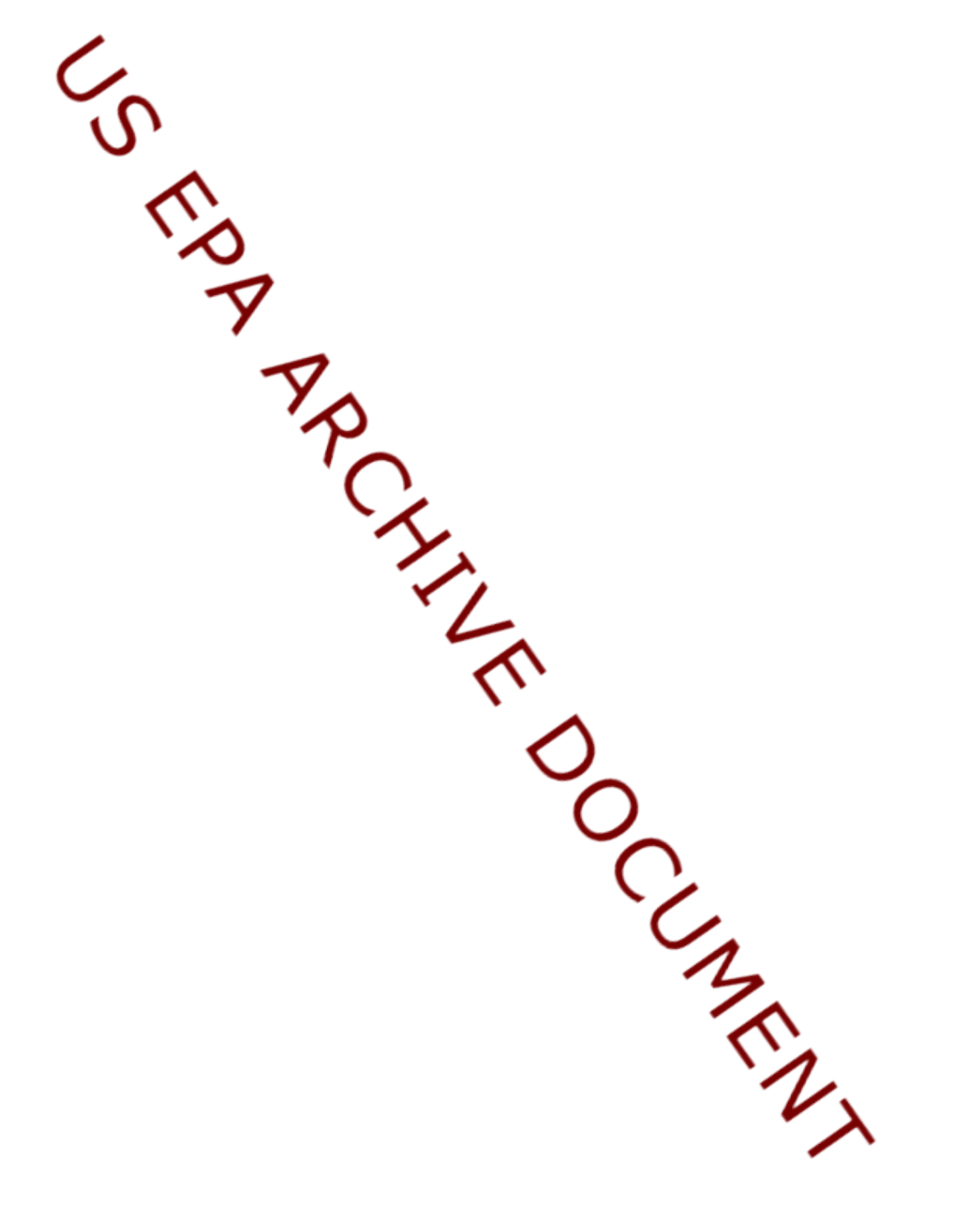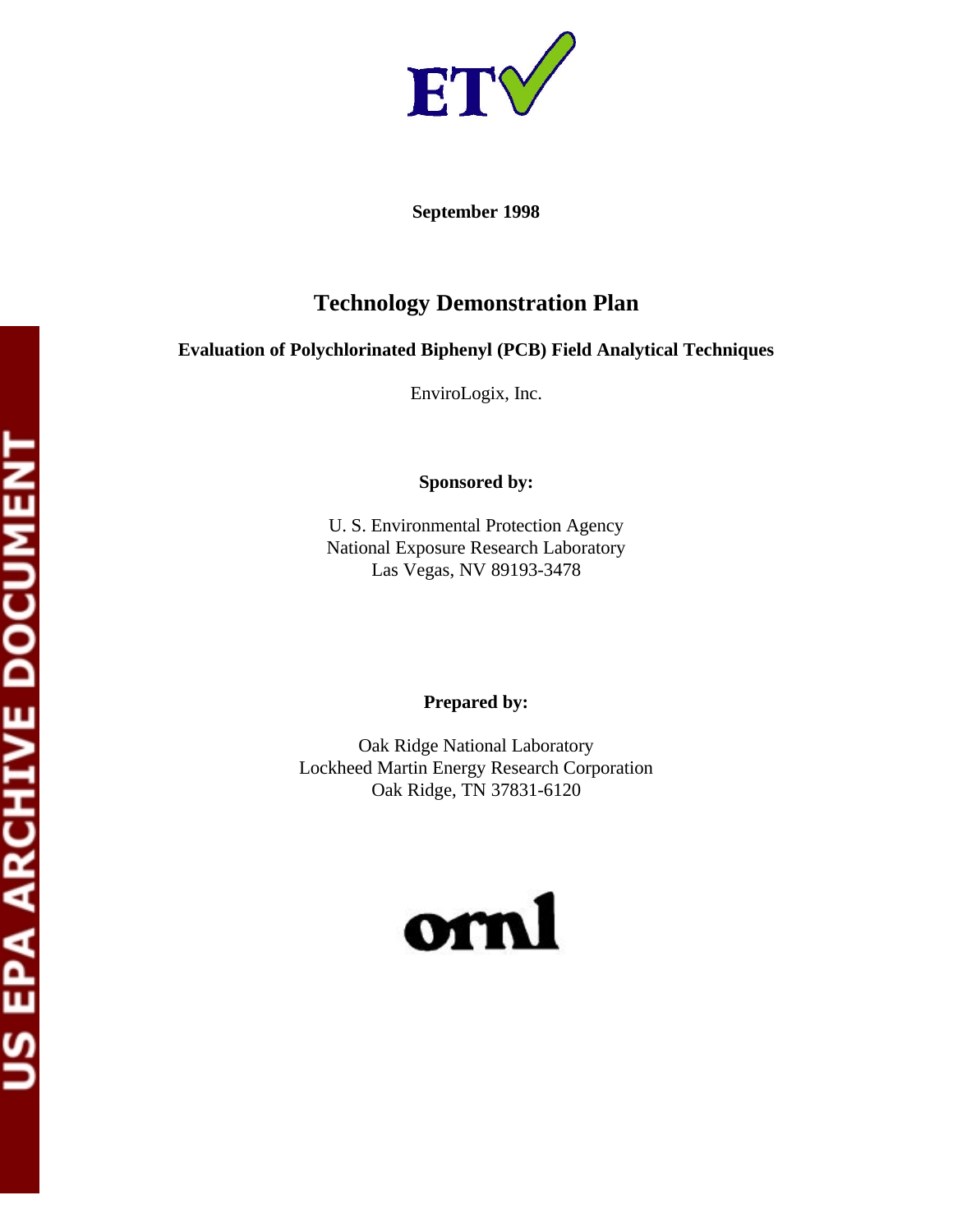

**September 1998** 

# **Technology Demonstration Plan**

# **Evaluation of Polychlorinated Biphenyl (PCB) Field Analytical Techniques**

EnviroLogix, Inc.

**Sponsored by:** 

U. S. Environmental Protection Agency National Exposure Research Laboratory Las Vegas, NV 89193-3478

# **Prepared by:**

Oak Ridge National Laboratory Lockheed Martin Energy Research Corporation Oak Ridge, TN 37831-6120

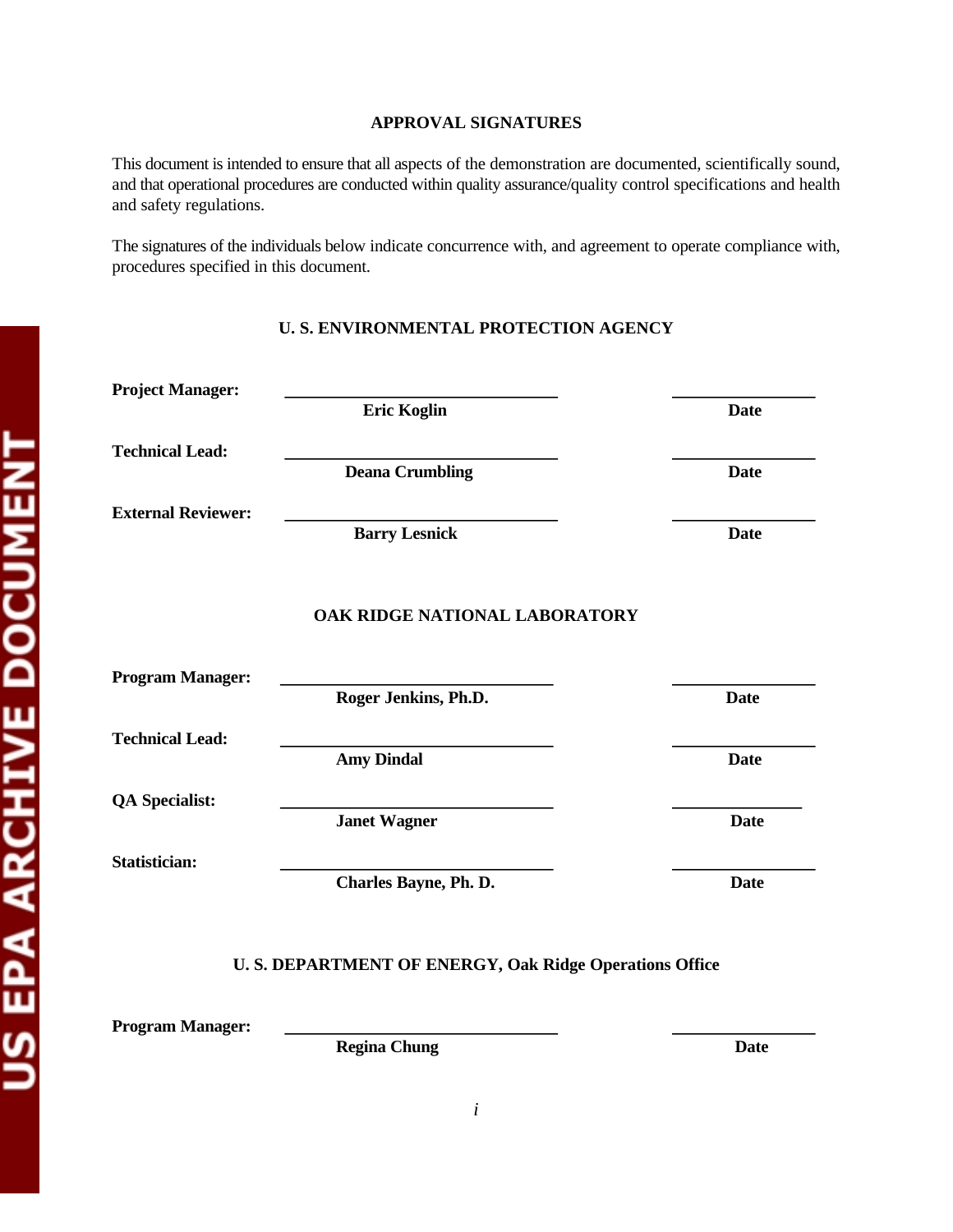# **APPROVAL SIGNATURES**

This document is intended to ensure that all aspects of the demonstration are documented, scientifically sound, and that operational procedures are conducted within quality assurance/quality control specifications and health and safety regulations.

The signatures of the individuals below indicate concurrence with, and agreement to operate compliance with, procedures specified in this document.

# **U. S. ENVIRONMENTAL PROTECTION AGENCY**

| <b>Project Manager:</b>   |                                                        |             |
|---------------------------|--------------------------------------------------------|-------------|
|                           | <b>Eric Koglin</b>                                     | <b>Date</b> |
| <b>Technical Lead:</b>    |                                                        |             |
|                           | <b>Deana Crumbling</b>                                 | <b>Date</b> |
| <b>External Reviewer:</b> |                                                        |             |
|                           | <b>Barry Lesnick</b>                                   | <b>Date</b> |
|                           | OAK RIDGE NATIONAL LABORATORY                          |             |
| <b>Program Manager:</b>   |                                                        |             |
|                           | Roger Jenkins, Ph.D.                                   | <b>Date</b> |
| <b>Technical Lead:</b>    |                                                        |             |
|                           | <b>Amy Dindal</b>                                      | <b>Date</b> |
| <b>QA Specialist:</b>     |                                                        |             |
|                           | <b>Janet Wagner</b>                                    | <b>Date</b> |
| <b>Statistician:</b>      |                                                        |             |
|                           | <b>Charles Bayne, Ph. D.</b>                           | <b>Date</b> |
|                           | U.S. DEPARTMENT OF ENERGY, Oak Ridge Operations Office |             |
| <b>Program Manager:</b>   |                                                        |             |

**Regina Chung Date** Date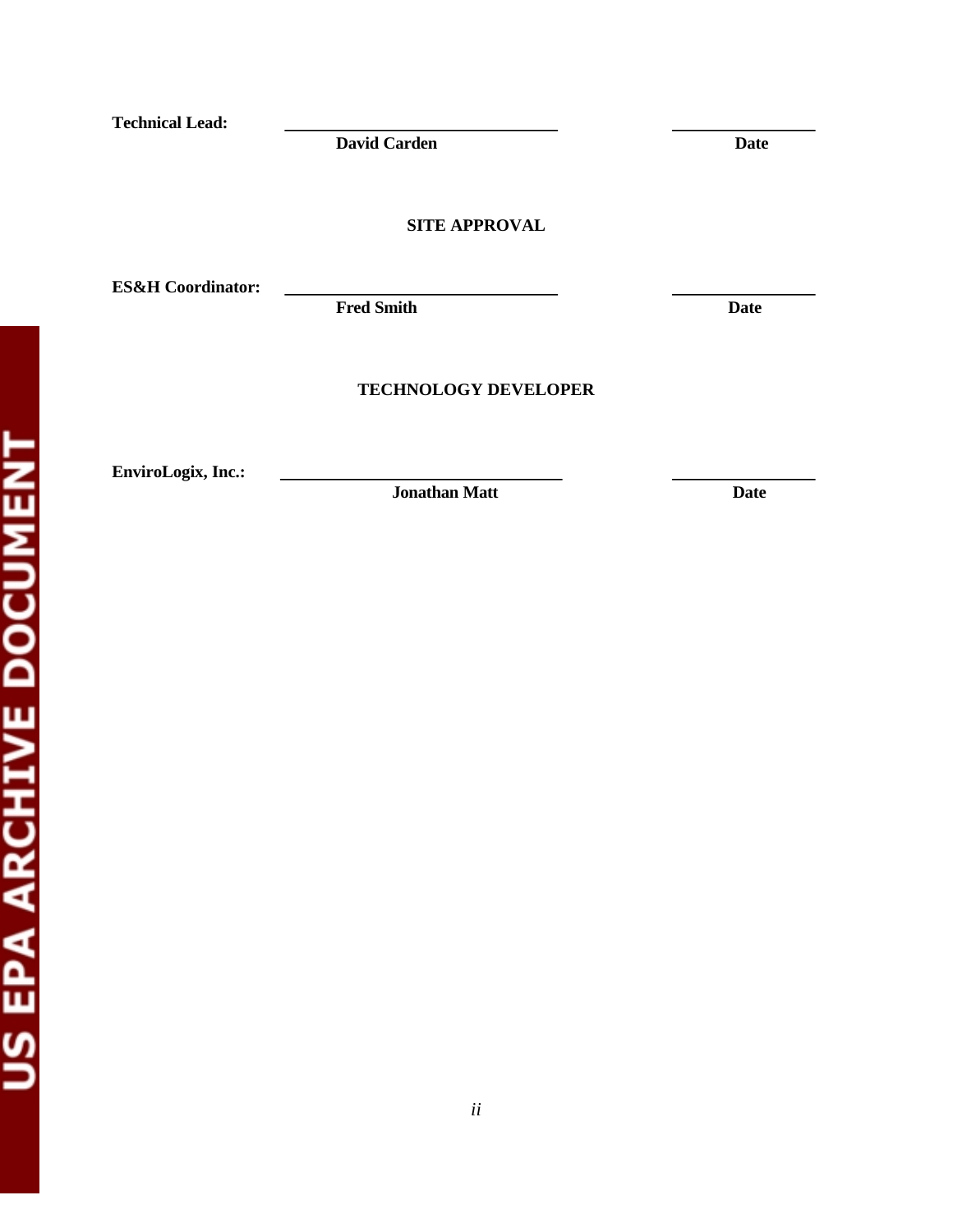**Technical Lead:** 

**David Carden Date Date Carden** 

**SITE APPROVAL** 

**ES&H Coordinator:** 

Fred Smith Date **Date** 

# **TECHNOLOGY DEVELOPER**

**EnviroLogix, Inc.:** 

**Jonathan Matt** Date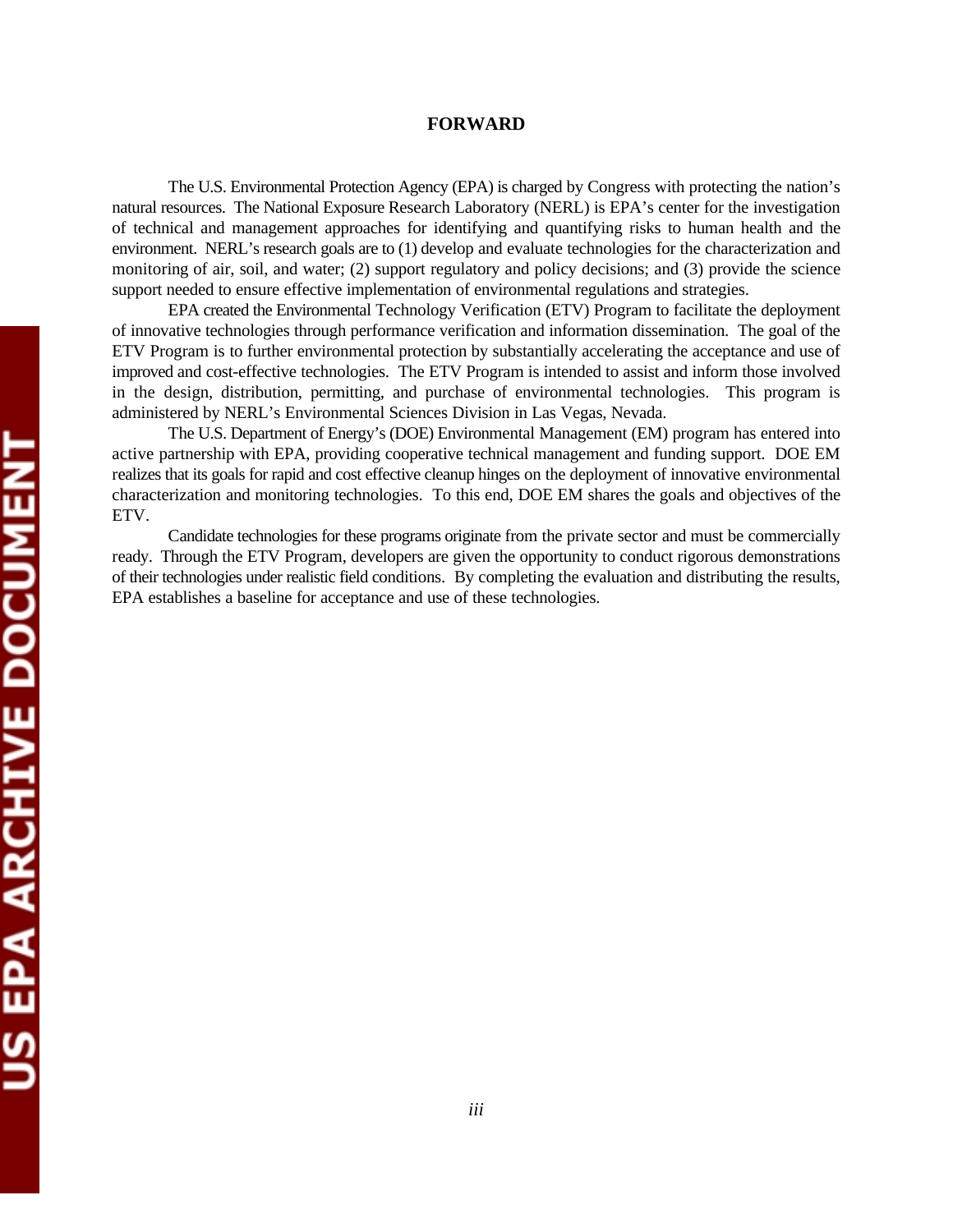# **FORWARD**

The U.S. Environmental Protection Agency (EPA) is charged by Congress with protecting the nation's natural resources. The National Exposure Research Laboratory (NERL) is EPA's center for the investigation of technical and management approaches for identifying and quantifying risks to human health and the environment. NERL's research goals are to (1) develop and evaluate technologies for the characterization and monitoring of air, soil, and water; (2) support regulatory and policy decisions; and (3) provide the science support needed to ensure effective implementation of environmental regulations and strategies.

EPA created the Environmental Technology Verification (ETV) Program to facilitate the deployment of innovative technologies through performance verification and information dissemination. The goal of the ETV Program is to further environmental protection by substantially accelerating the acceptance and use of improved and cost-effective technologies. The ETV Program is intended to assist and inform those involved in the design, distribution, permitting, and purchase of environmental technologies. This program is administered by NERL's Environmental Sciences Division in Las Vegas, Nevada.

The U.S. Department of Energy's (DOE) Environmental Management (EM) program has entered into active partnership with EPA, providing cooperative technical management and funding support. DOE EM realizes that its goals for rapid and cost effective cleanup hinges on the deployment of innovative environmental characterization and monitoring technologies. To this end, DOE EM shares the goals and objectives of the ETV.

Candidate technologies for these programs originate from the private sector and must be commercially ready. Through the ETV Program, developers are given the opportunity to conduct rigorous demonstrations of their technologies under realistic field conditions. By completing the evaluation and distributing the results, EPA establishes a baseline for acceptance and use of these technologies.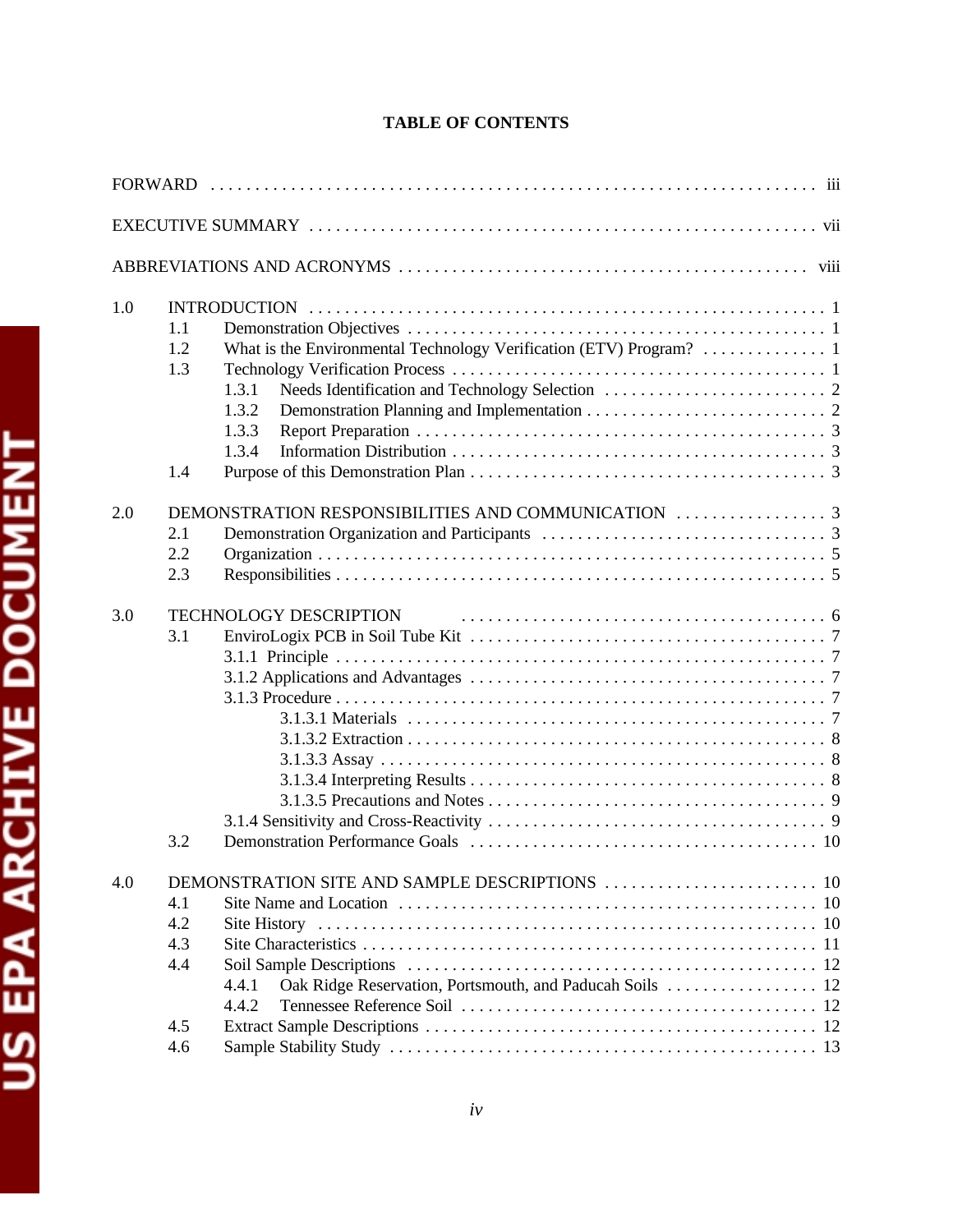# **TABLE OF CONTENTS**

| 1.0 | 1.1<br>1.2<br>1.3<br>1.3.1<br>1.3.2<br>1.3.3<br>1.3.4<br>1.4                                                         |
|-----|----------------------------------------------------------------------------------------------------------------------|
| 2.0 | 2.1<br>2.2<br>2.3                                                                                                    |
| 3.0 | <b>TECHNOLOGY DESCRIPTION</b><br>3.1<br>3.2                                                                          |
| 4.0 | 4.1<br>4.2<br>4.3<br>4.4<br>Oak Ridge Reservation, Portsmouth, and Paducah Soils  12<br>4.4.1<br>4.4.2<br>4.5<br>4.6 |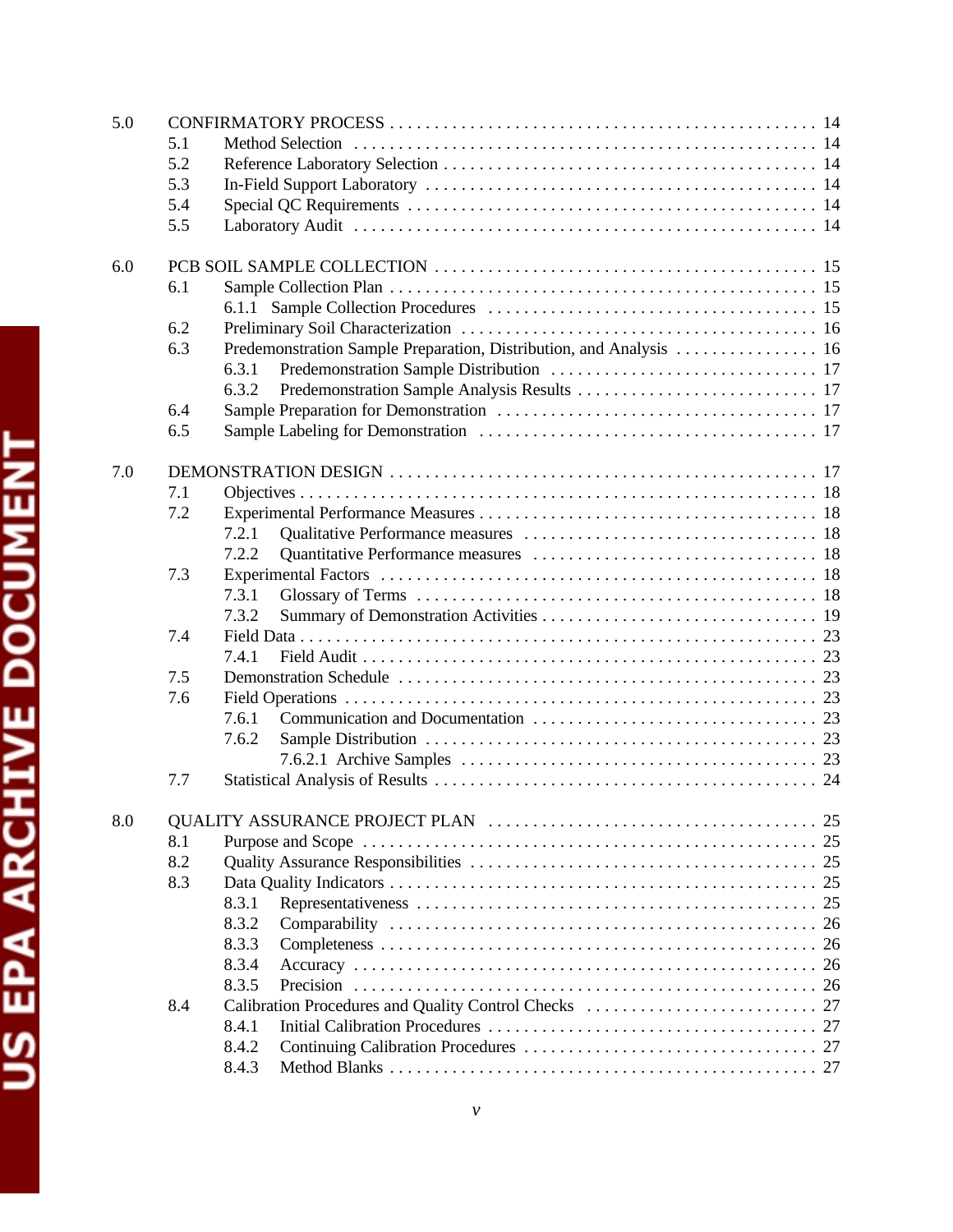| 5.0 |     |                                                                     |
|-----|-----|---------------------------------------------------------------------|
|     | 5.1 |                                                                     |
|     | 5.2 |                                                                     |
|     | 5.3 |                                                                     |
|     | 5.4 |                                                                     |
|     | 5.5 |                                                                     |
|     |     |                                                                     |
| 6.0 |     |                                                                     |
|     | 6.1 |                                                                     |
|     |     |                                                                     |
|     | 6.2 |                                                                     |
|     | 6.3 | Predemonstration Sample Preparation, Distribution, and Analysis  16 |
|     |     | 6.3.1                                                               |
|     |     | 6.3.2                                                               |
|     | 6.4 |                                                                     |
|     | 6.5 |                                                                     |
|     |     |                                                                     |
| 7.0 |     |                                                                     |
|     | 7.1 |                                                                     |
|     | 7.2 |                                                                     |
|     |     | 7.2.1                                                               |
|     |     | 7.2.2                                                               |
|     | 7.3 |                                                                     |
|     |     | 7.3.1                                                               |
|     |     | 7.3.2                                                               |
|     | 7.4 |                                                                     |
|     |     | 7.4.1                                                               |
|     | 7.5 |                                                                     |
|     | 7.6 |                                                                     |
|     |     | 7.6.1                                                               |
|     |     | 7.6.2                                                               |
|     |     |                                                                     |
|     | 7.7 |                                                                     |
|     |     |                                                                     |
| 8.0 |     |                                                                     |
|     | 8.1 |                                                                     |
|     | 8.2 |                                                                     |
|     | 8.3 |                                                                     |
|     |     | 8.3.1                                                               |
|     |     | 8.3.2                                                               |
|     |     | 8.3.3                                                               |
|     |     | 8.3.4                                                               |
|     |     | 8.3.5                                                               |
|     | 8.4 |                                                                     |
|     |     | 8.4.1                                                               |
|     |     | 8.4.2                                                               |
|     |     | 8.4.3                                                               |
|     |     |                                                                     |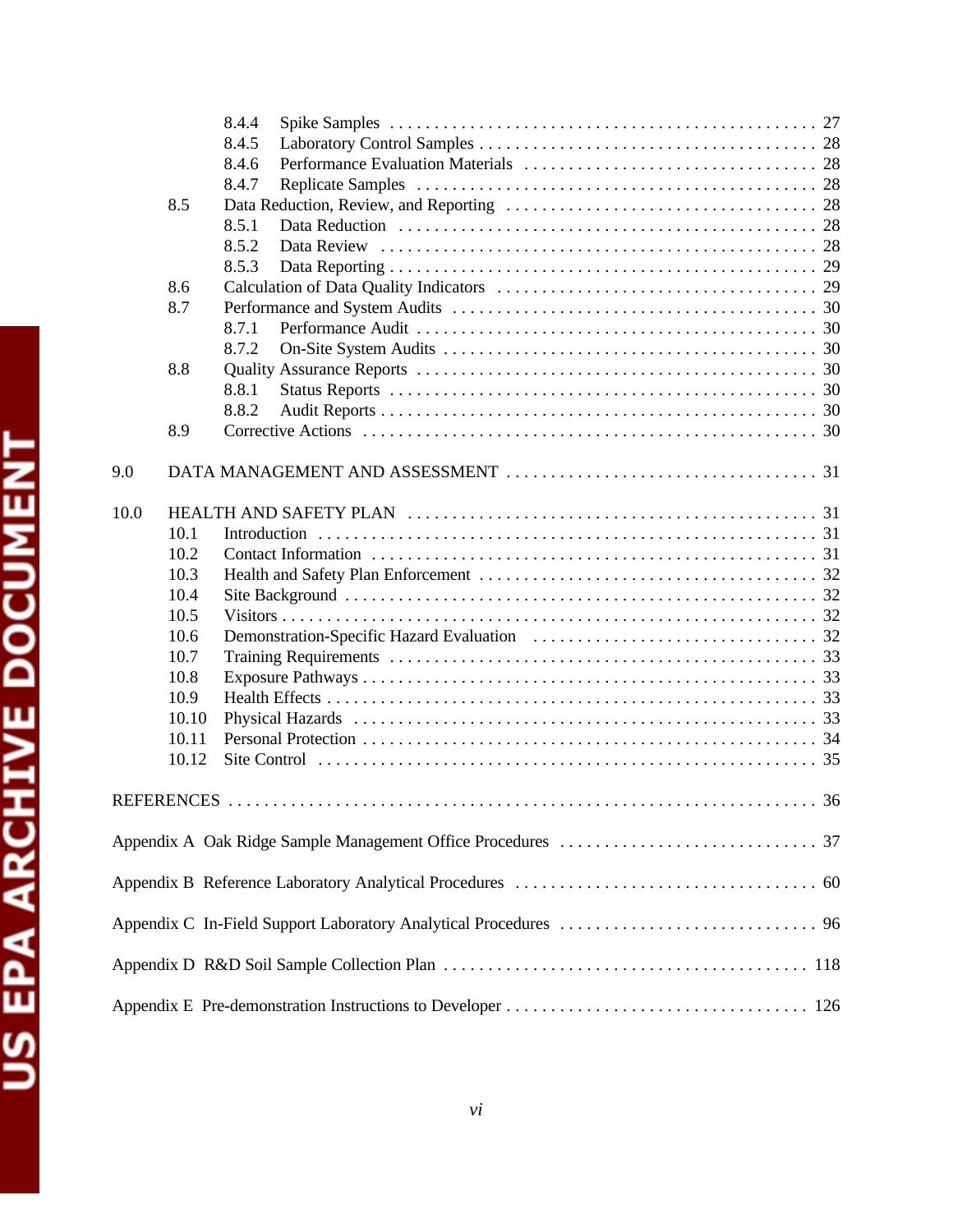|      |                   | 8.4.4 |             |
|------|-------------------|-------|-------------|
|      |                   | 8.4.5 |             |
|      |                   | 8.4.6 |             |
|      |                   | 8.4.7 |             |
|      | 8.5               |       |             |
|      |                   | 8.5.1 |             |
|      |                   | 8.5.2 |             |
|      |                   | 8.5.3 |             |
|      | 8.6<br>8.7        |       |             |
|      |                   | 8.7.1 |             |
|      |                   | 8.7.2 |             |
|      | 8.8               |       |             |
|      |                   | 8.8.1 |             |
|      |                   | 8.8.2 |             |
|      | 8.9               |       |             |
|      |                   |       |             |
| 9.0  |                   |       |             |
| 10.0 |                   |       |             |
|      | 10.1              |       |             |
|      | 10.2              |       |             |
|      | 10.3              |       |             |
|      | 10.4              |       |             |
|      | 10.5              |       |             |
|      | 10.6              |       |             |
|      | 10.7              |       |             |
|      | 10.8<br>10.9      |       |             |
|      | 10.10             |       |             |
|      | 10.11             |       |             |
|      | 10.12             |       |             |
|      |                   |       |             |
|      | <b>REFERENCES</b> |       | $\ldots 36$ |
|      |                   |       |             |
|      |                   |       |             |
|      |                   |       |             |
|      |                   |       |             |
|      |                   |       |             |
|      |                   |       |             |
|      |                   |       |             |
|      |                   |       |             |
|      |                   |       |             |

*vi*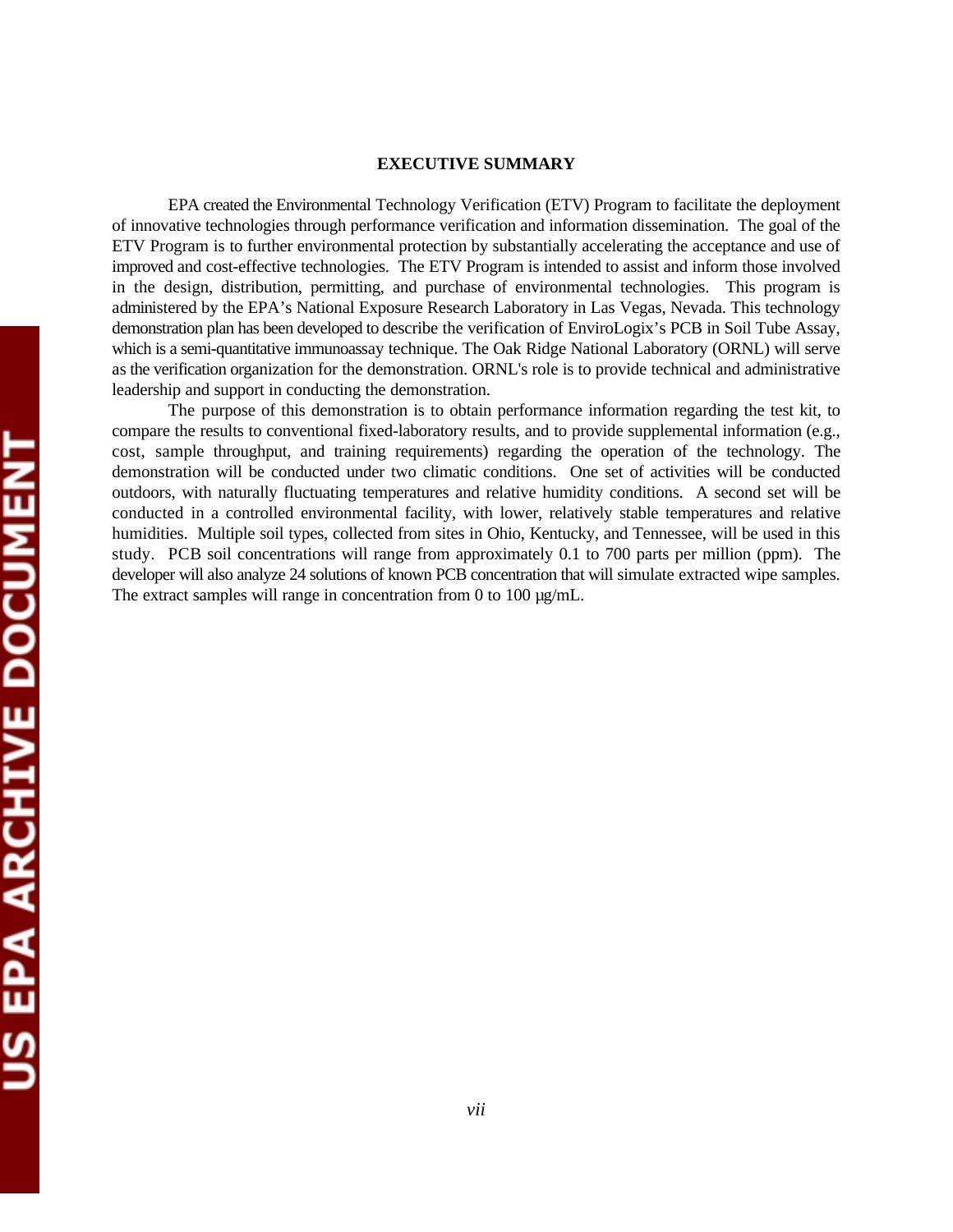#### **EXECUTIVE SUMMARY**

EPA created the Environmental Technology Verification (ETV) Program to facilitate the deployment of innovative technologies through performance verification and information dissemination. The goal of the ETV Program is to further environmental protection by substantially accelerating the acceptance and use of improved and cost-effective technologies. The ETV Program is intended to assist and inform those involved in the design, distribution, permitting, and purchase of environmental technologies. This program is administered by the EPA's National Exposure Research Laboratory in Las Vegas, Nevada. This technology demonstration plan has been developed to describe the verification of EnviroLogix's PCB in Soil Tube Assay, which is a semi-quantitative immunoassay technique. The Oak Ridge National Laboratory (ORNL) will serve as the verification organization for the demonstration. ORNL's role is to provide technical and administrative leadership and support in conducting the demonstration.

The purpose of this demonstration is to obtain performance information regarding the test kit, to compare the results to conventional fixed-laboratory results, and to provide supplemental information (e.g., cost, sample throughput, and training requirements) regarding the operation of the technology. The demonstration will be conducted under two climatic conditions. One set of activities will be conducted outdoors, with naturally fluctuating temperatures and relative humidity conditions. A second set will be conducted in a controlled environmental facility, with lower, relatively stable temperatures and relative humidities. Multiple soil types, collected from sites in Ohio, Kentucky, and Tennessee, will be used in this study. PCB soil concentrations will range from approximately 0.1 to 700 parts per million (ppm). The developer will also analyze 24 solutions of known PCB concentration that will simulate extracted wipe samples. The extract samples will range in concentration from 0 to 100  $\mu$ g/mL.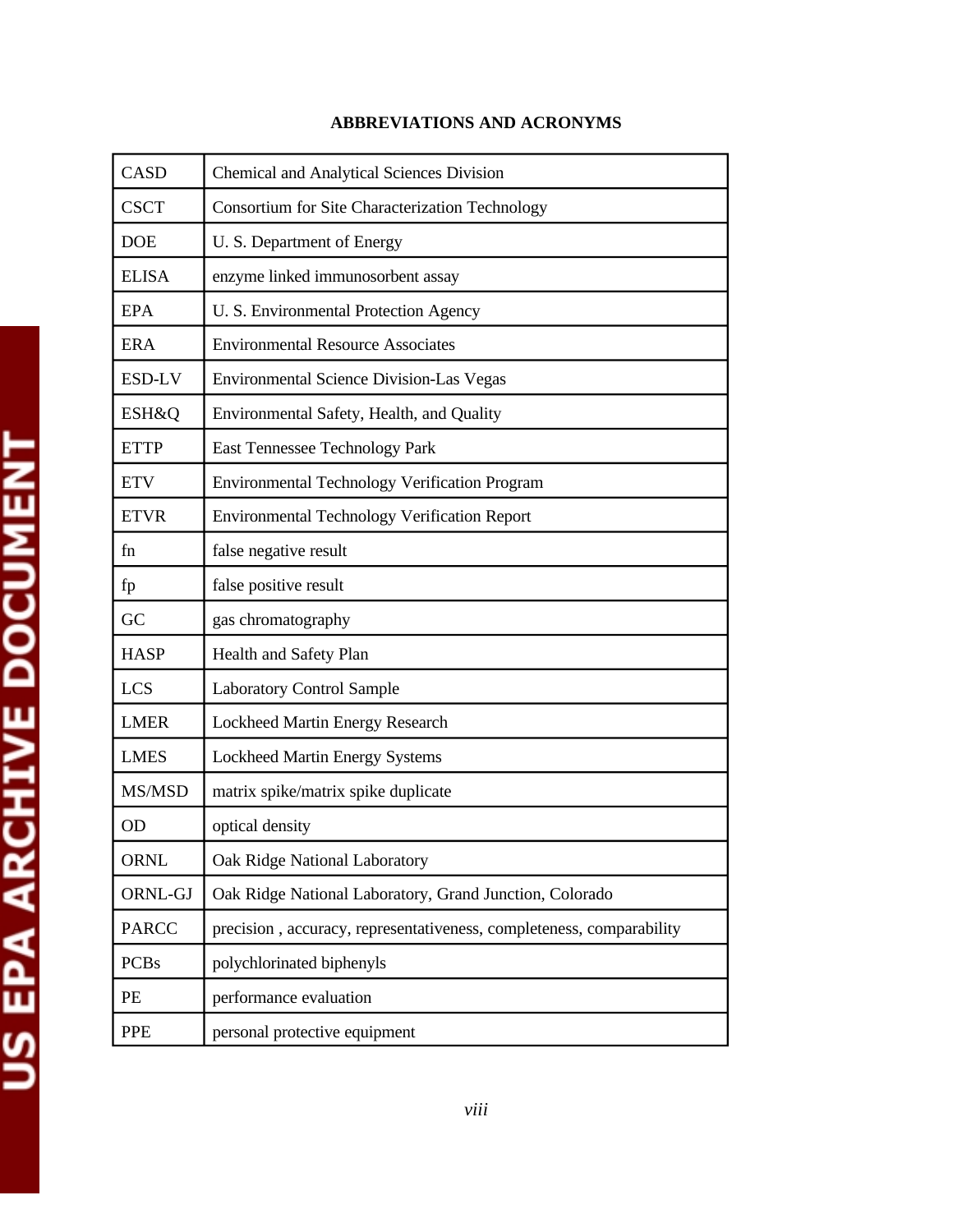| <b>CASD</b>  | <b>Chemical and Analytical Sciences Division</b>                     |
|--------------|----------------------------------------------------------------------|
| <b>CSCT</b>  | Consortium for Site Characterization Technology                      |
| <b>DOE</b>   | U. S. Department of Energy                                           |
| <b>ELISA</b> | enzyme linked immunosorbent assay                                    |
| <b>EPA</b>   | U. S. Environmental Protection Agency                                |
| <b>ERA</b>   | <b>Environmental Resource Associates</b>                             |
| ESD-LV       | <b>Environmental Science Division-Las Vegas</b>                      |
| ESH&Q        | Environmental Safety, Health, and Quality                            |
| <b>ETTP</b>  | East Tennessee Technology Park                                       |
| <b>ETV</b>   | Environmental Technology Verification Program                        |
| <b>ETVR</b>  | <b>Environmental Technology Verification Report</b>                  |
| fn           | false negative result                                                |
| fp           | false positive result                                                |
| GC           | gas chromatography                                                   |
| <b>HASP</b>  | Health and Safety Plan                                               |
| <b>LCS</b>   | <b>Laboratory Control Sample</b>                                     |
| <b>LMER</b>  | Lockheed Martin Energy Research                                      |
| <b>LMES</b>  | <b>Lockheed Martin Energy Systems</b>                                |
| MS/MSD       | matrix spike/matrix spike duplicate                                  |
| <b>OD</b>    | optical density                                                      |
| <b>ORNL</b>  | Oak Ridge National Laboratory                                        |
| ORNL-GJ      | Oak Ridge National Laboratory, Grand Junction, Colorado              |
| <b>PARCC</b> | precision, accuracy, representativeness, completeness, comparability |
| <b>PCBs</b>  | polychlorinated biphenyls                                            |
| PE           | performance evaluation                                               |
| <b>PPE</b>   | personal protective equipment                                        |

# **ABBREVIATIONS AND ACRONYMS**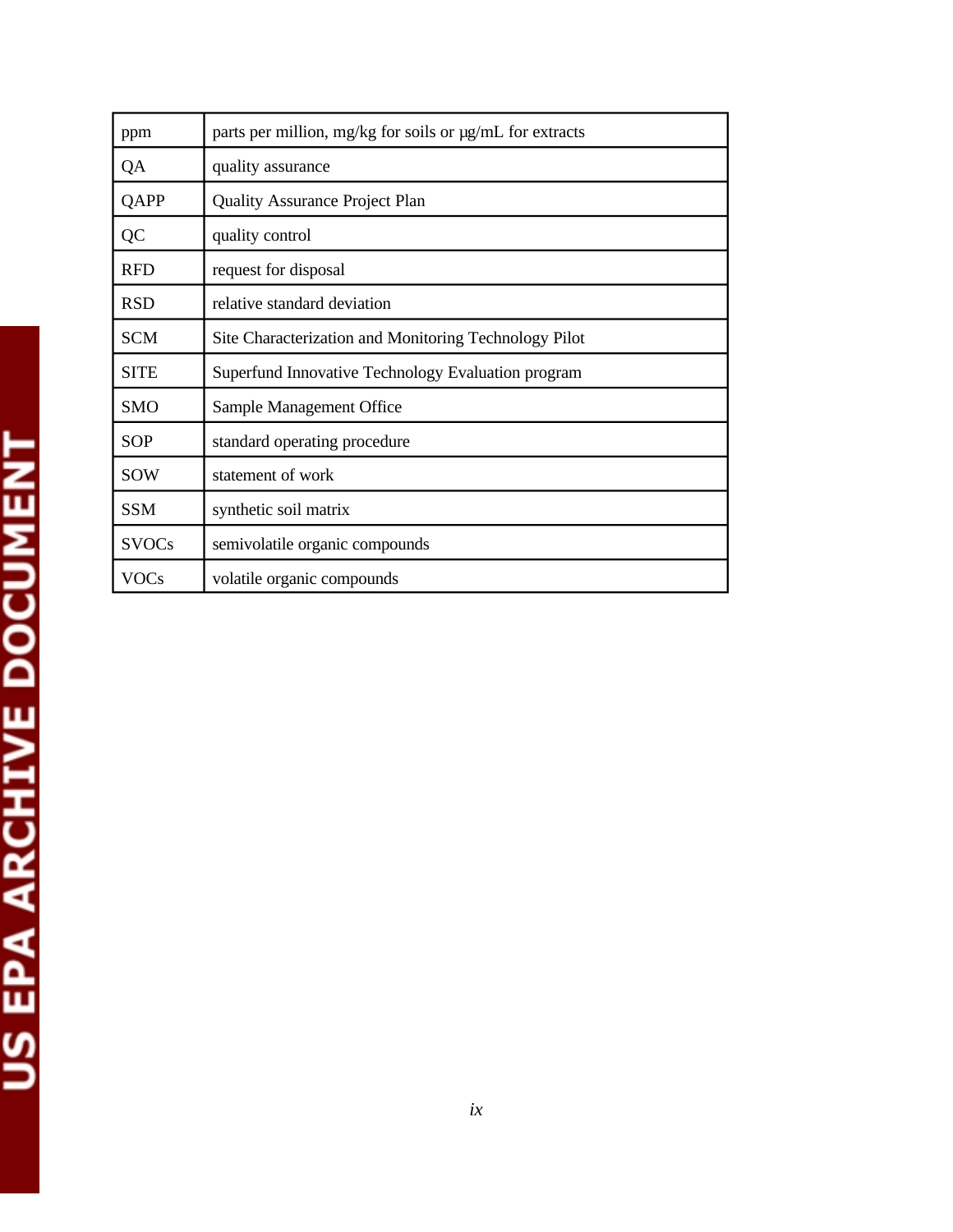| ppm          | parts per million, mg/kg for soils or $\mu$ g/mL for extracts |
|--------------|---------------------------------------------------------------|
| QA           | quality assurance                                             |
| QAPP         | <b>Quality Assurance Project Plan</b>                         |
| QC           | quality control                                               |
| <b>RFD</b>   | request for disposal                                          |
| <b>RSD</b>   | relative standard deviation                                   |
| <b>SCM</b>   | Site Characterization and Monitoring Technology Pilot         |
| <b>SITE</b>  | Superfund Innovative Technology Evaluation program            |
| <b>SMO</b>   | Sample Management Office                                      |
| <b>SOP</b>   | standard operating procedure                                  |
| <b>SOW</b>   | statement of work                                             |
| <b>SSM</b>   | synthetic soil matrix                                         |
| <b>SVOCs</b> | semivolatile organic compounds                                |
| VOCs         | volatile organic compounds                                    |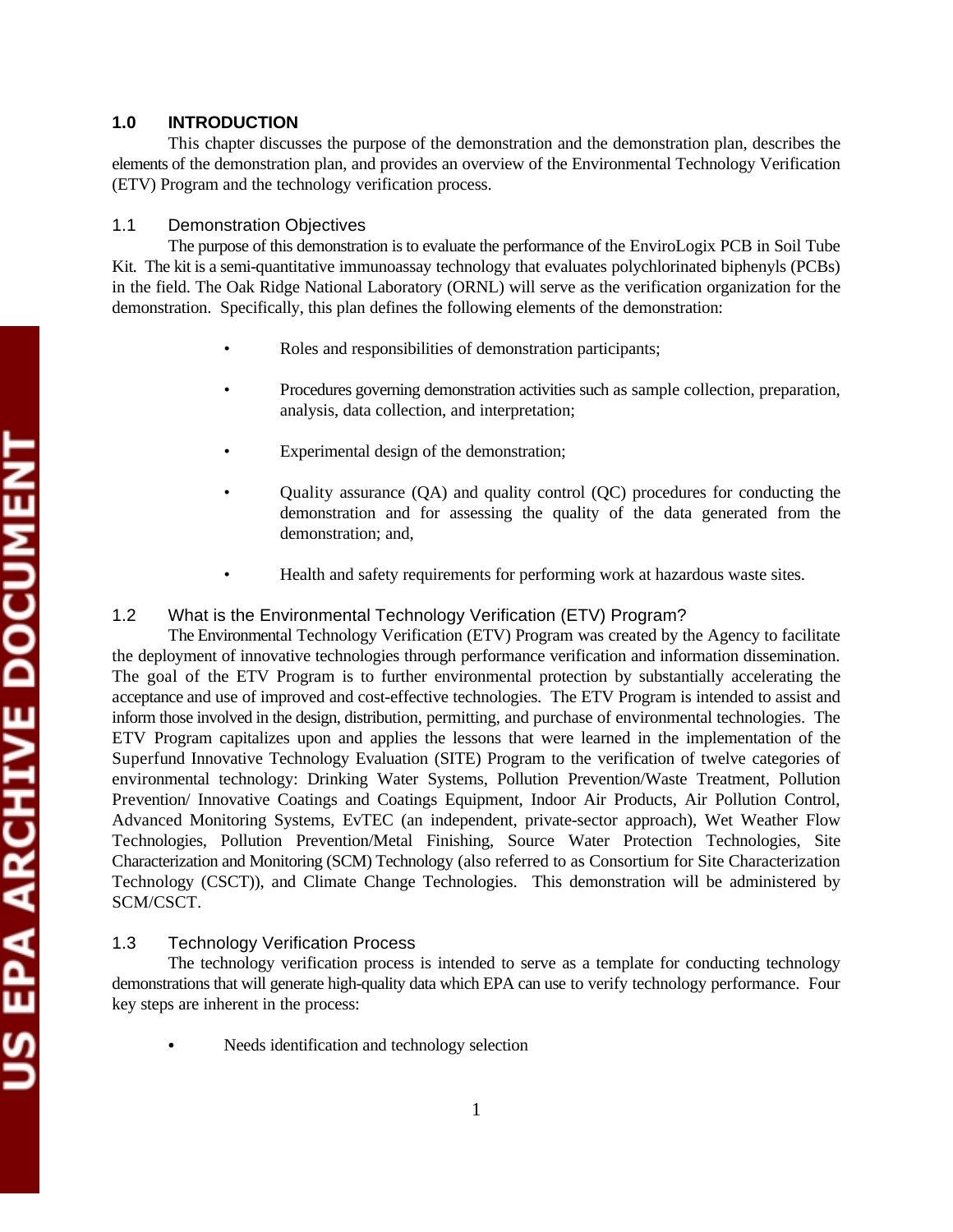# **1.0 INTRODUCTION**

This chapter discusses the purpose of the demonstration and the demonstration plan, describes the elements of the demonstration plan, and provides an overview of the Environmental Technology Verification (ETV) Program and the technology verification process.

# 1.1 Demonstration Objectives

The purpose of this demonstration is to evaluate the performance of the EnviroLogix PCB in Soil Tube Kit. The kit is a semi-quantitative immunoassay technology that evaluates polychlorinated biphenyls (PCBs) in the field. The Oak Ridge National Laboratory (ORNL) will serve as the verification organization for the demonstration. Specifically, this plan defines the following elements of the demonstration:

- Roles and responsibilities of demonstration participants;
- Procedures governing demonstration activities such as sample collection, preparation, analysis, data collection, and interpretation;
- Experimental design of the demonstration;
- Quality assurance (QA) and quality control (QC) procedures for conducting the demonstration and for assessing the quality of the data generated from the demonstration; and,
- Health and safety requirements for performing work at hazardous waste sites.

# 1.2 What is the Environmental Technology Verification (ETV) Program?

The Environmental Technology Verification (ETV) Program was created by the Agency to facilitate the deployment of innovative technologies through performance verification and information dissemination. The goal of the ETV Program is to further environmental protection by substantially accelerating the acceptance and use of improved and cost-effective technologies. The ETV Program is intended to assist and inform those involved in the design, distribution, permitting, and purchase of environmental technologies. The ETV Program capitalizes upon and applies the lessons that were learned in the implementation of the Superfund Innovative Technology Evaluation (SITE) Program to the verification of twelve categories of environmental technology: Drinking Water Systems, Pollution Prevention/Waste Treatment, Pollution Prevention/ Innovative Coatings and Coatings Equipment, Indoor Air Products, Air Pollution Control, Advanced Monitoring Systems, EvTEC (an independent, private-sector approach), Wet Weather Flow Technologies, Pollution Prevention/Metal Finishing, Source Water Protection Technologies, Site Characterization and Monitoring (SCM) Technology (also referred to as Consortium for Site Characterization Technology (CSCT)), and Climate Change Technologies. This demonstration will be administered by SCM/CSCT.

# 1.3 Technology Verification Process

The technology verification process is intended to serve as a template for conducting technology demonstrations that will generate high-quality data which EPA can use to verify technology performance. Four key steps are inherent in the process:

Needs identification and technology selection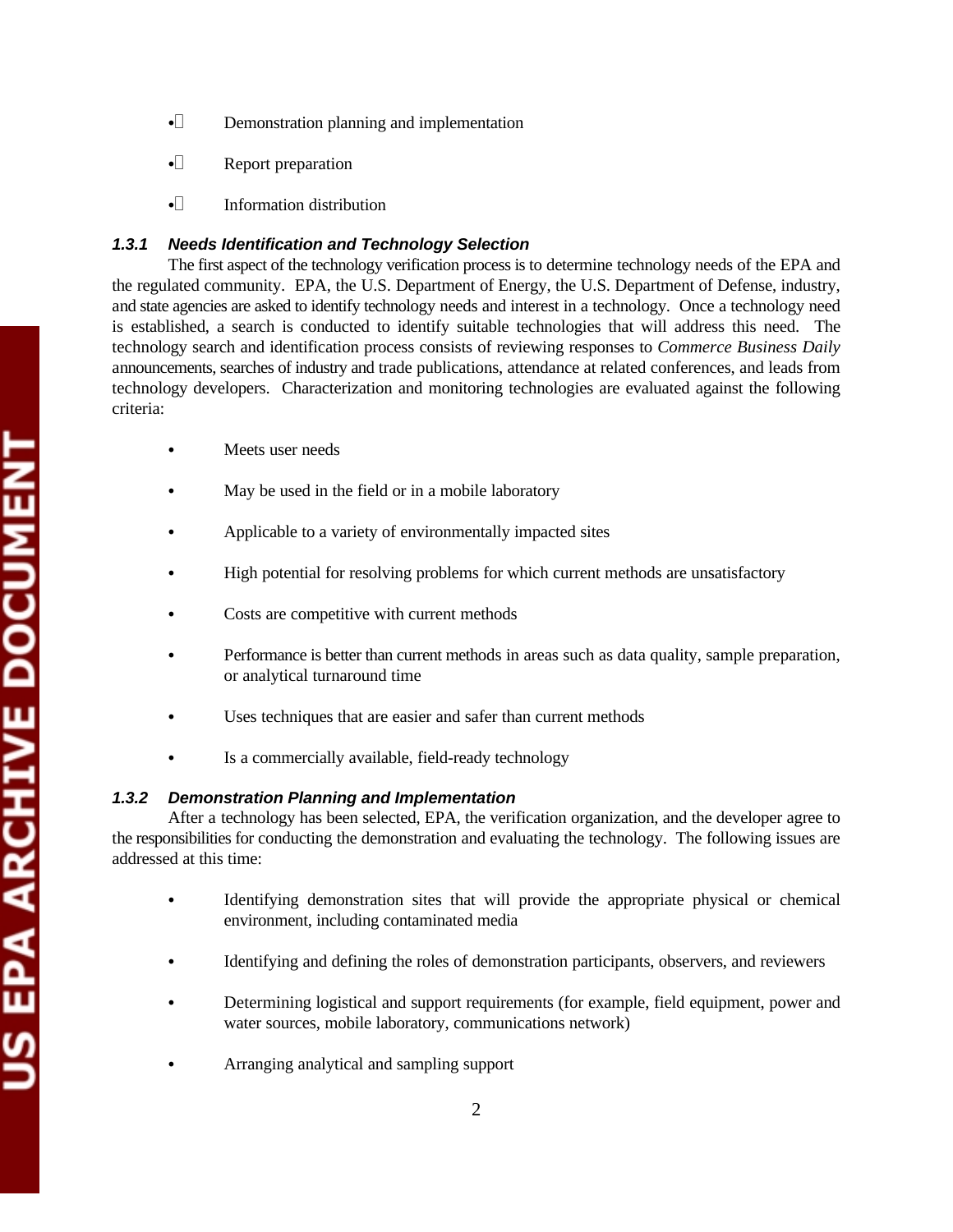- $\bullet$  Demonstration planning and implementation
- $\bullet$  Report preparation
- $\cdot$  Information distribution

# *1.3.1 Needs Identification and Technology Selection*

The first aspect of the technology verification process is to determine technology needs of the EPA and the regulated community. EPA, the U.S. Department of Energy, the U.S. Department of Defense, industry, and state agencies are asked to identify technology needs and interest in a technology. Once a technology need is established, a search is conducted to identify suitable technologies that will address this need. The technology search and identification process consists of reviewing responses to *Commerce Business Daily*  announcements, searches of industry and trade publications, attendance at related conferences, and leads from technology developers. Characterization and monitoring technologies are evaluated against the following criteria:

- Meets user needs
- May be used in the field or in a mobile laboratory
- Applicable to a variety of environmentally impacted sites
- High potential for resolving problems for which current methods are unsatisfactory
- Costs are competitive with current methods
- Performance is better than current methods in areas such as data quality, sample preparation, or analytical turnaround time
- Uses techniques that are easier and safer than current methods
- Is a commercially available, field-ready technology

# *1.3.2 Demonstration Planning and Implementation*

After a technology has been selected, EPA, the verification organization, and the developer agree to the responsibilities for conducting the demonstration and evaluating the technology. The following issues are addressed at this time:

- Identifying demonstration sites that will provide the appropriate physical or chemical environment, including contaminated media
- C Identifying and defining the roles of demonstration participants, observers, and reviewers
- Determining logistical and support requirements (for example, field equipment, power and water sources, mobile laboratory, communications network)
- Arranging analytical and sampling support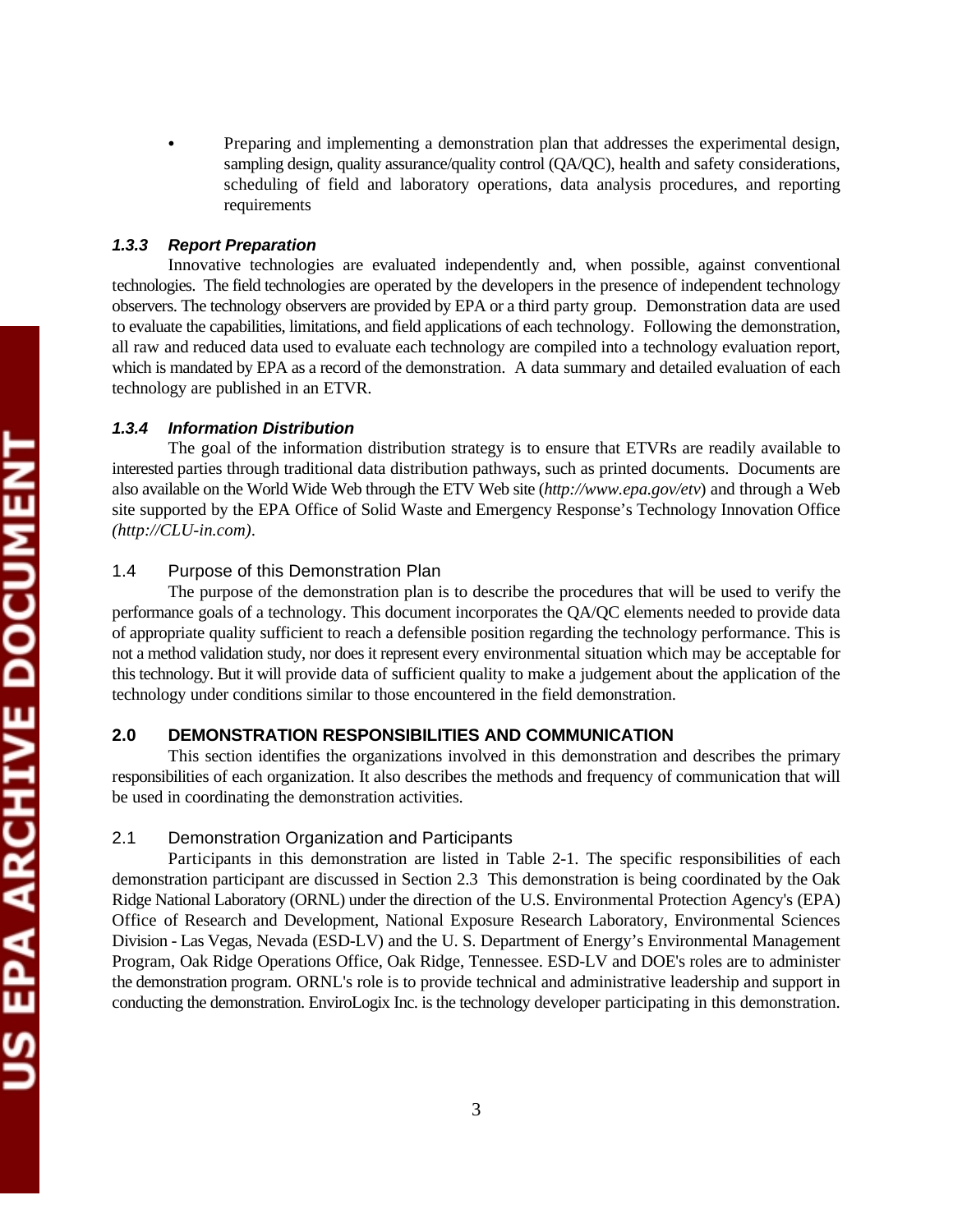Preparing and implementing a demonstration plan that addresses the experimental design, sampling design, quality assurance/quality control (OA/OC), health and safety considerations, scheduling of field and laboratory operations, data analysis procedures, and reporting requirements

# *1.3.3 Report Preparation*

Innovative technologies are evaluated independently and, when possible, against conventional technologies. The field technologies are operated by the developers in the presence of independent technology observers. The technology observers are provided by EPA or a third party group. Demonstration data are used to evaluate the capabilities, limitations, and field applications of each technology. Following the demonstration, all raw and reduced data used to evaluate each technology are compiled into a technology evaluation report, which is mandated by EPA as a record of the demonstration. A data summary and detailed evaluation of each technology are published in an ETVR.

# *1.3.4 Information Distribution*

The goal of the information distribution strategy is to ensure that ETVRs are readily available to interested parties through traditional data distribution pathways, such as printed documents. Documents are also available on the World Wide Web through the ETV Web site (*http://www.epa.gov/etv*) and through a Web site supported by the EPA Office of Solid Waste and Emergency Response's Technology Innovation Office *(http://CLU-in.com)*.

# 1.4 Purpose of this Demonstration Plan

The purpose of the demonstration plan is to describe the procedures that will be used to verify the performance goals of a technology. This document incorporates the QA/QC elements needed to provide data of appropriate quality sufficient to reach a defensible position regarding the technology performance. This is not a method validation study, nor does it represent every environmental situation which may be acceptable for this technology. But it will provide data of sufficient quality to make a judgement about the application of the technology under conditions similar to those encountered in the field demonstration.

# **2.0 DEMONSTRATION RESPONSIBILITIES AND COMMUNICATION**

This section identifies the organizations involved in this demonstration and describes the primary responsibilities of each organization. It also describes the methods and frequency of communication that will be used in coordinating the demonstration activities.

# 2.1 Demonstration Organization and Participants

Participants in this demonstration are listed in Table 2-1. The specific responsibilities of each demonstration participant are discussed in Section 2.3 This demonstration is being coordinated by the Oak Ridge National Laboratory (ORNL) under the direction of the U.S. Environmental Protection Agency's (EPA) Office of Research and Development, National Exposure Research Laboratory, Environmental Sciences Division - Las Vegas, Nevada (ESD-LV) and the U. S. Department of Energy's Environmental Management Program, Oak Ridge Operations Office, Oak Ridge, Tennessee. ESD-LV and DOE's roles are to administer the demonstration program. ORNL's role is to provide technical and administrative leadership and support in conducting the demonstration. EnviroLogix Inc. is the technology developer participating in this demonstration.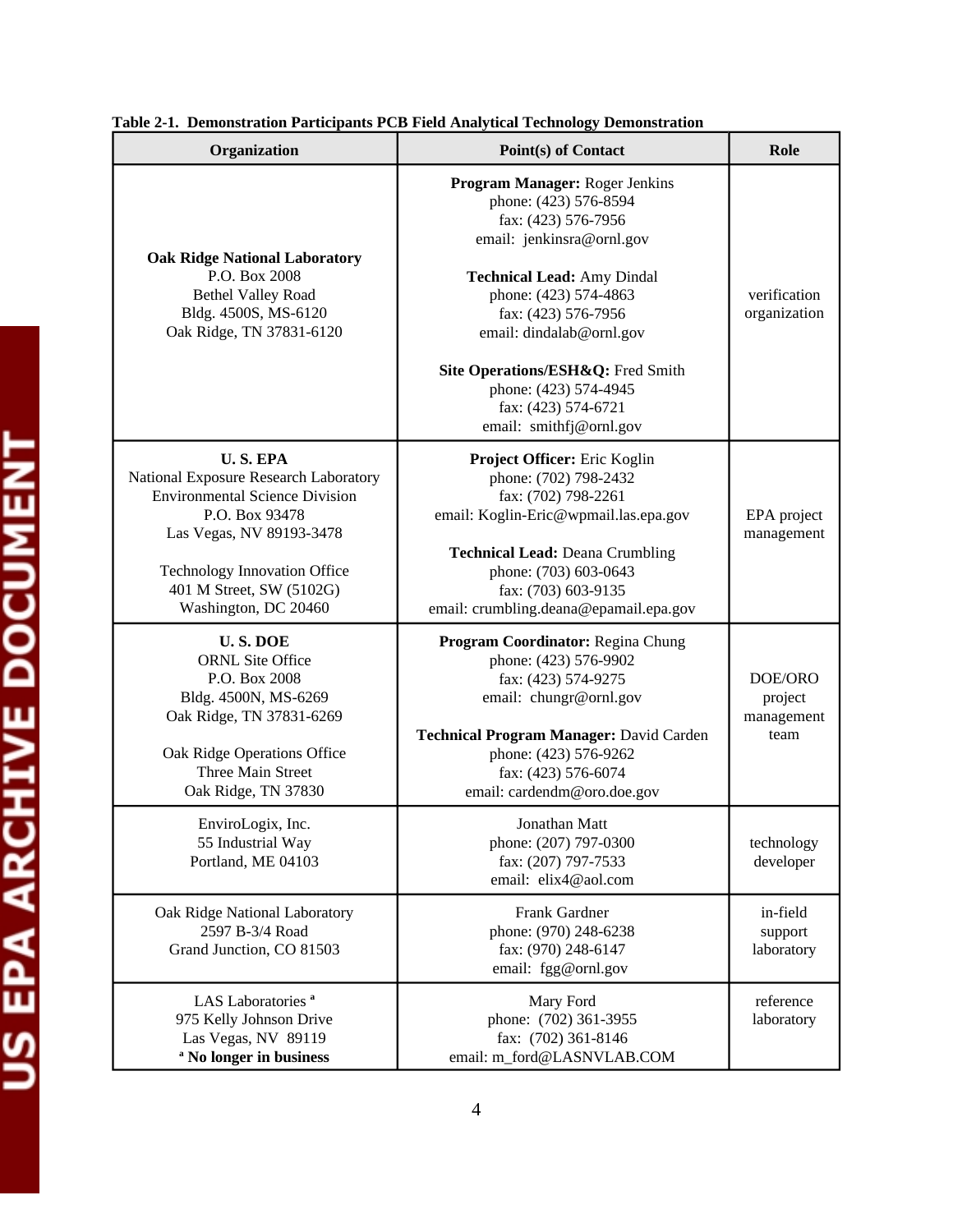| Organization                                                                                                                                                                                                                               | Point(s) of Contact                                                                                                                                                                                                                                                                                                                          | Role                                     |
|--------------------------------------------------------------------------------------------------------------------------------------------------------------------------------------------------------------------------------------------|----------------------------------------------------------------------------------------------------------------------------------------------------------------------------------------------------------------------------------------------------------------------------------------------------------------------------------------------|------------------------------------------|
| <b>Oak Ridge National Laboratory</b><br>P.O. Box 2008<br><b>Bethel Valley Road</b><br>Bldg. 4500S, MS-6120<br>Oak Ridge, TN 37831-6120                                                                                                     | Program Manager: Roger Jenkins<br>phone: (423) 576-8594<br>fax: (423) 576-7956<br>email: jenkinsra@ornl.gov<br><b>Technical Lead: Amy Dindal</b><br>phone: (423) 574-4863<br>fax: (423) 576-7956<br>email: dindalab@ornl.gov<br>Site Operations/ESH&Q: Fred Smith<br>phone: (423) 574-4945<br>fax: (423) 574-6721<br>email: smithfj@ornl.gov | verification<br>organization             |
| <b>U.S. EPA</b><br>National Exposure Research Laboratory<br><b>Environmental Science Division</b><br>P.O. Box 93478<br>Las Vegas, NV 89193-3478<br><b>Technology Innovation Office</b><br>401 M Street, SW (5102G)<br>Washington, DC 20460 | Project Officer: Eric Koglin<br>phone: (702) 798-2432<br>fax: (702) 798-2261<br>email: Koglin-Eric@wpmail.las.epa.gov<br><b>Technical Lead: Deana Crumbling</b><br>phone: (703) 603-0643<br>fax: (703) 603-9135<br>email: crumbling.deana@epamail.epa.gov                                                                                    | EPA project<br>management                |
| <b>U.S. DOE</b><br><b>ORNL Site Office</b><br>P.O. Box 2008<br>Bldg. 4500N, MS-6269<br>Oak Ridge, TN 37831-6269<br>Oak Ridge Operations Office<br>Three Main Street<br>Oak Ridge, TN 37830                                                 | Program Coordinator: Regina Chung<br>phone: (423) 576-9902<br>fax: (423) 574-9275<br>email: chungr@ornl.gov<br>Technical Program Manager: David Carden<br>phone: (423) 576-9262<br>fax: (423) 576-6074<br>email: cardendm@oro.doe.gov                                                                                                        | DOE/ORO<br>project<br>management<br>team |
| EnviroLogix, Inc.<br>55 Industrial Way<br>Portland, ME 04103                                                                                                                                                                               | Jonathan Matt<br>phone: (207) 797-0300<br>fax: (207) 797-7533<br>email: elix4@aol.com                                                                                                                                                                                                                                                        | technology<br>developer                  |
| Oak Ridge National Laboratory<br>2597 B-3/4 Road<br>Grand Junction, CO 81503                                                                                                                                                               | Frank Gardner<br>phone: (970) 248-6238<br>fax: (970) 248-6147<br>email: fgg@ornl.gov                                                                                                                                                                                                                                                         | in-field<br>support<br>laboratory        |
| LAS Laboratories <sup>a</sup><br>975 Kelly Johnson Drive<br>Las Vegas, NV 89119<br><sup>a</sup> No longer in business                                                                                                                      | Mary Ford<br>phone: (702) 361-3955<br>fax: (702) 361-8146<br>email: m_ford@LASNVLAB.COM                                                                                                                                                                                                                                                      | reference<br>laboratory                  |

# **Table 2-1. Demonstration Participants PCB Field Analytical Technology Demonstration**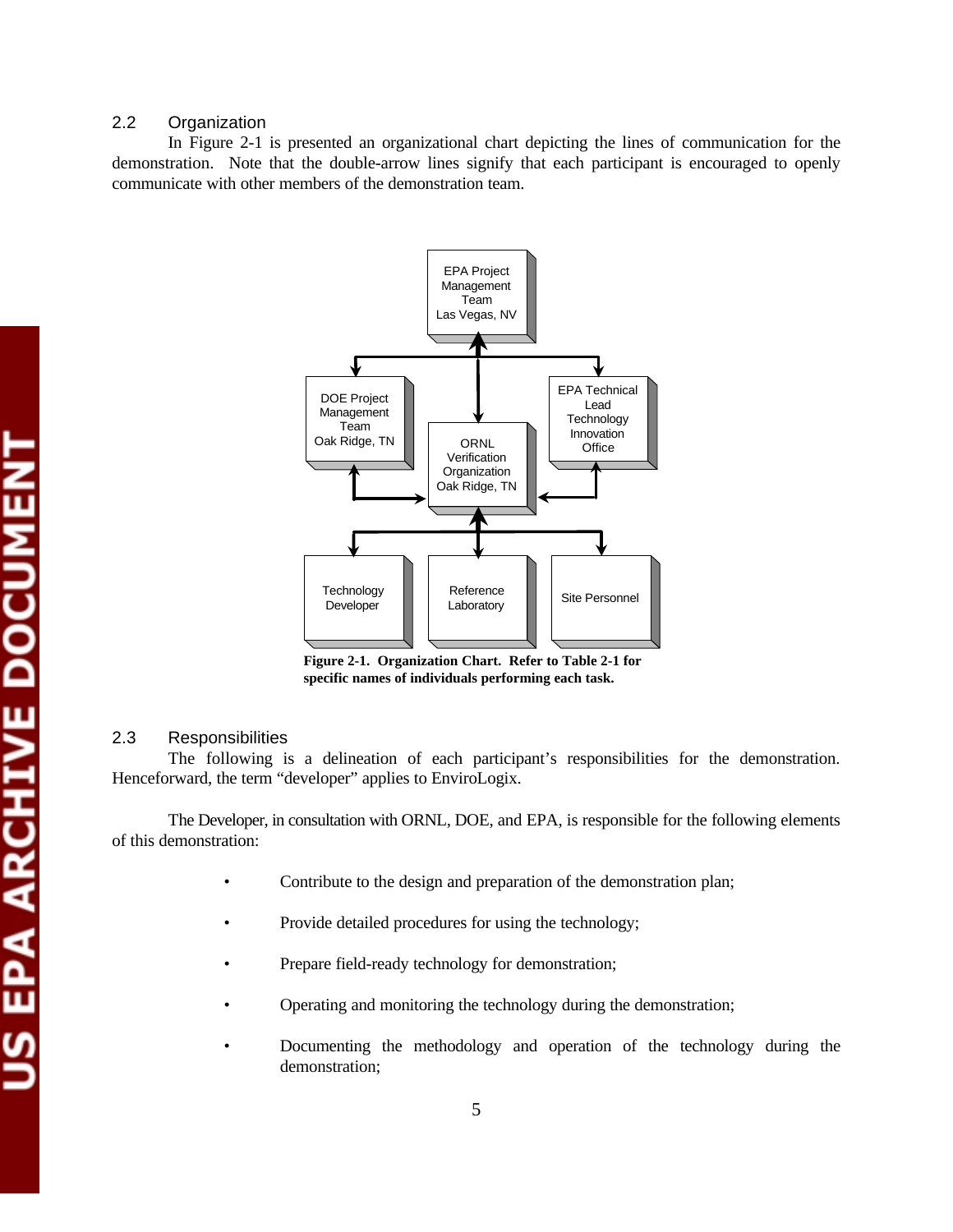# 2.2 Organization

In Figure 2-1 is presented an organizational chart depicting the lines of communication for the demonstration. Note that the double-arrow lines signify that each participant is encouraged to openly communicate with other members of the demonstration team.



**Figure 2-1. Organization Chart. Refer to Table 2-1 for specific names of individuals performing each task.** 

# 2.3 Responsibilities

The following is a delineation of each participant's responsibilities for the demonstration. Henceforward, the term "developer" applies to EnviroLogix.

The Developer, in consultation with ORNL, DOE, and EPA, is responsible for the following elements of this demonstration:

- Contribute to the design and preparation of the demonstration plan;
- Provide detailed procedures for using the technology;
- Prepare field-ready technology for demonstration;
- Operating and monitoring the technology during the demonstration;
- Documenting the methodology and operation of the technology during the demonstration;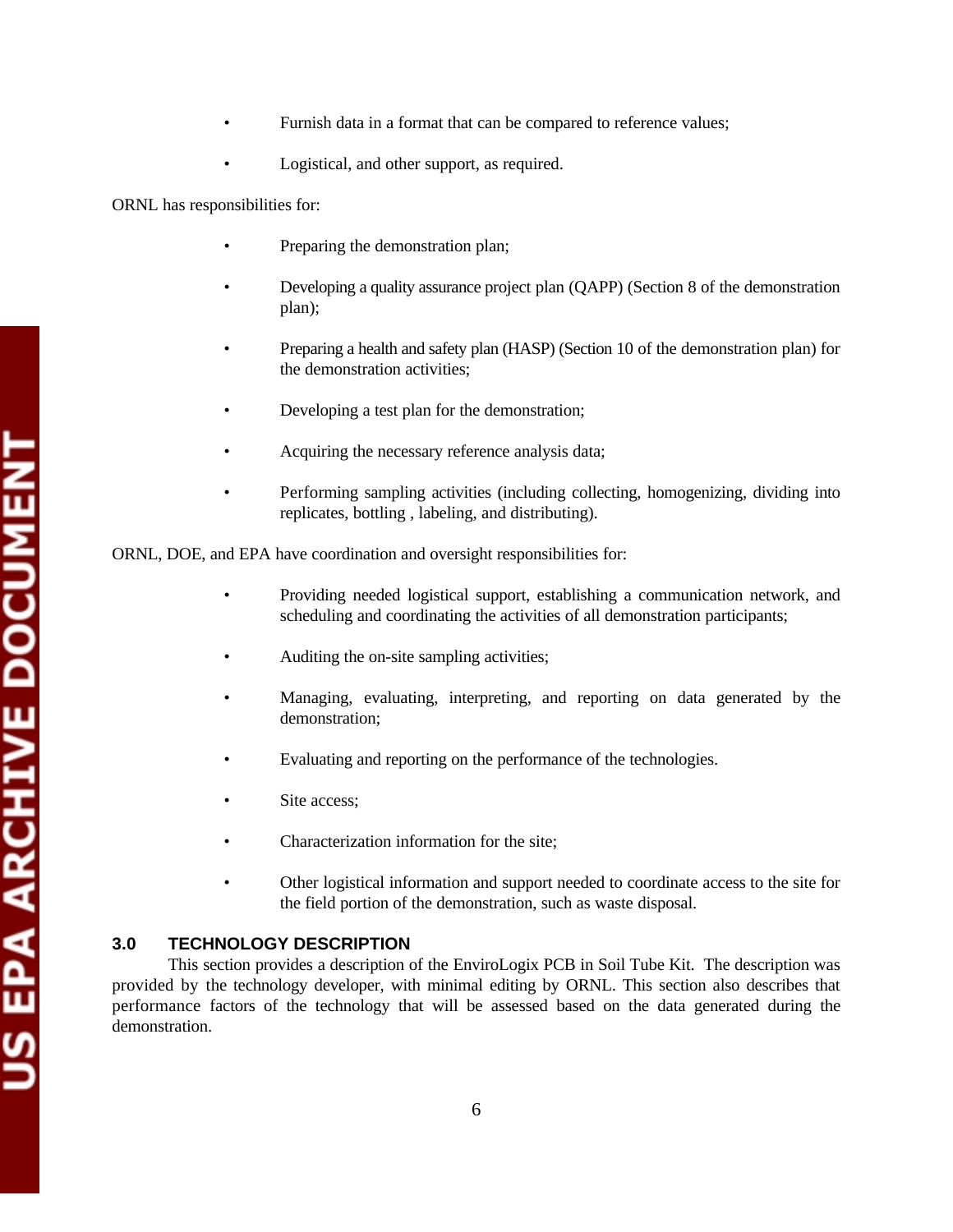- Furnish data in a format that can be compared to reference values;
- Logistical, and other support, as required.

ORNL has responsibilities for:

- Preparing the demonstration plan;
- Developing a quality assurance project plan (QAPP) (Section 8 of the demonstration plan);
- Preparing a health and safety plan (HASP) (Section 10 of the demonstration plan) for the demonstration activities;
- Developing a test plan for the demonstration;
- Acquiring the necessary reference analysis data;
- Performing sampling activities (including collecting, homogenizing, dividing into replicates, bottling , labeling, and distributing).

ORNL, DOE, and EPA have coordination and oversight responsibilities for:

- Providing needed logistical support, establishing a communication network, and scheduling and coordinating the activities of all demonstration participants;
- Auditing the on-site sampling activities;
- Managing, evaluating, interpreting, and reporting on data generated by the demonstration;
- Evaluating and reporting on the performance of the technologies.
- Site access:
- Characterization information for the site;
- Other logistical information and support needed to coordinate access to the site for the field portion of the demonstration, such as waste disposal.

# **3.0 TECHNOLOGY DESCRIPTION**

This section provides a description of the EnviroLogix PCB in Soil Tube Kit. The description was provided by the technology developer, with minimal editing by ORNL. This section also describes that performance factors of the technology that will be assessed based on the data generated during the demonstration.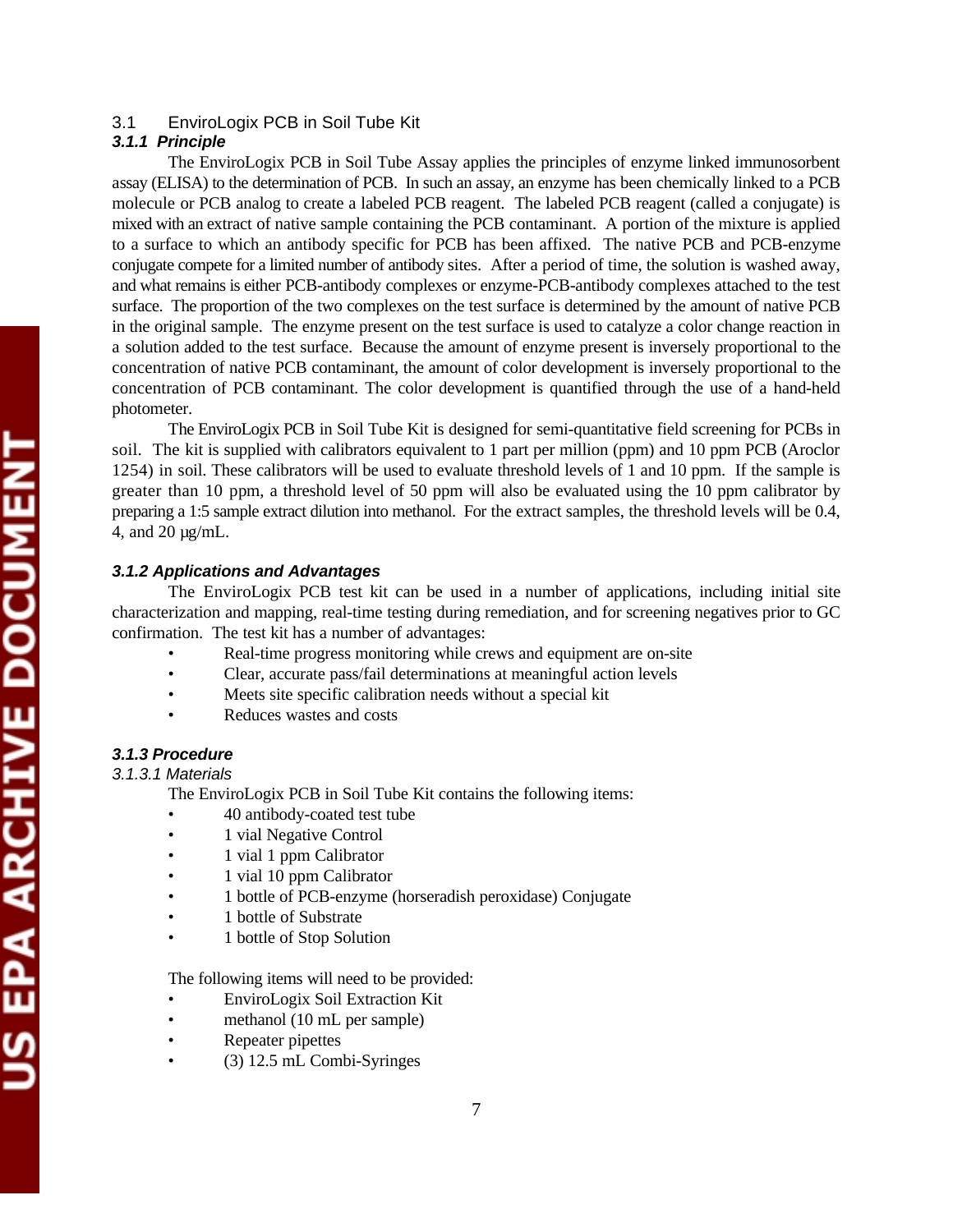# 3.1 EnviroLogix PCB in Soil Tube Kit

# *3.1.1 Principle*

The EnviroLogix PCB in Soil Tube Assay applies the principles of enzyme linked immunosorbent assay (ELISA) to the determination of PCB. In such an assay, an enzyme has been chemically linked to a PCB molecule or PCB analog to create a labeled PCB reagent. The labeled PCB reagent (called a conjugate) is mixed with an extract of native sample containing the PCB contaminant. A portion of the mixture is applied to a surface to which an antibody specific for PCB has been affixed. The native PCB and PCB-enzyme conjugate compete for a limited number of antibody sites. After a period of time, the solution is washed away, and what remains is either PCB-antibody complexes or enzyme-PCB-antibody complexes attached to the test surface. The proportion of the two complexes on the test surface is determined by the amount of native PCB in the original sample. The enzyme present on the test surface is used to catalyze a color change reaction in a solution added to the test surface. Because the amount of enzyme present is inversely proportional to the concentration of native PCB contaminant, the amount of color development is inversely proportional to the concentration of PCB contaminant. The color development is quantified through the use of a hand-held photometer.

The EnviroLogix PCB in Soil Tube Kit is designed for semi-quantitative field screening for PCBs in soil. The kit is supplied with calibrators equivalent to 1 part per million (ppm) and 10 ppm PCB (Aroclor 1254) in soil. These calibrators will be used to evaluate threshold levels of 1 and 10 ppm. If the sample is greater than 10 ppm, a threshold level of 50 ppm will also be evaluated using the 10 ppm calibrator by preparing a 1:5 sample extract dilution into methanol. For the extract samples, the threshold levels will be 0.4, 4, and 20 µg/mL.

## *3.1.2 Applications and Advantages*

The EnviroLogix PCB test kit can be used in a number of applications, including initial site characterization and mapping, real-time testing during remediation, and for screening negatives prior to GC confirmation. The test kit has a number of advantages:

- Real-time progress monitoring while crews and equipment are on-site
- Clear, accurate pass/fail determinations at meaningful action levels
- Meets site specific calibration needs without a special kit
- Reduces wastes and costs

# *3.1.3 Procedure*

# *3.1.3.1 Materials*

The EnviroLogix PCB in Soil Tube Kit contains the following items:

- 40 antibody-coated test tube
- 1 vial Negative Control
- 1 vial 1 ppm Calibrator
- 1 vial 10 ppm Calibrator
- 1 bottle of PCB-enzyme (horseradish peroxidase) Conjugate
- 1 bottle of Substrate
- 1 bottle of Stop Solution

The following items will need to be provided:

- EnviroLogix Soil Extraction Kit
- methanol (10 mL per sample)
- Repeater pipettes
- (3) 12.5 mL Combi-Syringes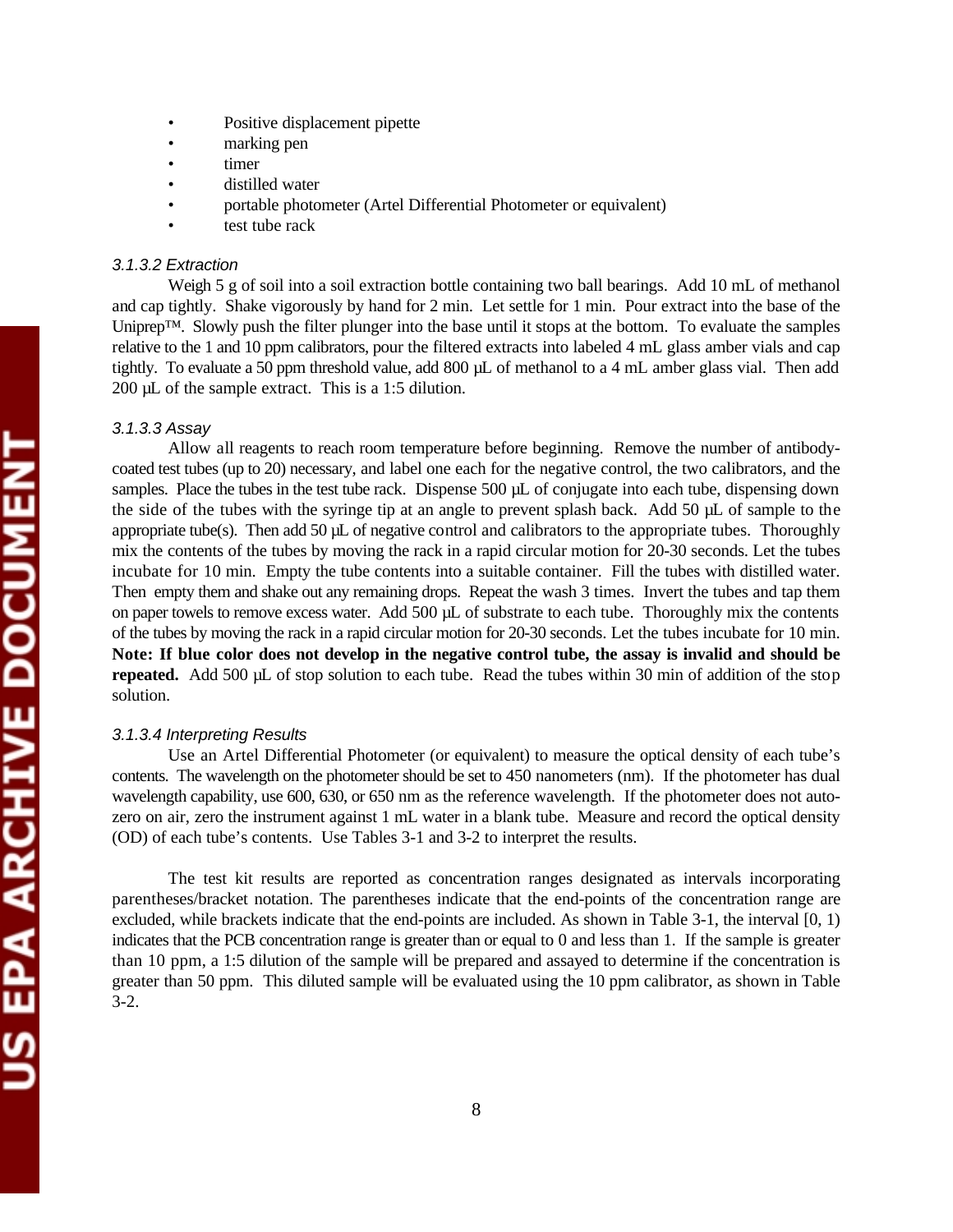- Positive displacement pipette
- marking pen
- timer
- distilled water
- portable photometer (Artel Differential Photometer or equivalent)
- test tube rack

# *3.1.3.2 Extraction*

Weigh 5 g of soil into a soil extraction bottle containing two ball bearings. Add 10 mL of methanol and cap tightly. Shake vigorously by hand for 2 min. Let settle for 1 min. Pour extract into the base of the Uniprep™. Slowly push the filter plunger into the base until it stops at the bottom. To evaluate the samples relative to the 1 and 10 ppm calibrators, pour the filtered extracts into labeled 4 mL glass amber vials and cap tightly. To evaluate a 50 ppm threshold value, add 800 µL of methanol to a 4 mL amber glass vial. Then add 200 µL of the sample extract. This is a 1:5 dilution.

# *3.1.3.3 Assay*

Allow all reagents to reach room temperature before beginning. Remove the number of antibodycoated test tubes (up to 20) necessary, and label one each for the negative control, the two calibrators, and the samples. Place the tubes in the test tube rack. Dispense 500 µL of conjugate into each tube, dispensing down the side of the tubes with the syringe tip at an angle to prevent splash back. Add 50 µL of sample to the appropriate tube(s). Then add 50  $\mu$ L of negative control and calibrators to the appropriate tubes. Thoroughly mix the contents of the tubes by moving the rack in a rapid circular motion for 20-30 seconds. Let the tubes incubate for 10 min. Empty the tube contents into a suitable container. Fill the tubes with distilled water. Then empty them and shake out any remaining drops. Repeat the wash 3 times. Invert the tubes and tap them on paper towels to remove excess water. Add 500 µL of substrate to each tube. Thoroughly mix the contents of the tubes by moving the rack in a rapid circular motion for 20-30 seconds. Let the tubes incubate for 10 min. **Note: If blue color does not develop in the negative control tube, the assay is invalid and should be repeated.** Add 500 µL of stop solution to each tube. Read the tubes within 30 min of addition of the stop solution.

# *3.1.3.4 Interpreting Results*

Use an Artel Differential Photometer (or equivalent) to measure the optical density of each tube's contents. The wavelength on the photometer should be set to 450 nanometers (nm). If the photometer has dual wavelength capability, use 600, 630, or 650 nm as the reference wavelength. If the photometer does not autozero on air, zero the instrument against 1 mL water in a blank tube. Measure and record the optical density (OD) of each tube's contents. Use Tables 3-1 and 3-2 to interpret the results.

The test kit results are reported as concentration ranges designated as intervals incorporating parentheses/bracket notation. The parentheses indicate that the end-points of the concentration range are excluded, while brackets indicate that the end-points are included. As shown in Table 3-1, the interval [0, 1) indicates that the PCB concentration range is greater than or equal to 0 and less than 1. If the sample is greater than 10 ppm, a 1:5 dilution of the sample will be prepared and assayed to determine if the concentration is greater than 50 ppm. This diluted sample will be evaluated using the 10 ppm calibrator, as shown in Table 3-2.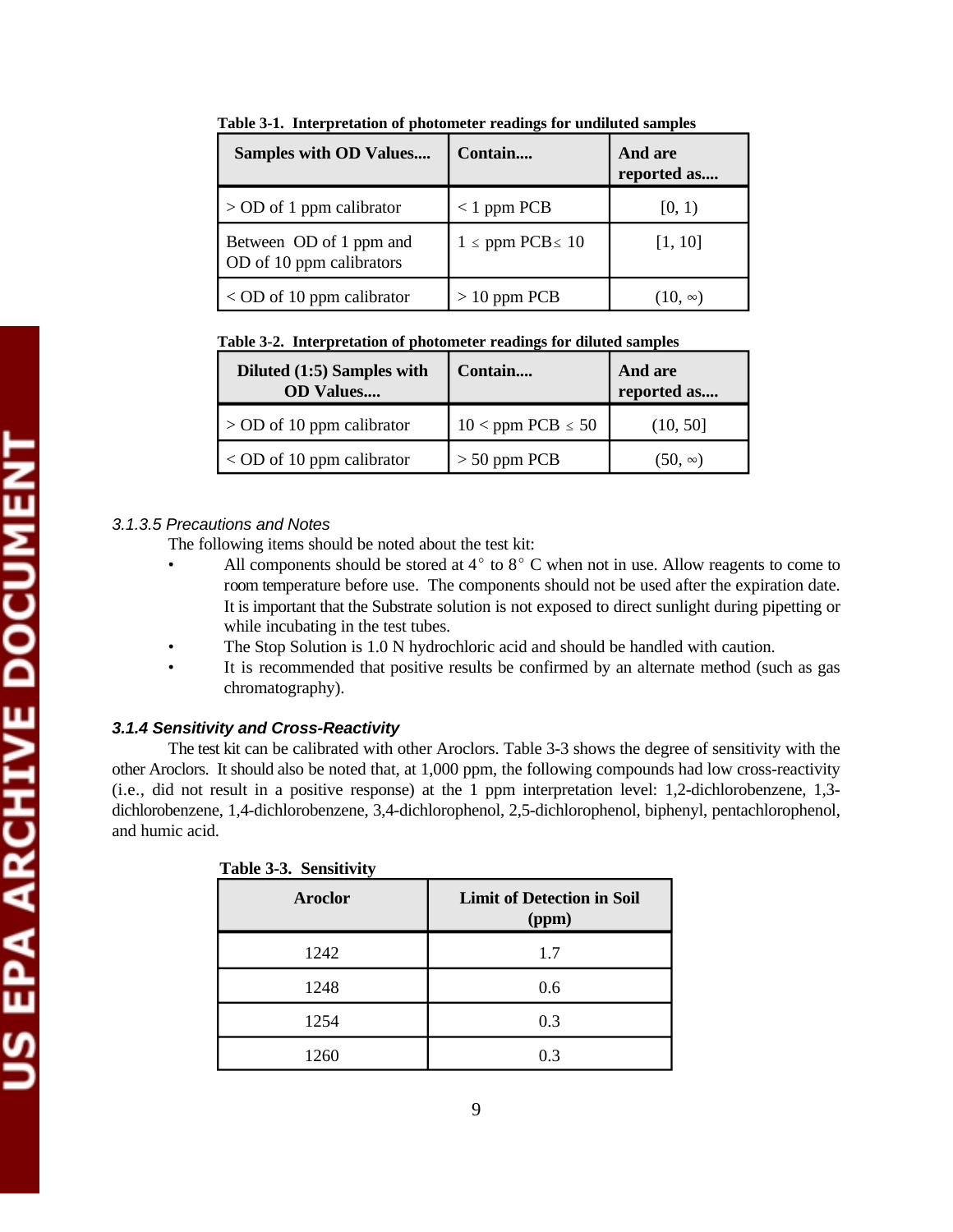| <b>Samples with OD Values</b>                       | Contain                  | And are<br>reported as |
|-----------------------------------------------------|--------------------------|------------------------|
| $>$ OD of 1 ppm calibrator                          | $<$ 1 ppm PCB            | [0, 1)                 |
| Between OD of 1 ppm and<br>OD of 10 ppm calibrators | $1 \le ppm$ PCB $\le 10$ | [1, 10]                |
| $<$ OD of 10 ppm calibrator                         | $> 10$ ppm PCB           | $(10, \infty)$         |

**Table 3-1. Interpretation of photometer readings for undiluted samples** 

| Table 3-2. Interpretation of photometer readings for diluted samples |  |  |  |
|----------------------------------------------------------------------|--|--|--|
|                                                                      |  |  |  |

| Diluted (1:5) Samples with<br><b>OD</b> Values | Contain                  | And are<br>reported as |
|------------------------------------------------|--------------------------|------------------------|
| $>$ OD of 10 ppm calibrator                    | $10$ < ppm PCB $\leq 50$ | (10, 50]               |
| $<$ OD of 10 ppm calibrator                    | $> 50$ ppm PCB           | $(50, \infty)$         |

# *3.1.3.5 Precautions and Notes*

The following items should be noted about the test kit:

- All components should be stored at  $4^{\circ}$  to  $8^{\circ}$  C when not in use. Allow reagents to come to room temperature before use. The components should not be used after the expiration date. It is important that the Substrate solution is not exposed to direct sunlight during pipetting or while incubating in the test tubes.
- The Stop Solution is 1.0 N hydrochloric acid and should be handled with caution.
- It is recommended that positive results be confirmed by an alternate method (such as gas chromatography).

# *3.1.4 Sensitivity and Cross-Reactivity*

The test kit can be calibrated with other Aroclors. Table 3-3 shows the degree of sensitivity with the other Aroclors. It should also be noted that, at 1,000 ppm, the following compounds had low cross-reactivity (i.e., did not result in a positive response) at the 1 ppm interpretation level: 1,2-dichlorobenzene, 1,3 dichlorobenzene, 1,4-dichlorobenzene, 3,4-dichlorophenol, 2,5-dichlorophenol, biphenyl, pentachlorophenol, and humic acid.

| Aroclor | <b>Limit of Detection in Soil</b><br>(ppm) |
|---------|--------------------------------------------|
| 1242    | 1.7                                        |
| 1248    | 0.6                                        |
| 1254    | 0.3                                        |
| 1260    | 0.3                                        |

|--|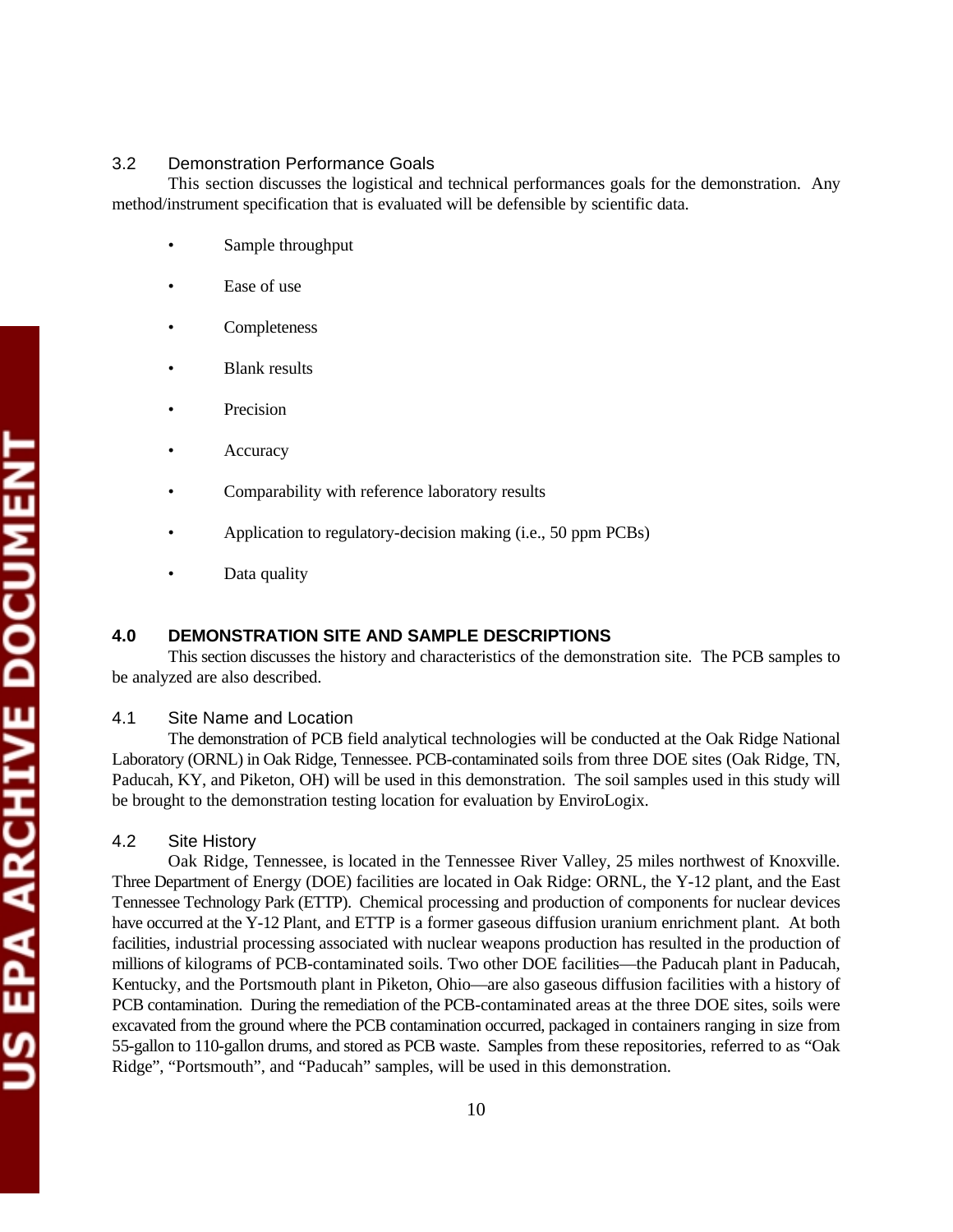# 3.2 Demonstration Performance Goals

This section discusses the logistical and technical performances goals for the demonstration. Any method/instrument specification that is evaluated will be defensible by scientific data.

- Sample throughput
- Ease of use
- **Completeness**
- **Blank results**
- **Precision**
- **Accuracy**
- Comparability with reference laboratory results
- Application to regulatory-decision making (i.e., 50 ppm PCBs)
- Data quality

# **4.0 DEMONSTRATION SITE AND SAMPLE DESCRIPTIONS**

This section discusses the history and characteristics of the demonstration site. The PCB samples to be analyzed are also described.

### 4.1 Site Name and Location

The demonstration of PCB field analytical technologies will be conducted at the Oak Ridge National Laboratory (ORNL) in Oak Ridge, Tennessee. PCB-contaminated soils from three DOE sites (Oak Ridge, TN, Paducah, KY, and Piketon, OH) will be used in this demonstration. The soil samples used in this study will be brought to the demonstration testing location for evaluation by EnviroLogix.

### 4.2 Site History

Oak Ridge, Tennessee, is located in the Tennessee River Valley, 25 miles northwest of Knoxville. Three Department of Energy (DOE) facilities are located in Oak Ridge: ORNL, the Y-12 plant, and the East Tennessee Technology Park (ETTP). Chemical processing and production of components for nuclear devices have occurred at the Y-12 Plant, and ETTP is a former gaseous diffusion uranium enrichment plant. At both facilities, industrial processing associated with nuclear weapons production has resulted in the production of millions of kilograms of PCB-contaminated soils. Two other DOE facilities—the Paducah plant in Paducah, Kentucky, and the Portsmouth plant in Piketon, Ohio—are also gaseous diffusion facilities with a history of PCB contamination. During the remediation of the PCB-contaminated areas at the three DOE sites, soils were excavated from the ground where the PCB contamination occurred, packaged in containers ranging in size from 55-gallon to 110-gallon drums, and stored as PCB waste. Samples from these repositories, referred to as "Oak Ridge", "Portsmouth", and "Paducah" samples, will be used in this demonstration.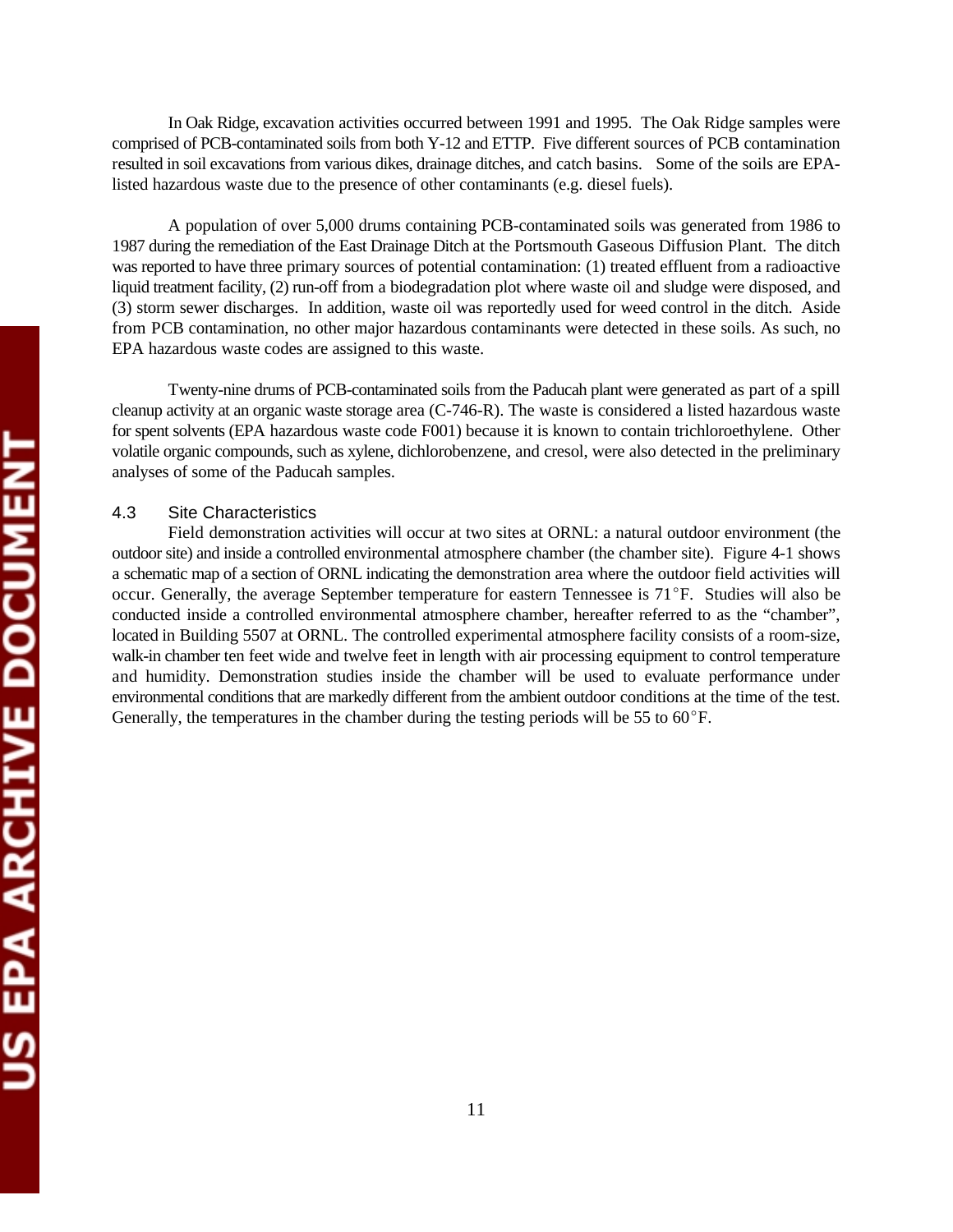In Oak Ridge, excavation activities occurred between 1991 and 1995. The Oak Ridge samples were comprised of PCB-contaminated soils from both Y-12 and ETTP. Five different sources of PCB contamination resulted in soil excavations from various dikes, drainage ditches, and catch basins. Some of the soils are EPAlisted hazardous waste due to the presence of other contaminants (e.g. diesel fuels).

A population of over 5,000 drums containing PCB-contaminated soils was generated from 1986 to 1987 during the remediation of the East Drainage Ditch at the Portsmouth Gaseous Diffusion Plant. The ditch was reported to have three primary sources of potential contamination: (1) treated effluent from a radioactive liquid treatment facility, (2) run-off from a biodegradation plot where waste oil and sludge were disposed, and (3) storm sewer discharges. In addition, waste oil was reportedly used for weed control in the ditch. Aside from PCB contamination, no other major hazardous contaminants were detected in these soils. As such, no EPA hazardous waste codes are assigned to this waste.

Twenty-nine drums of PCB-contaminated soils from the Paducah plant were generated as part of a spill cleanup activity at an organic waste storage area (C-746-R). The waste is considered a listed hazardous waste for spent solvents (EPA hazardous waste code F001) because it is known to contain trichloroethylene. Other volatile organic compounds, such as xylene, dichlorobenzene, and cresol, were also detected in the preliminary analyses of some of the Paducah samples.

# 4.3 Site Characteristics

Field demonstration activities will occur at two sites at ORNL: a natural outdoor environment (the outdoor site) and inside a controlled environmental atmosphere chamber (the chamber site). Figure 4-1 shows a schematic map of a section of ORNL indicating the demonstration area where the outdoor field activities will occur. Generally, the average September temperature for eastern Tennessee is  $71^{\circ}$ F. Studies will also be conducted inside a controlled environmental atmosphere chamber, hereafter referred to as the "chamber", located in Building 5507 at ORNL. The controlled experimental atmosphere facility consists of a room-size, walk-in chamber ten feet wide and twelve feet in length with air processing equipment to control temperature and humidity. Demonstration studies inside the chamber will be used to evaluate performance under environmental conditions that are markedly different from the ambient outdoor conditions at the time of the test. Generally, the temperatures in the chamber during the testing periods will be 55 to  $60^{\circ}$ F.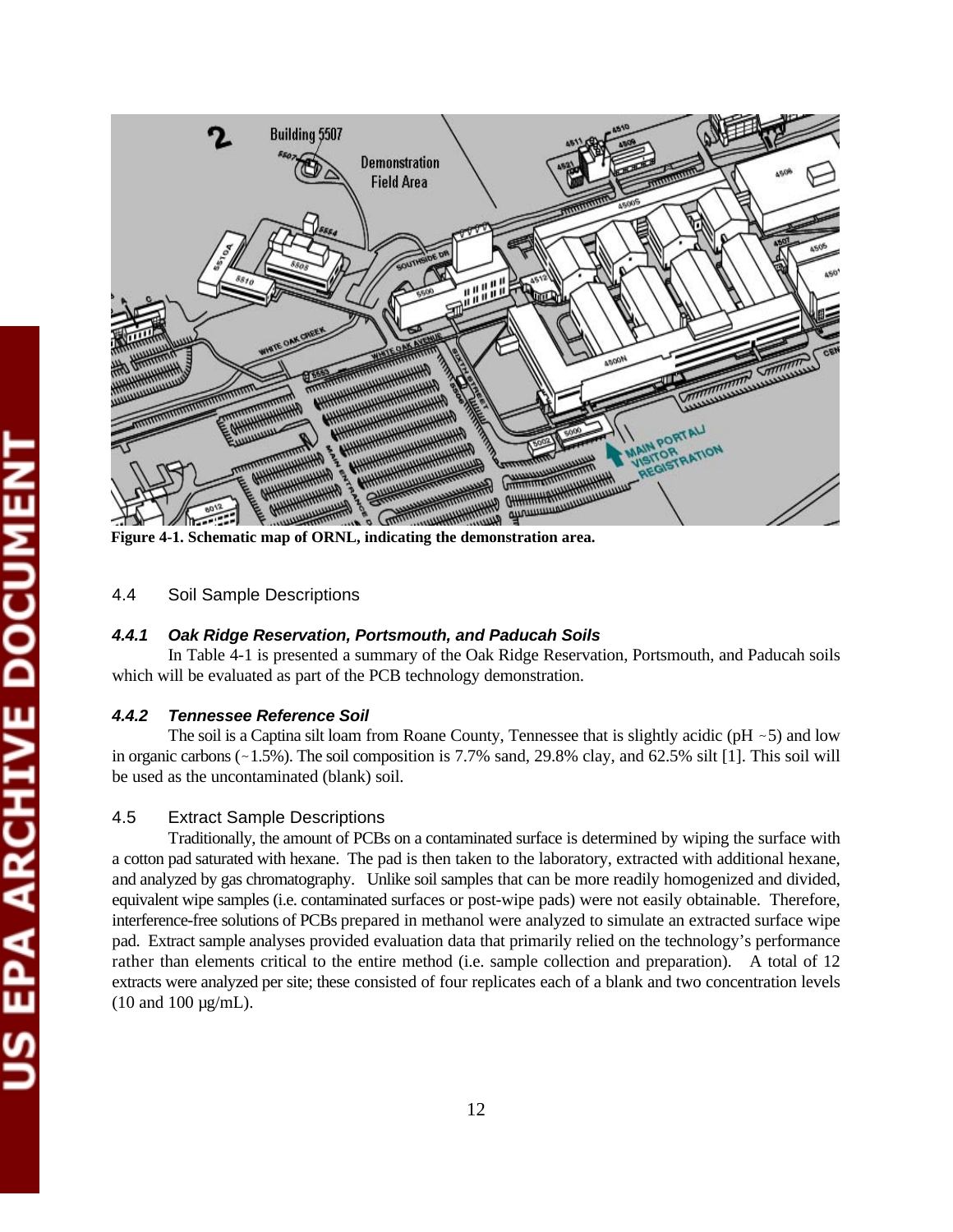

**Figure 4-1. Schematic map of ORNL, indicating the demonstration area.** 

## 4.4 Soil Sample Descriptions

# *4.4.1 Oak Ridge Reservation, Portsmouth, and Paducah Soils*

In Table 4-1 is presented a summary of the Oak Ridge Reservation, Portsmouth, and Paducah soils which will be evaluated as part of the PCB technology demonstration.

#### *4.4.2 Tennessee Reference Soil*

The soil is a Captina silt loam from Roane County, Tennessee that is slightly acidic (pH  $\sim$  5) and low in organic carbons (-1.5%). The soil composition is 7.7% sand, 29.8% clay, and 62.5% silt [1]. This soil will be used as the uncontaminated (blank) soil.

#### 4.5 Extract Sample Descriptions

Traditionally, the amount of PCBs on a contaminated surface is determined by wiping the surface with a cotton pad saturated with hexane. The pad is then taken to the laboratory, extracted with additional hexane, and analyzed by gas chromatography. Unlike soil samples that can be more readily homogenized and divided, equivalent wipe samples (i.e. contaminated surfaces or post-wipe pads) were not easily obtainable. Therefore, interference-free solutions of PCBs prepared in methanol were analyzed to simulate an extracted surface wipe pad. Extract sample analyses provided evaluation data that primarily relied on the technology's performance rather than elements critical to the entire method (i.e. sample collection and preparation). A total of 12 extracts were analyzed per site; these consisted of four replicates each of a blank and two concentration levels (10 and 100 µg/mL).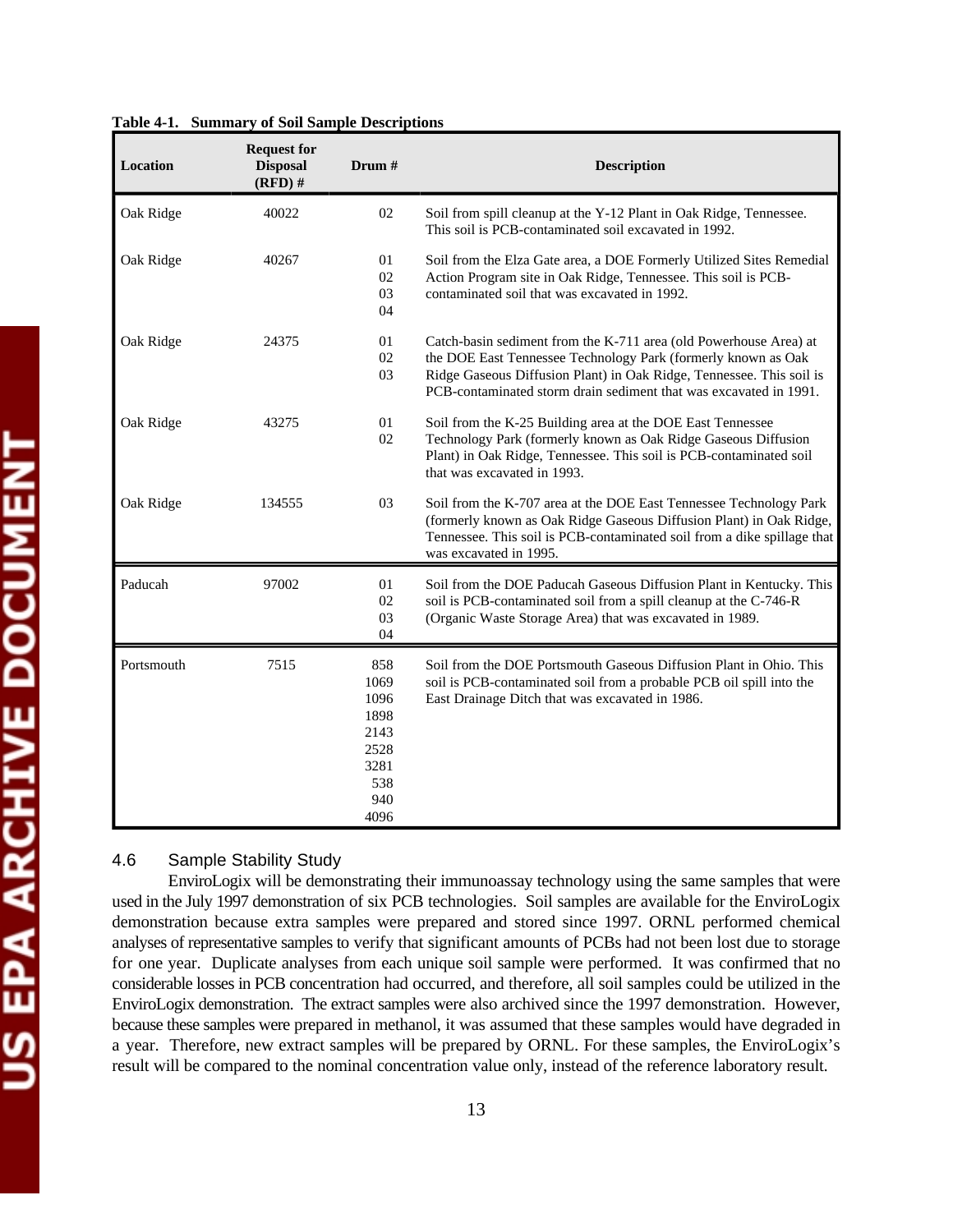| Table 4-1. Summary of Soil Sample Descriptions |  |  |
|------------------------------------------------|--|--|
|                                                |  |  |

| Location   | <b>Request for</b><br><b>Disposal</b><br>$(RFD)$ # | Drum #                                                                    | <b>Description</b>                                                                                                                                                                                                                                                              |
|------------|----------------------------------------------------|---------------------------------------------------------------------------|---------------------------------------------------------------------------------------------------------------------------------------------------------------------------------------------------------------------------------------------------------------------------------|
| Oak Ridge  | 40022                                              | 02                                                                        | Soil from spill cleanup at the Y-12 Plant in Oak Ridge, Tennessee.<br>This soil is PCB-contaminated soil excavated in 1992.                                                                                                                                                     |
| Oak Ridge  | 40267                                              | 01<br>02<br>03<br>04                                                      | Soil from the Elza Gate area, a DOE Formerly Utilized Sites Remedial<br>Action Program site in Oak Ridge, Tennessee. This soil is PCB-<br>contaminated soil that was excavated in 1992.                                                                                         |
| Oak Ridge  | 24375                                              | 01<br>02<br>03                                                            | Catch-basin sediment from the K-711 area (old Powerhouse Area) at<br>the DOE East Tennessee Technology Park (formerly known as Oak<br>Ridge Gaseous Diffusion Plant) in Oak Ridge, Tennessee. This soil is<br>PCB-contaminated storm drain sediment that was excavated in 1991. |
| Oak Ridge  | 43275                                              | 01<br>02                                                                  | Soil from the K-25 Building area at the DOE East Tennessee<br>Technology Park (formerly known as Oak Ridge Gaseous Diffusion<br>Plant) in Oak Ridge, Tennessee. This soil is PCB-contaminated soil<br>that was excavated in 1993.                                               |
| Oak Ridge  | 134555                                             | 03                                                                        | Soil from the K-707 area at the DOE East Tennessee Technology Park<br>(formerly known as Oak Ridge Gaseous Diffusion Plant) in Oak Ridge,<br>Tennessee. This soil is PCB-contaminated soil from a dike spillage that<br>was excavated in 1995.                                  |
| Paducah    | 97002                                              | 01<br>02<br>03<br>04                                                      | Soil from the DOE Paducah Gaseous Diffusion Plant in Kentucky. This<br>soil is PCB-contaminated soil from a spill cleanup at the C-746-R<br>(Organic Waste Storage Area) that was excavated in 1989.                                                                            |
| Portsmouth | 7515                                               | 858<br>1069<br>1096<br>1898<br>2143<br>2528<br>3281<br>538<br>940<br>4096 | Soil from the DOE Portsmouth Gaseous Diffusion Plant in Ohio. This<br>soil is PCB-contaminated soil from a probable PCB oil spill into the<br>East Drainage Ditch that was excavated in 1986.                                                                                   |

## 4.6 Sample Stability Study

EnviroLogix will be demonstrating their immunoassay technology using the same samples that were used in the July 1997 demonstration of six PCB technologies. Soil samples are available for the EnviroLogix demonstration because extra samples were prepared and stored since 1997. ORNL performed chemical analyses of representative samples to verify that significant amounts of PCBs had not been lost due to storage for one year. Duplicate analyses from each unique soil sample were performed. It was confirmed that no considerable losses in PCB concentration had occurred, and therefore, all soil samples could be utilized in the EnviroLogix demonstration. The extract samples were also archived since the 1997 demonstration. However, because these samples were prepared in methanol, it was assumed that these samples would have degraded in a year. Therefore, new extract samples will be prepared by ORNL. For these samples, the EnviroLogix's result will be compared to the nominal concentration value only, instead of the reference laboratory result.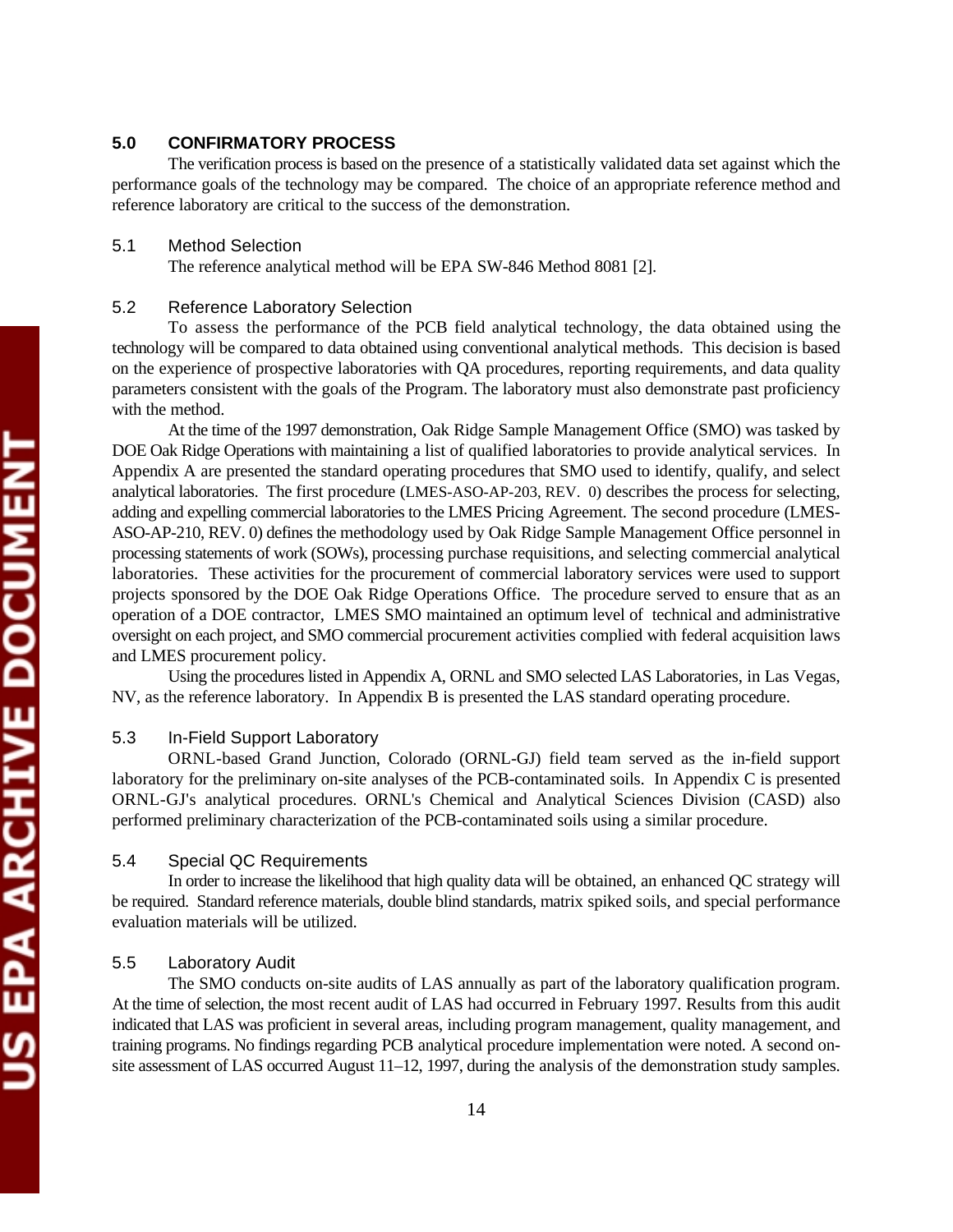# **5.0 CONFIRMATORY PROCESS**

The verification process is based on the presence of a statistically validated data set against which the performance goals of the technology may be compared. The choice of an appropriate reference method and reference laboratory are critical to the success of the demonstration.

# 5.1 Method Selection

The reference analytical method will be EPA SW-846 Method 8081 [2].

### 5.2 Reference Laboratory Selection

To assess the performance of the PCB field analytical technology, the data obtained using the technology will be compared to data obtained using conventional analytical methods. This decision is based on the experience of prospective laboratories with QA procedures, reporting requirements, and data quality parameters consistent with the goals of the Program. The laboratory must also demonstrate past proficiency with the method.

At the time of the 1997 demonstration, Oak Ridge Sample Management Office (SMO) was tasked by DOE Oak Ridge Operations with maintaining a list of qualified laboratories to provide analytical services. In Appendix A are presented the standard operating procedures that SMO used to identify, qualify, and select analytical laboratories. The first procedure (LMES-ASO-AP-203, REV. 0) describes the process for selecting, adding and expelling commercial laboratories to the LMES Pricing Agreement. The second procedure (LMES-ASO-AP-210, REV. 0) defines the methodology used by Oak Ridge Sample Management Office personnel in processing statements of work (SOWs), processing purchase requisitions, and selecting commercial analytical laboratories. These activities for the procurement of commercial laboratory services were used to support projects sponsored by the DOE Oak Ridge Operations Office. The procedure served to ensure that as an operation of a DOE contractor, LMES SMO maintained an optimum level of technical and administrative oversight on each project, and SMO commercial procurement activities complied with federal acquisition laws and LMES procurement policy.

Using the procedures listed in Appendix A, ORNL and SMO selected LAS Laboratories, in Las Vegas, NV, as the reference laboratory. In Appendix B is presented the LAS standard operating procedure.

# 5.3 In-Field Support Laboratory

ORNL-based Grand Junction, Colorado (ORNL-GJ) field team served as the in-field support laboratory for the preliminary on-site analyses of the PCB-contaminated soils. In Appendix C is presented ORNL-GJ's analytical procedures. ORNL's Chemical and Analytical Sciences Division (CASD) also performed preliminary characterization of the PCB-contaminated soils using a similar procedure.

#### 5.4 Special QC Requirements

In order to increase the likelihood that high quality data will be obtained, an enhanced QC strategy will be required. Standard reference materials, double blind standards, matrix spiked soils, and special performance evaluation materials will be utilized.

### 5.5 Laboratory Audit

The SMO conducts on-site audits of LAS annually as part of the laboratory qualification program. At the time of selection, the most recent audit of LAS had occurred in February 1997. Results from this audit indicated that LAS was proficient in several areas, including program management, quality management, and training programs. No findings regarding PCB analytical procedure implementation were noted. A second onsite assessment of LAS occurred August 11–12, 1997, during the analysis of the demonstration study samples.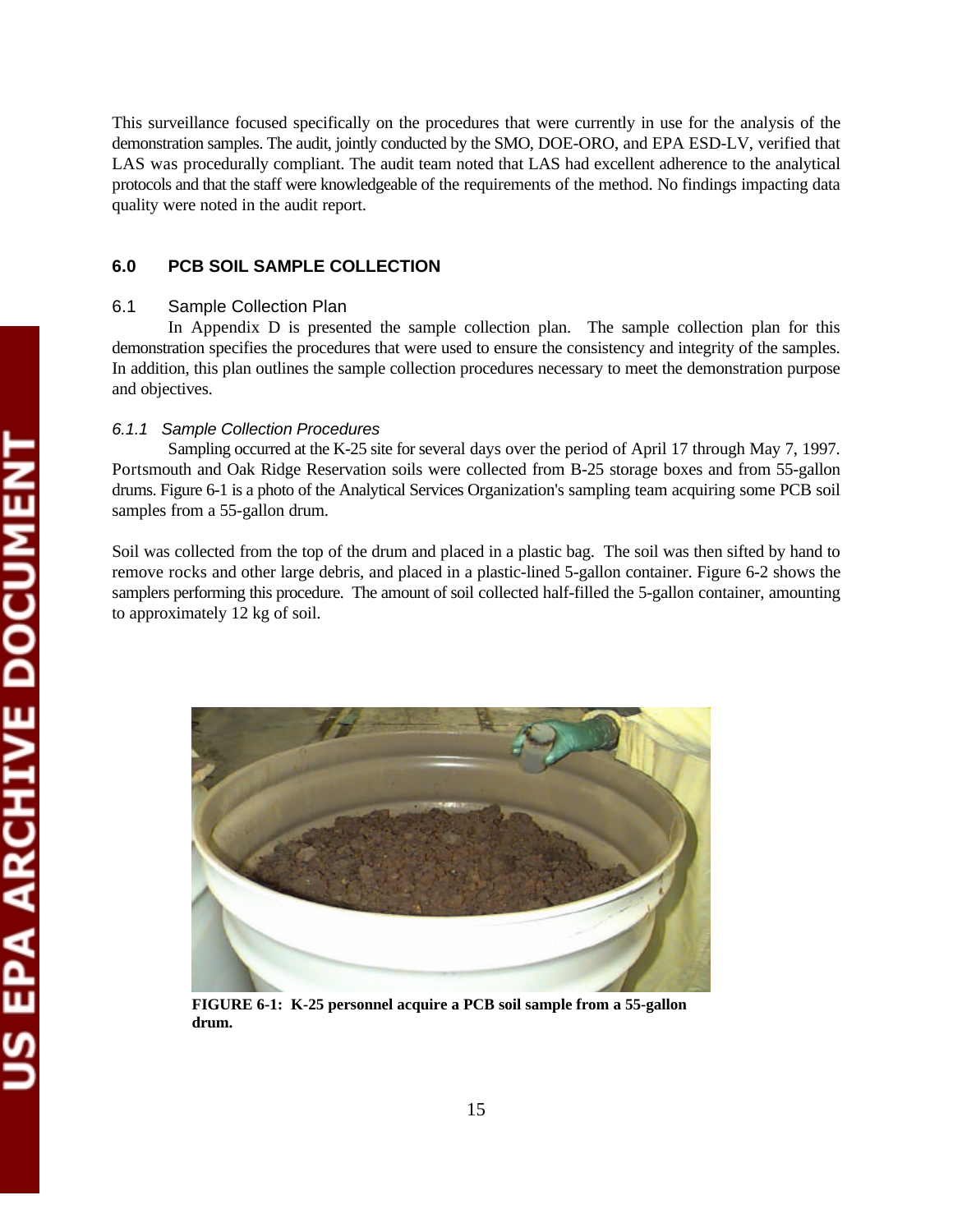This surveillance focused specifically on the procedures that were currently in use for the analysis of the demonstration samples. The audit, jointly conducted by the SMO, DOE-ORO, and EPA ESD-LV, verified that LAS was procedurally compliant. The audit team noted that LAS had excellent adherence to the analytical protocols and that the staff were knowledgeable of the requirements of the method. No findings impacting data quality were noted in the audit report.

# **6.0 PCB SOIL SAMPLE COLLECTION**

### 6.1 Sample Collection Plan

In Appendix D is presented the sample collection plan. The sample collection plan for this demonstration specifies the procedures that were used to ensure the consistency and integrity of the samples. In addition, this plan outlines the sample collection procedures necessary to meet the demonstration purpose and objectives.

### *6.1.1 Sample Collection Procedures*

Sampling occurred at the K-25 site for several days over the period of April 17 through May 7, 1997. Portsmouth and Oak Ridge Reservation soils were collected from B-25 storage boxes and from 55-gallon drums. Figure 6-1 is a photo of the Analytical Services Organization's sampling team acquiring some PCB soil samples from a 55-gallon drum.

Soil was collected from the top of the drum and placed in a plastic bag. The soil was then sifted by hand to remove rocks and other large debris, and placed in a plastic-lined 5-gallon container. Figure 6-2 shows the samplers performing this procedure. The amount of soil collected half-filled the 5-gallon container, amounting to approximately 12 kg of soil.



**FIGURE 6-1: K-25 personnel acquire a PCB soil sample from a 55-gallon drum.**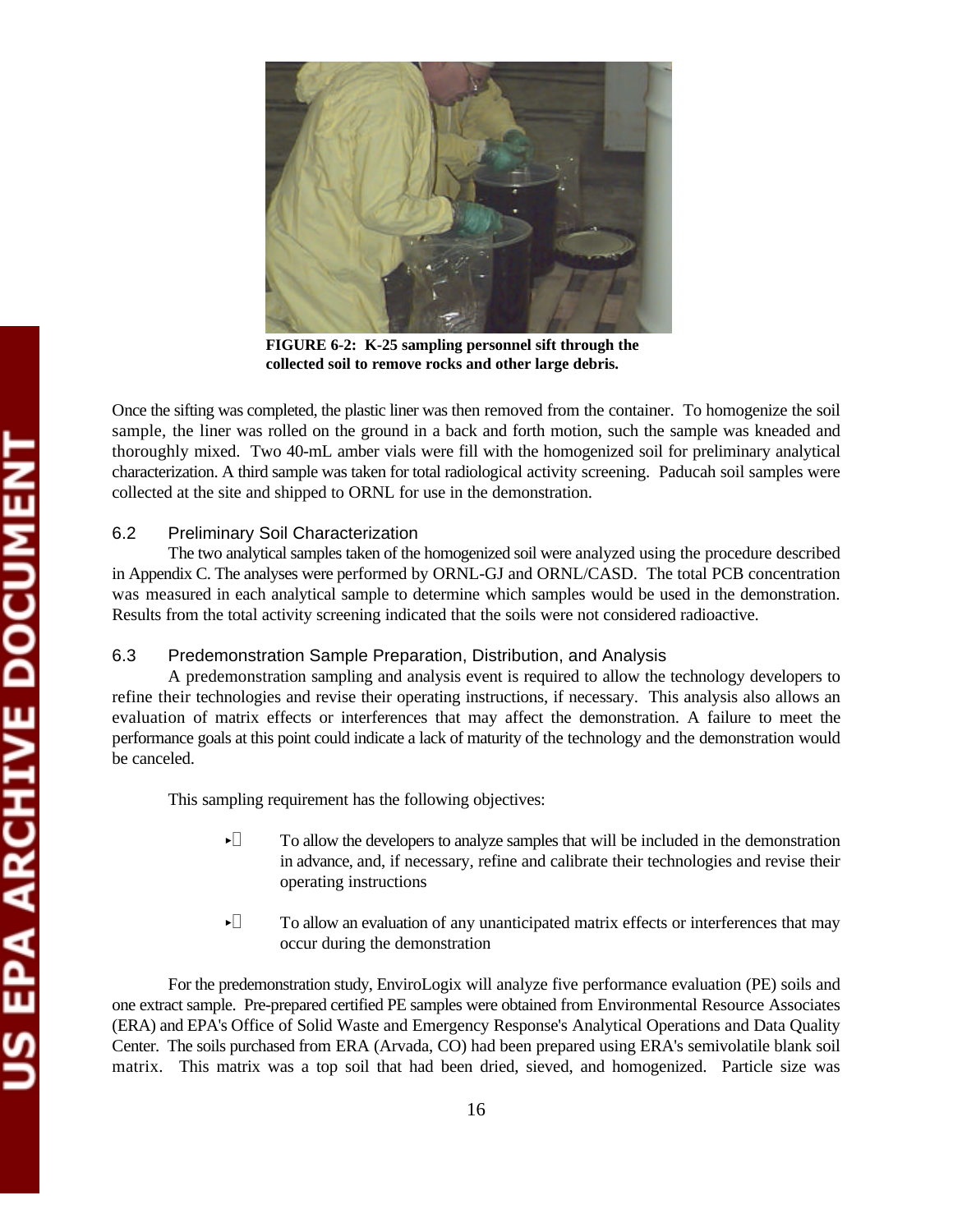

**FIGURE 6-2: K-25 sampling personnel sift through the collected soil to remove rocks and other large debris.** 

Once the sifting was completed, the plastic liner was then removed from the container. To homogenize the soil sample, the liner was rolled on the ground in a back and forth motion, such the sample was kneaded and thoroughly mixed. Two 40-mL amber vials were fill with the homogenized soil for preliminary analytical characterization. A third sample was taken for total radiological activity screening. Paducah soil samples were collected at the site and shipped to ORNL for use in the demonstration.

# 6.2 Preliminary Soil Characterization

The two analytical samples taken of the homogenized soil were analyzed using the procedure described in Appendix C. The analyses were performed by ORNL-GJ and ORNL/CASD. The total PCB concentration was measured in each analytical sample to determine which samples would be used in the demonstration. Results from the total activity screening indicated that the soils were not considered radioactive.

### 6.3 Predemonstration Sample Preparation, Distribution, and Analysis

A predemonstration sampling and analysis event is required to allow the technology developers to refine their technologies and revise their operating instructions, if necessary. This analysis also allows an evaluation of matrix effects or interferences that may affect the demonstration. A failure to meet the performance goals at this point could indicate a lack of maturity of the technology and the demonstration would be canceled.

This sampling requirement has the following objectives:

- $\blacktriangleright$  To allow the developers to analyze samples that will be included in the demonstration in advance, and, if necessary, refine and calibrate their technologies and revise their operating instructions
- $\blacktriangleright$  To allow an evaluation of any unanticipated matrix effects or interferences that may occur during the demonstration

For the predemonstration study, EnviroLogix will analyze five performance evaluation (PE) soils and one extract sample. Pre-prepared certified PE samples were obtained from Environmental Resource Associates (ERA) and EPA's Office of Solid Waste and Emergency Response's Analytical Operations and Data Quality Center. The soils purchased from ERA (Arvada, CO) had been prepared using ERA's semivolatile blank soil matrix. This matrix was a top soil that had been dried, sieved, and homogenized. Particle size was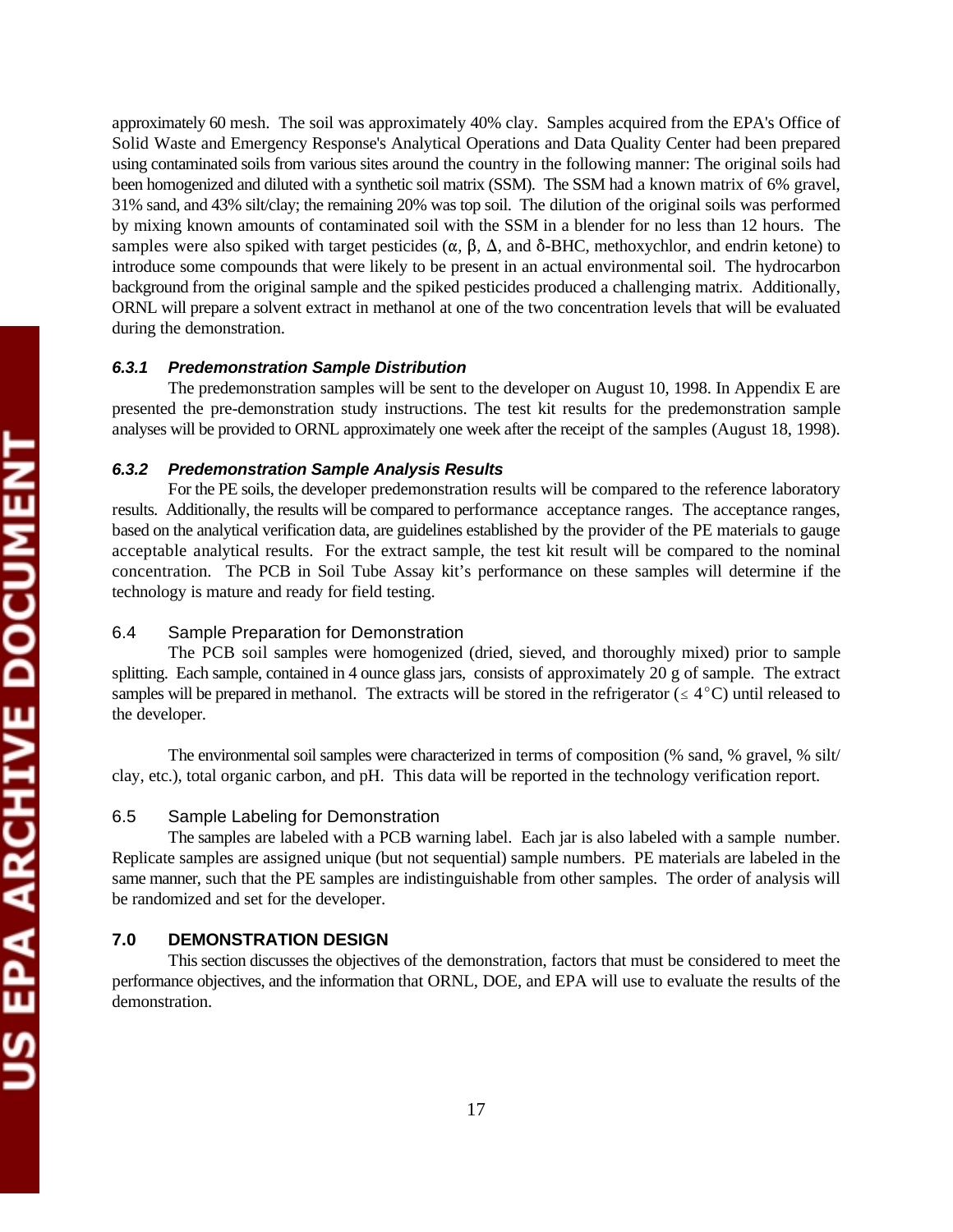approximately 60 mesh. The soil was approximately 40% clay. Samples acquired from the EPA's Office of Solid Waste and Emergency Response's Analytical Operations and Data Quality Center had been prepared using contaminated soils from various sites around the country in the following manner: The original soils had been homogenized and diluted with a synthetic soil matrix (SSM). The SSM had a known matrix of 6% gravel, 31% sand, and 43% silt/clay; the remaining 20% was top soil. The dilution of the original soils was performed by mixing known amounts of contaminated soil with the SSM in a blender for no less than 12 hours. The samples were also spiked with target pesticides ( $\alpha$ ,  $\beta$ ,  $\Delta$ , and  $\delta$ -BHC, methoxychlor, and endrin ketone) to introduce some compounds that were likely to be present in an actual environmental soil. The hydrocarbon background from the original sample and the spiked pesticides produced a challenging matrix. Additionally, ORNL will prepare a solvent extract in methanol at one of the two concentration levels that will be evaluated during the demonstration.

### *6.3.1 Predemonstration Sample Distribution*

The predemonstration samples will be sent to the developer on August 10, 1998. In Appendix E are presented the pre-demonstration study instructions. The test kit results for the predemonstration sample analyses will be provided to ORNL approximately one week after the receipt of the samples (August 18, 1998).

#### *6.3.2 Predemonstration Sample Analysis Results*

For the PE soils, the developer predemonstration results will be compared to the reference laboratory results. Additionally, the results will be compared to performance acceptance ranges. The acceptance ranges, based on the analytical verification data, are guidelines established by the provider of the PE materials to gauge acceptable analytical results. For the extract sample, the test kit result will be compared to the nominal concentration. The PCB in Soil Tube Assay kit's performance on these samples will determine if the technology is mature and ready for field testing.

# 6.4 Sample Preparation for Demonstration

The PCB soil samples were homogenized (dried, sieved, and thoroughly mixed) prior to sample splitting. Each sample, contained in 4 ounce glass jars, consists of approximately 20 g of sample. The extract samples will be prepared in methanol. The extracts will be stored in the refrigerator ( $\leq 4^{\circ}$ C) until released to the developer.

The environmental soil samples were characterized in terms of composition (% sand, % gravel, % silt/ clay, etc.), total organic carbon, and pH. This data will be reported in the technology verification report.

#### 6.5 Sample Labeling for Demonstration

The samples are labeled with a PCB warning label. Each jar is also labeled with a sample number. Replicate samples are assigned unique (but not sequential) sample numbers. PE materials are labeled in the same manner, such that the PE samples are indistinguishable from other samples. The order of analysis will be randomized and set for the developer.

# **7.0 DEMONSTRATION DESIGN**

This section discusses the objectives of the demonstration, factors that must be considered to meet the performance objectives, and the information that ORNL, DOE, and EPA will use to evaluate the results of the demonstration.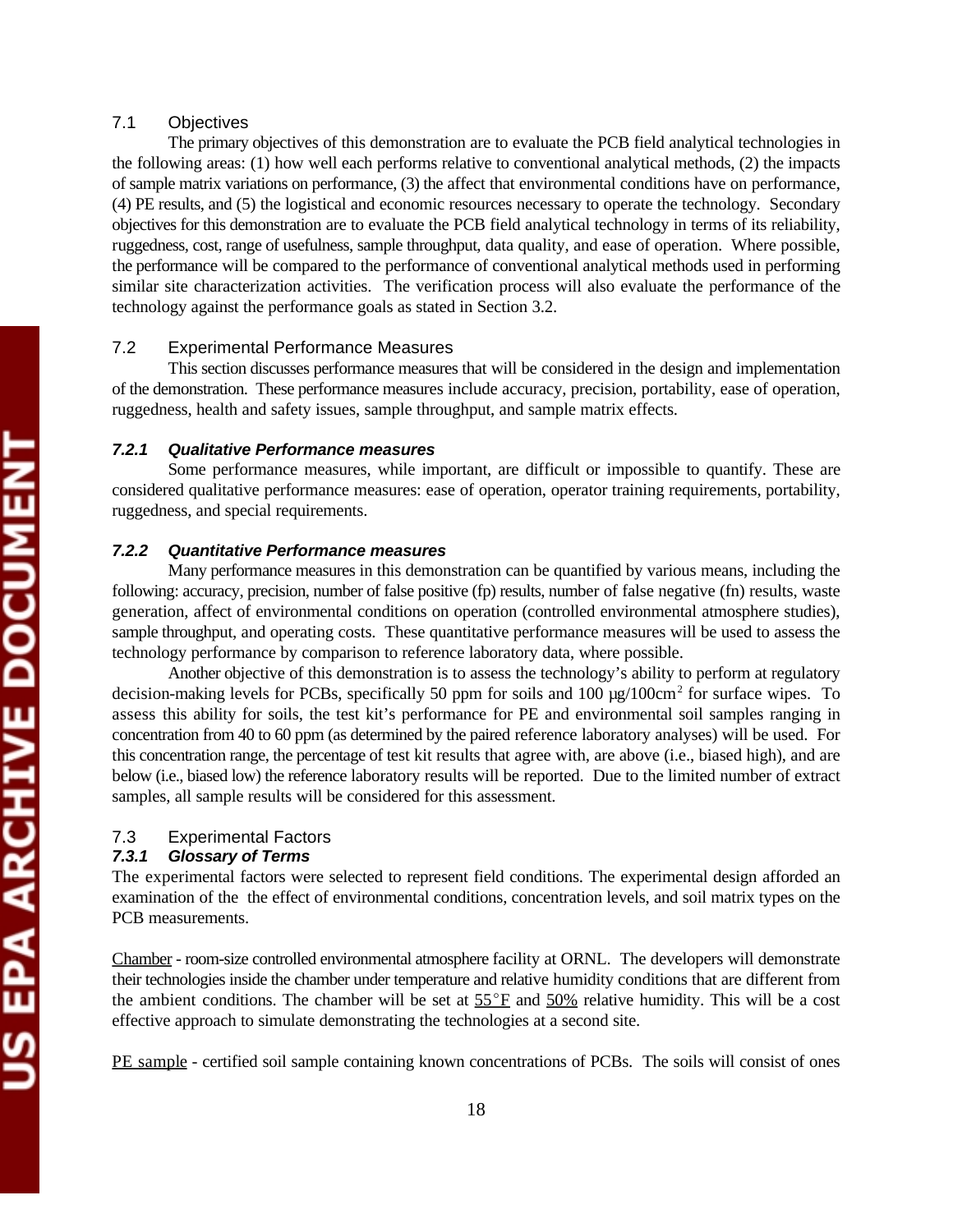# 7.1 Objectives

The primary objectives of this demonstration are to evaluate the PCB field analytical technologies in the following areas: (1) how well each performs relative to conventional analytical methods, (2) the impacts of sample matrix variations on performance, (3) the affect that environmental conditions have on performance, (4) PE results, and (5) the logistical and economic resources necessary to operate the technology. Secondary objectives for this demonstration are to evaluate the PCB field analytical technology in terms of its reliability, ruggedness, cost, range of usefulness, sample throughput, data quality, and ease of operation. Where possible, the performance will be compared to the performance of conventional analytical methods used in performing similar site characterization activities. The verification process will also evaluate the performance of the technology against the performance goals as stated in Section 3.2.

### 7.2 Experimental Performance Measures

This section discusses performance measures that will be considered in the design and implementation of the demonstration. These performance measures include accuracy, precision, portability, ease of operation, ruggedness, health and safety issues, sample throughput, and sample matrix effects.

#### *7.2.1 Qualitative Performance measures*

Some performance measures, while important, are difficult or impossible to quantify. These are considered qualitative performance measures: ease of operation, operator training requirements, portability, ruggedness, and special requirements.

#### *7.2.2 Quantitative Performance measures*

Many performance measures in this demonstration can be quantified by various means, including the following: accuracy, precision, number of false positive (fp) results, number of false negative (fn) results, waste generation, affect of environmental conditions on operation (controlled environmental atmosphere studies), sample throughput, and operating costs. These quantitative performance measures will be used to assess the technology performance by comparison to reference laboratory data, where possible.

Another objective of this demonstration is to assess the technology's ability to perform at regulatory decision-making levels for PCBs, specifically 50 ppm for soils and 100  $\mu$ g/100cm<sup>2</sup> for surface wipes. To assess this ability for soils, the test kit's performance for PE and environmental soil samples ranging in concentration from 40 to 60 ppm (as determined by the paired reference laboratory analyses) will be used. For this concentration range, the percentage of test kit results that agree with, are above (i.e., biased high), and are below (i.e., biased low) the reference laboratory results will be reported. Due to the limited number of extract samples, all sample results will be considered for this assessment.

# 7.3 Experimental Factors

# *7.3.1 Glossary of Terms*

The experimental factors were selected to represent field conditions. The experimental design afforded an examination of the the effect of environmental conditions, concentration levels, and soil matrix types on the PCB measurements.

Chamber - room-size controlled environmental atmosphere facility at ORNL. The developers will demonstrate their technologies inside the chamber under temperature and relative humidity conditions that are different from the ambient conditions. The chamber will be set at  $55^{\circ}$ F and  $50\%$  relative humidity. This will be a cost effective approach to simulate demonstrating the technologies at a second site.

PE sample - certified soil sample containing known concentrations of PCBs. The soils will consist of ones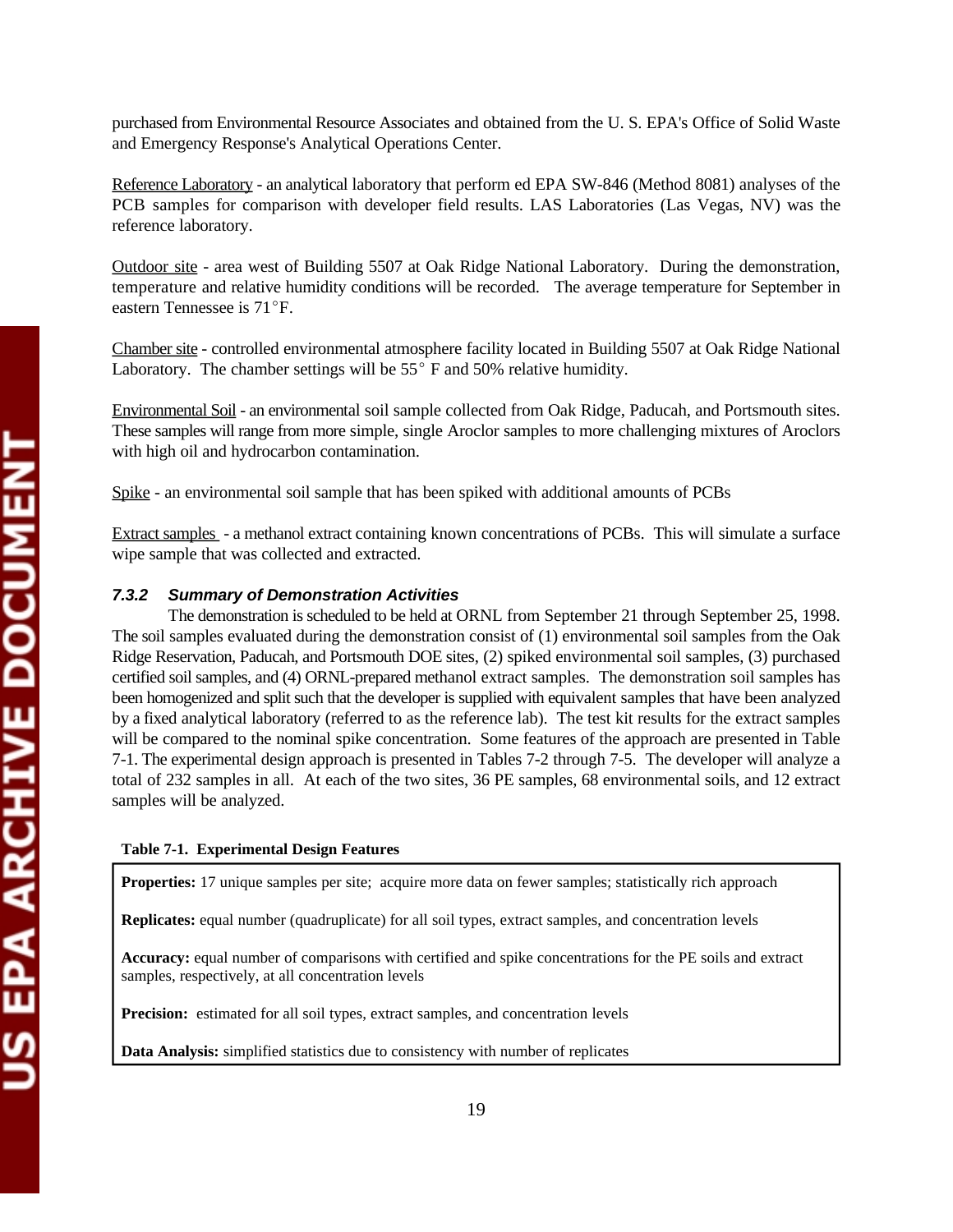purchased from Environmental Resource Associates and obtained from the U. S. EPA's Office of Solid Waste and Emergency Response's Analytical Operations Center.

Reference Laboratory - an analytical laboratory that perform ed EPA SW-846 (Method 8081) analyses of the PCB samples for comparison with developer field results. LAS Laboratories (Las Vegas, NV) was the reference laboratory.

Outdoor site - area west of Building 5507 at Oak Ridge National Laboratory. During the demonstration, temperature and relative humidity conditions will be recorded. The average temperature for September in eastern Tennessee is 71°F.

Chamber site - controlled environmental atmosphere facility located in Building 5507 at Oak Ridge National Laboratory. The chamber settings will be  $55^{\circ}$  F and 50% relative humidity.

Environmental Soil - an environmental soil sample collected from Oak Ridge, Paducah, and Portsmouth sites. These samples will range from more simple, single Aroclor samples to more challenging mixtures of Aroclors with high oil and hydrocarbon contamination.

Spike - an environmental soil sample that has been spiked with additional amounts of PCBs

Extract samples - a methanol extract containing known concentrations of PCBs. This will simulate a surface wipe sample that was collected and extracted.

# *7.3.2 Summary of Demonstration Activities*

The demonstration is scheduled to be held at ORNL from September 21 through September 25, 1998. The soil samples evaluated during the demonstration consist of (1) environmental soil samples from the Oak Ridge Reservation, Paducah, and Portsmouth DOE sites, (2) spiked environmental soil samples, (3) purchased certified soil samples, and (4) ORNL-prepared methanol extract samples. The demonstration soil samples has been homogenized and split such that the developer is supplied with equivalent samples that have been analyzed by a fixed analytical laboratory (referred to as the reference lab). The test kit results for the extract samples will be compared to the nominal spike concentration. Some features of the approach are presented in Table 7-1. The experimental design approach is presented in Tables 7-2 through 7-5. The developer will analyze a total of 232 samples in all. At each of the two sites, 36 PE samples, 68 environmental soils, and 12 extract samples will be analyzed.

### **Table 7-1. Experimental Design Features**

**Properties:** 17 unique samples per site; acquire more data on fewer samples; statistically rich approach

**Replicates:** equal number (quadruplicate) for all soil types, extract samples, and concentration levels

**Accuracy:** equal number of comparisons with certified and spike concentrations for the PE soils and extract samples, respectively, at all concentration levels

**Precision:** estimated for all soil types, extract samples, and concentration levels

**Data Analysis:** simplified statistics due to consistency with number of replicates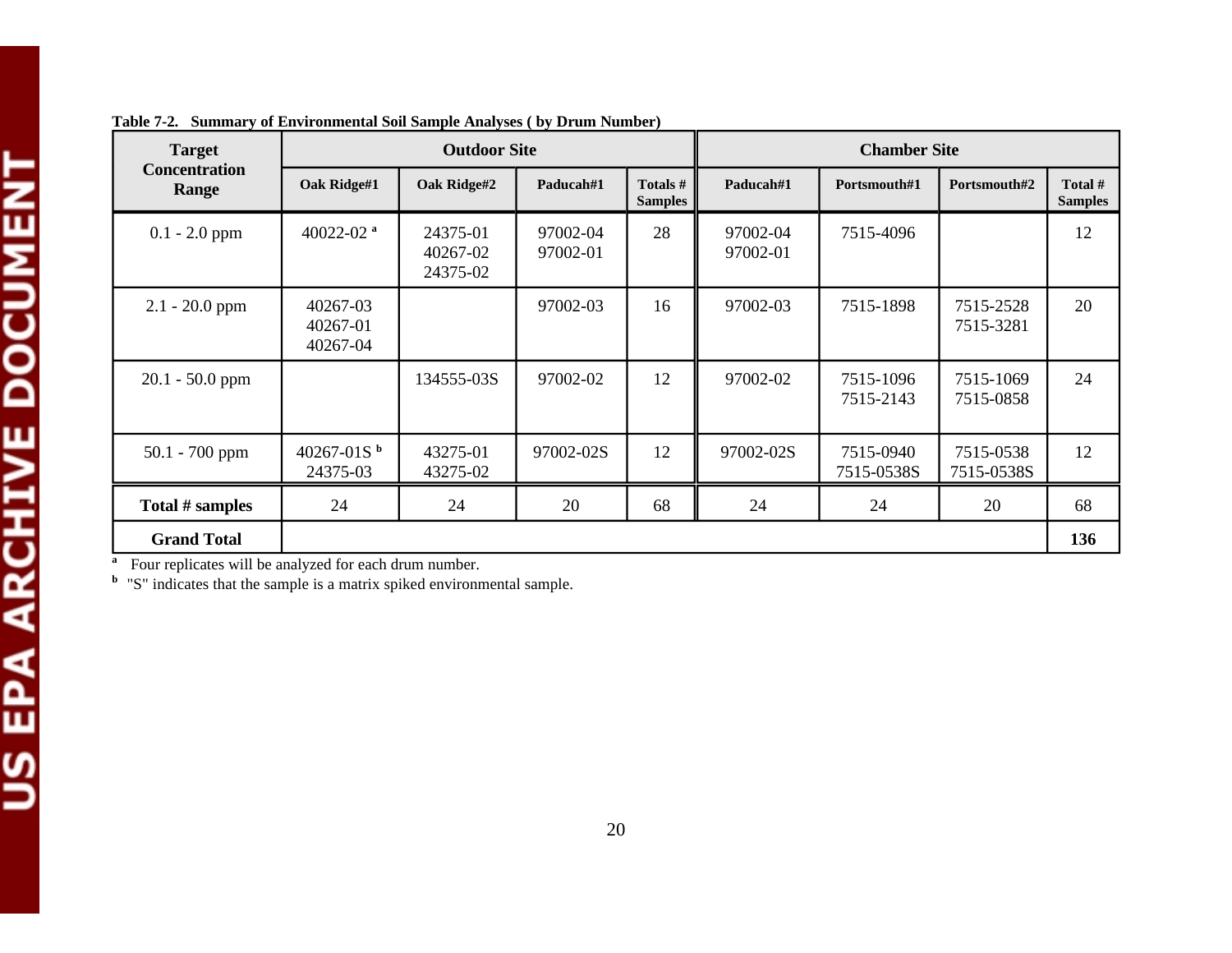| <b>Target</b>                 | <b>Outdoor Site</b>              |                                  |                      | <b>Chamber Site</b>        |                      |                         |                         |                           |
|-------------------------------|----------------------------------|----------------------------------|----------------------|----------------------------|----------------------|-------------------------|-------------------------|---------------------------|
| <b>Concentration</b><br>Range | Oak Ridge#1                      | Oak Ridge#2                      | Paducah#1            | Totals #<br><b>Samples</b> | Paducah#1            | Portsmouth#1            | Portsmouth#2            | Total #<br><b>Samples</b> |
| $0.1 - 2.0$ ppm               | 40022-02 $a$                     | 24375-01<br>40267-02<br>24375-02 | 97002-04<br>97002-01 | 28                         | 97002-04<br>97002-01 | 7515-4096               |                         | 12                        |
| $2.1 - 20.0$ ppm              | 40267-03<br>40267-01<br>40267-04 |                                  | 97002-03             | 16                         | 97002-03             | 7515-1898               | 7515-2528<br>7515-3281  | 20                        |
| $20.1 - 50.0$ ppm             |                                  | 134555-03S                       | 97002-02             | 12                         | 97002-02             | 7515-1096<br>7515-2143  | 7515-1069<br>7515-0858  | 24                        |
| $50.1 - 700$ ppm              | 40267-018 $^{\rm b}$<br>24375-03 | 43275-01<br>43275-02             | 97002-02S            | 12                         | 97002-02S            | 7515-0940<br>7515-0538S | 7515-0538<br>7515-0538S | 12                        |
| Total # samples               | 24                               | 24                               | 20                   | 68                         | 24                   | 24                      | 20                      | 68                        |
| <b>Grand Total</b>            |                                  |                                  |                      |                            |                      |                         |                         | 136                       |

**Table 7-2. Summary of Environmental Soil Sample Analyses ( by Drum Number)** 

<sup>a</sup> Four replicates will be analyzed for each drum number.

<sup>b</sup> "S" indicates that the sample is a matrix spiked environmental sample.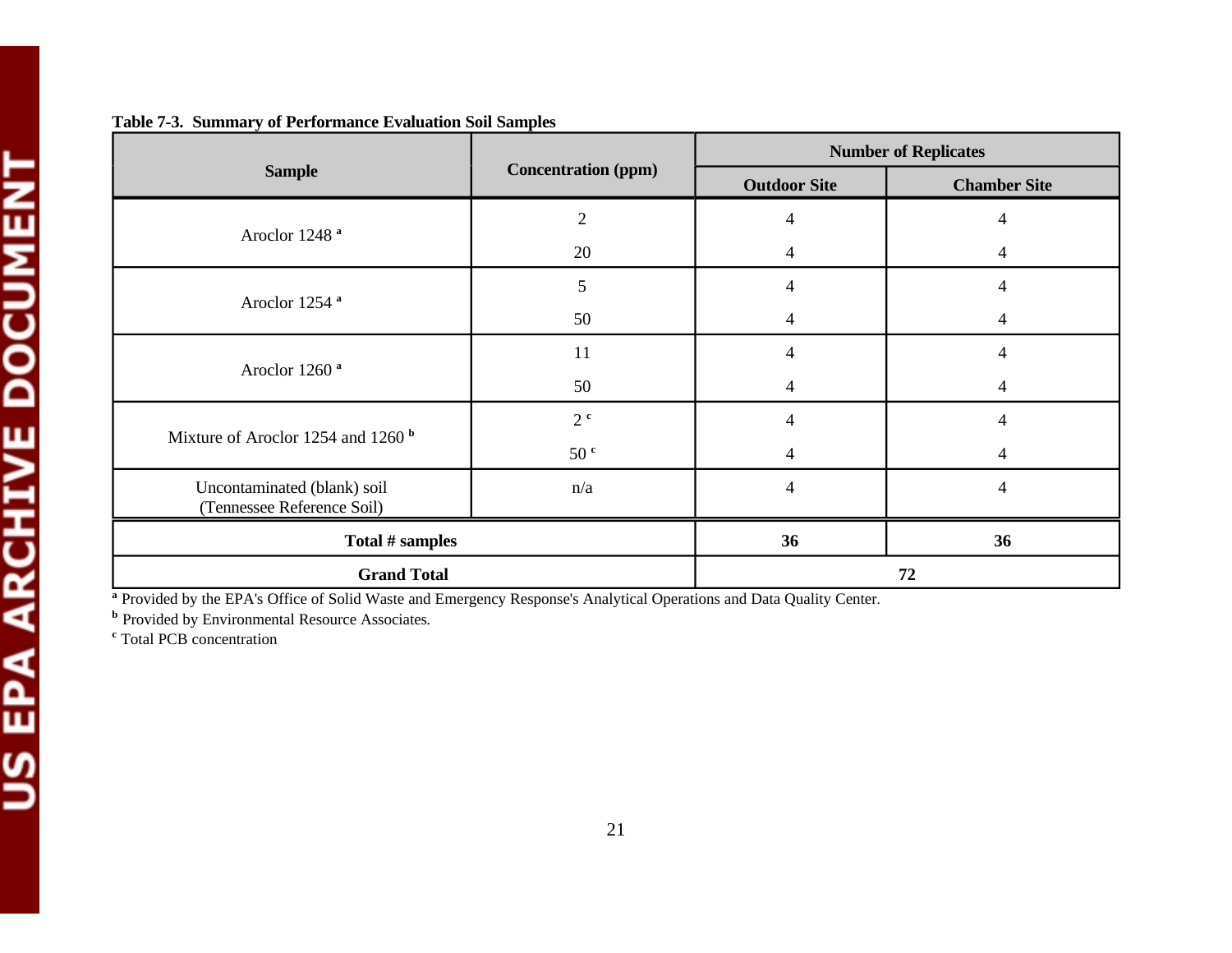|                                                           |                            | <b>Number of Replicates</b> |                     |  |
|-----------------------------------------------------------|----------------------------|-----------------------------|---------------------|--|
| <b>Sample</b>                                             | <b>Concentration (ppm)</b> | <b>Outdoor Site</b>         | <b>Chamber Site</b> |  |
|                                                           | $\overline{2}$             | $\overline{4}$              | 4                   |  |
| Aroclor 1248 <sup>a</sup>                                 | 20                         | 4                           | 4                   |  |
|                                                           | 5                          | $\overline{4}$              | 4                   |  |
| Aroclor 1254 <sup>ª</sup>                                 | 50                         | $\overline{4}$              | 4                   |  |
|                                                           | 11                         | $\overline{4}$              | 4                   |  |
| Aroclor 1260 <sup>a</sup>                                 | 50                         | 4                           | 4                   |  |
| Mixture of Aroclor 1254 and 1260 <sup>b</sup>             | 2 <sup>c</sup>             | $\overline{4}$              | 4                   |  |
|                                                           | 50 <sup>c</sup>            | 4                           | 4                   |  |
| Uncontaminated (blank) soil<br>(Tennessee Reference Soil) | n/a                        | $\overline{4}$              | 4                   |  |
| Total # samples                                           |                            | 36                          | 36                  |  |
| <b>Grand Total</b>                                        |                            |                             | 72                  |  |

# **Table 7-3. Summary of Performance Evaluation Soil Samples**

<sup>a</sup> Provided by the EPA's Office of Solid Waste and Emergency Response's Analytical Operations and Data Quality Center.

**b** Provided by Environmental Resource Associates.

<sup>c</sup> Total PCB concentration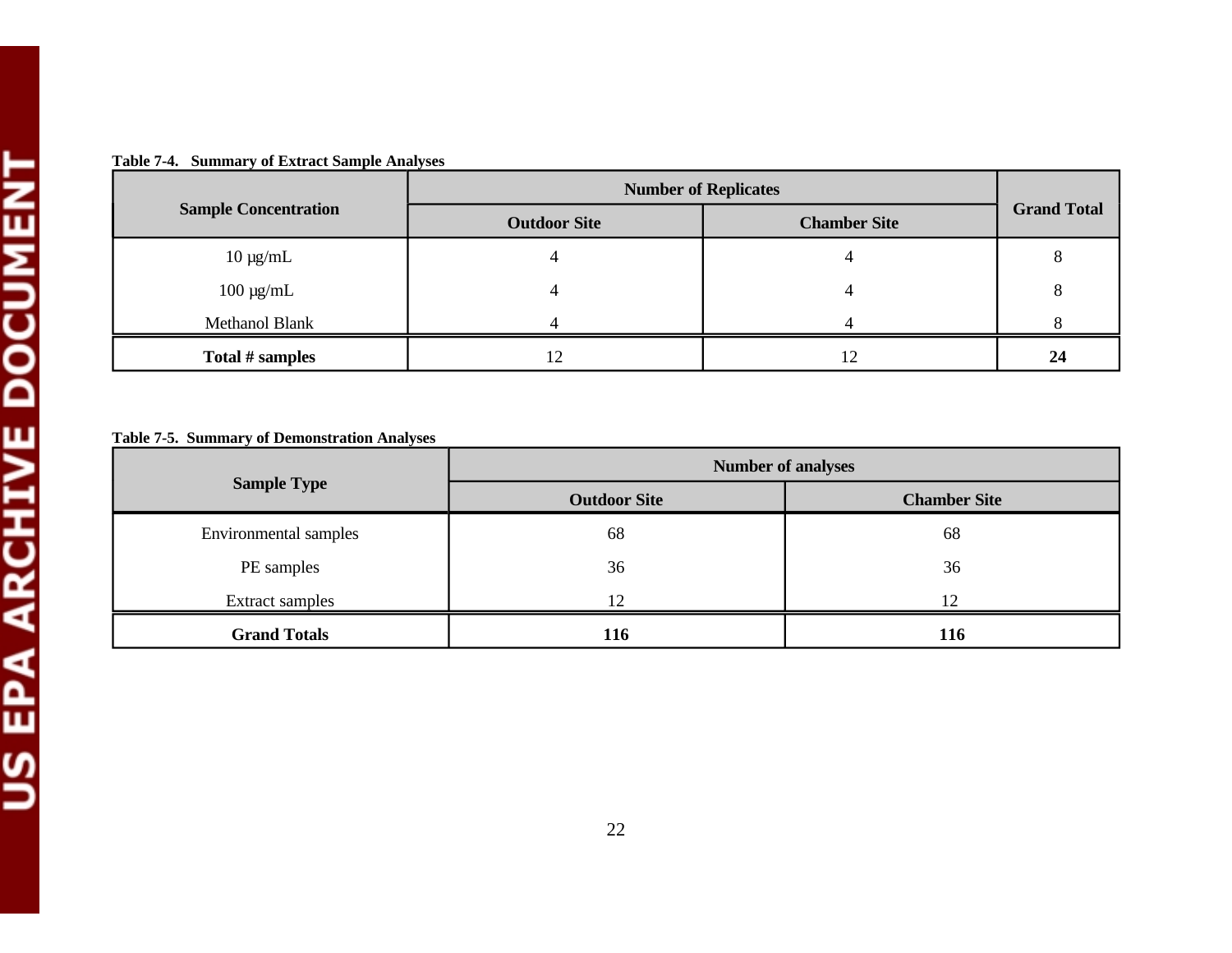| Table 7-4. Summary of Extract Sample Analyses |
|-----------------------------------------------|
|-----------------------------------------------|

|                             | <b>Number of Replicates</b> |                     |                    |  |
|-----------------------------|-----------------------------|---------------------|--------------------|--|
| <b>Sample Concentration</b> | <b>Outdoor Site</b>         | <b>Chamber Site</b> | <b>Grand Total</b> |  |
| $10 \mu g/mL$               |                             |                     |                    |  |
| $100 \mu g/mL$              |                             |                     | ი                  |  |
| <b>Methanol Blank</b>       |                             |                     |                    |  |
| Total # samples             | 12                          | 12                  | 24                 |  |

**Table 7-5. Summary of Demonstration Analyses** 

|                       | <b>Number of analyses</b> |                     |  |  |
|-----------------------|---------------------------|---------------------|--|--|
| <b>Sample Type</b>    | <b>Outdoor Site</b>       | <b>Chamber Site</b> |  |  |
| Environmental samples | 68                        | 68                  |  |  |
| PE samples            | 36                        | 36                  |  |  |
| Extract samples       | 12                        | 12                  |  |  |
| <b>Grand Totals</b>   | 116                       | <b>116</b>          |  |  |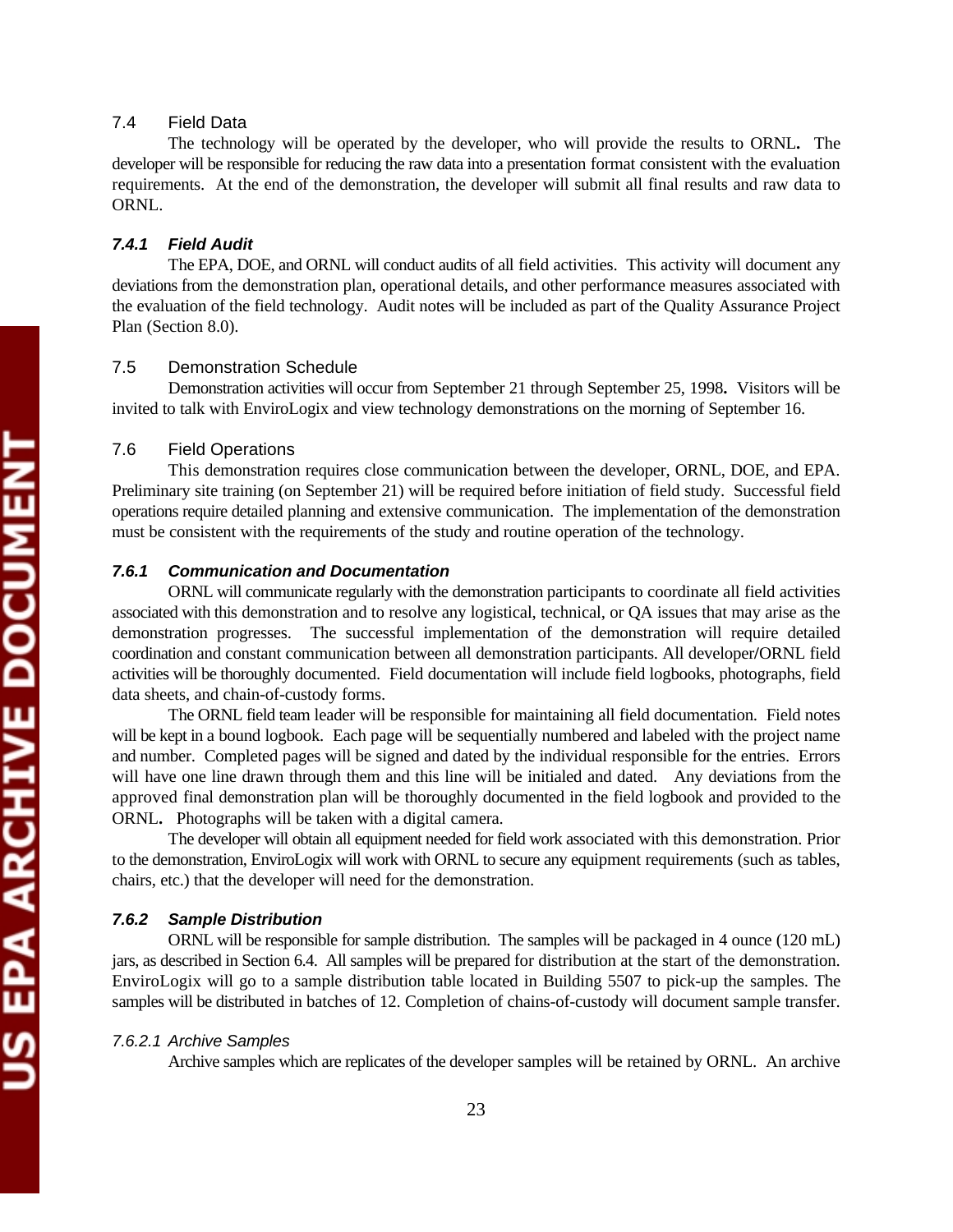# 7.4 Field Data

The technology will be operated by the developer, who will provide the results to ORNL**.** The developer will be responsible for reducing the raw data into a presentation format consistent with the evaluation requirements. At the end of the demonstration, the developer will submit all final results and raw data to ORNL.

#### *7.4.1 Field Audit*

The EPA, DOE, and ORNL will conduct audits of all field activities. This activity will document any deviations from the demonstration plan, operational details, and other performance measures associated with the evaluation of the field technology. Audit notes will be included as part of the Quality Assurance Project Plan (Section 8.0).

# 7.5 Demonstration Schedule

Demonstration activities will occur from September 21 through September 25, 1998**.** Visitors will be invited to talk with EnviroLogix and view technology demonstrations on the morning of September 16.

### 7.6 Field Operations

This demonstration requires close communication between the developer, ORNL, DOE, and EPA. Preliminary site training (on September 21) will be required before initiation of field study. Successful field operations require detailed planning and extensive communication. The implementation of the demonstration must be consistent with the requirements of the study and routine operation of the technology.

#### *7.6.1 Communication and Documentation*

ORNL will communicate regularly with the demonstration participants to coordinate all field activities associated with this demonstration and to resolve any logistical, technical, or QA issues that may arise as the demonstration progresses. The successful implementation of the demonstration will require detailed coordination and constant communication between all demonstration participants. All developer**/**ORNL field activities will be thoroughly documented. Field documentation will include field logbooks, photographs, field data sheets, and chain-of-custody forms.

The ORNL field team leader will be responsible for maintaining all field documentation. Field notes will be kept in a bound logbook. Each page will be sequentially numbered and labeled with the project name and number. Completed pages will be signed and dated by the individual responsible for the entries. Errors will have one line drawn through them and this line will be initialed and dated. Any deviations from the approved final demonstration plan will be thoroughly documented in the field logbook and provided to the ORNL**.** Photographs will be taken with a digital camera.

The developer will obtain all equipment needed for field work associated with this demonstration. Prior to the demonstration, EnviroLogix will work with ORNL to secure any equipment requirements (such as tables, chairs, etc.) that the developer will need for the demonstration.

#### *7.6.2 Sample Distribution*

ORNL will be responsible for sample distribution. The samples will be packaged in 4 ounce (120 mL) jars, as described in Section 6.4. All samples will be prepared for distribution at the start of the demonstration. EnviroLogix will go to a sample distribution table located in Building 5507 to pick-up the samples. The samples will be distributed in batches of 12. Completion of chains-of-custody will document sample transfer.

#### *7.6.2.1 Archive Samples*

Archive samples which are replicates of the developer samples will be retained by ORNL. An archive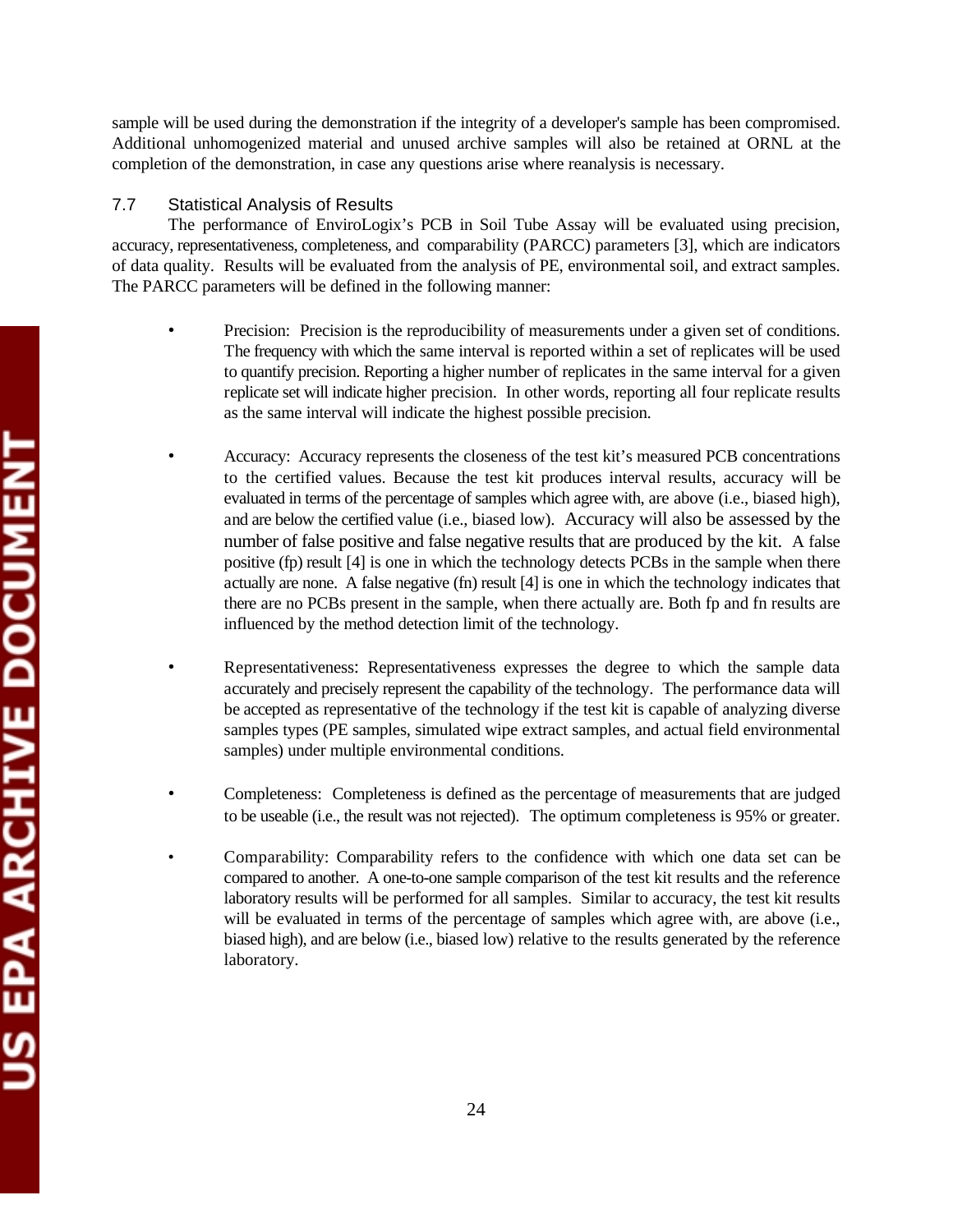sample will be used during the demonstration if the integrity of a developer's sample has been compromised. Additional unhomogenized material and unused archive samples will also be retained at ORNL at the completion of the demonstration, in case any questions arise where reanalysis is necessary.

# 7.7 Statistical Analysis of Results

The performance of EnviroLogix's PCB in Soil Tube Assay will be evaluated using precision, accuracy, representativeness, completeness, and comparability (PARCC) parameters [3], which are indicators of data quality. Results will be evaluated from the analysis of PE, environmental soil, and extract samples. The PARCC parameters will be defined in the following manner:

- Precision: Precision is the reproducibility of measurements under a given set of conditions. The frequency with which the same interval is reported within a set of replicates will be used to quantify precision. Reporting a higher number of replicates in the same interval for a given replicate set will indicate higher precision. In other words, reporting all four replicate results as the same interval will indicate the highest possible precision.
- Accuracy: Accuracy represents the closeness of the test kit's measured PCB concentrations to the certified values. Because the test kit produces interval results, accuracy will be evaluated in terms of the percentage of samples which agree with, are above (i.e., biased high), and are below the certified value (i.e., biased low). Accuracy will also be assessed by the number of false positive and false negative results that are produced by the kit. A false positive (fp) result [4] is one in which the technology detects PCBs in the sample when there actually are none. A false negative (fn) result [4] is one in which the technology indicates that there are no PCBs present in the sample, when there actually are. Both fp and fn results are influenced by the method detection limit of the technology.
- Representativeness: Representativeness expresses the degree to which the sample data accurately and precisely represent the capability of the technology. The performance data will be accepted as representative of the technology if the test kit is capable of analyzing diverse samples types (PE samples, simulated wipe extract samples, and actual field environmental samples) under multiple environmental conditions.
- Completeness: Completeness is defined as the percentage of measurements that are judged to be useable (i.e., the result was not rejected). The optimum completeness is 95% or greater.
- Comparability: Comparability refers to the confidence with which one data set can be compared to another. A one-to-one sample comparison of the test kit results and the reference laboratory results will be performed for all samples. Similar to accuracy, the test kit results will be evaluated in terms of the percentage of samples which agree with, are above (i.e., biased high), and are below (i.e., biased low) relative to the results generated by the reference laboratory.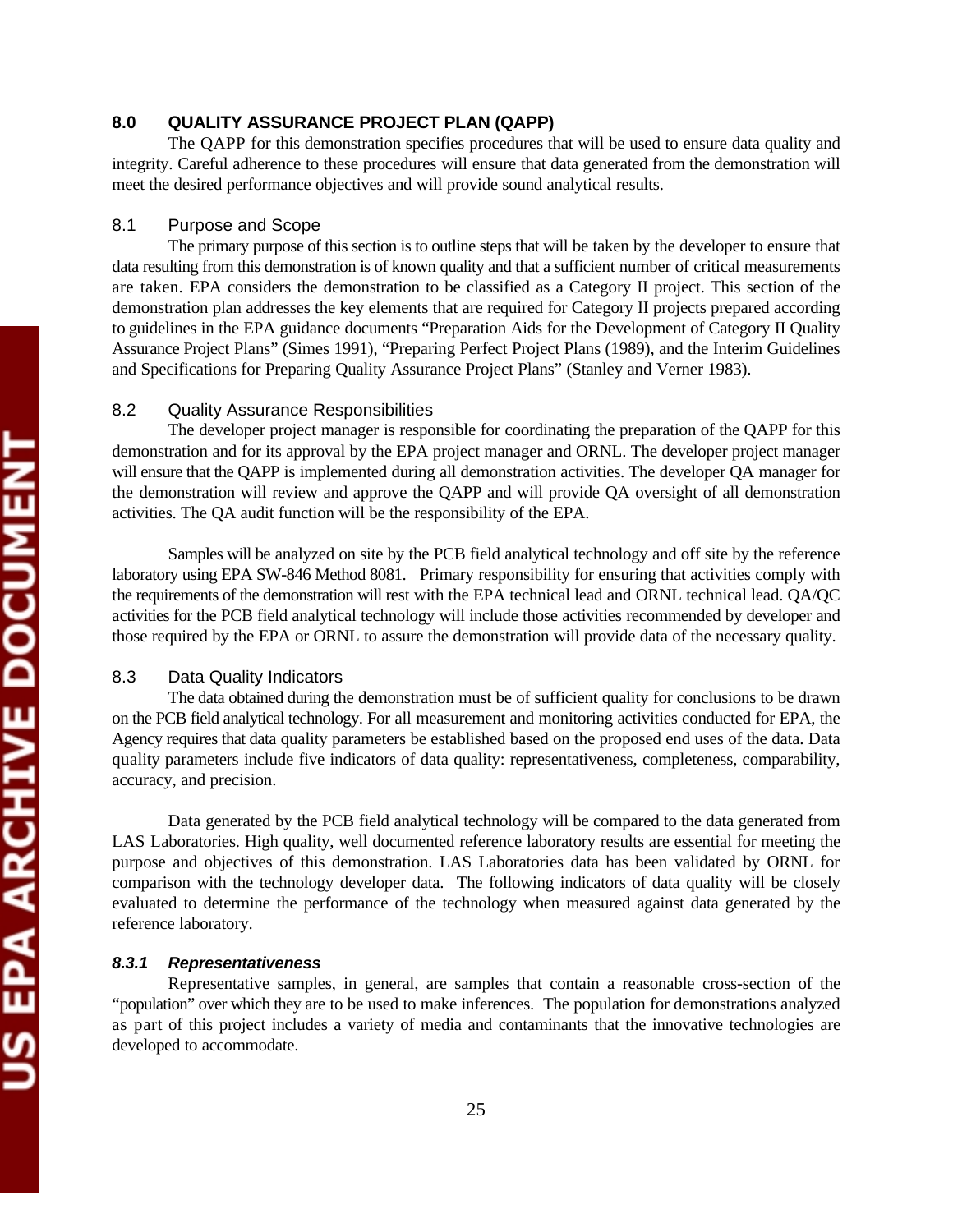# **8.0 QUALITY ASSURANCE PROJECT PLAN (QAPP)**

The QAPP for this demonstration specifies procedures that will be used to ensure data quality and integrity. Careful adherence to these procedures will ensure that data generated from the demonstration will meet the desired performance objectives and will provide sound analytical results.

#### 8.1 Purpose and Scope

The primary purpose of this section is to outline steps that will be taken by the developer to ensure that data resulting from this demonstration is of known quality and that a sufficient number of critical measurements are taken. EPA considers the demonstration to be classified as a Category II project. This section of the demonstration plan addresses the key elements that are required for Category II projects prepared according to guidelines in the EPA guidance documents "Preparation Aids for the Development of Category II Quality Assurance Project Plans" (Simes 1991), "Preparing Perfect Project Plans (1989), and the Interim Guidelines and Specifications for Preparing Quality Assurance Project Plans" (Stanley and Verner 1983).

## 8.2 Quality Assurance Responsibilities

The developer project manager is responsible for coordinating the preparation of the QAPP for this demonstration and for its approval by the EPA project manager and ORNL. The developer project manager will ensure that the QAPP is implemented during all demonstration activities. The developer QA manager for the demonstration will review and approve the QAPP and will provide QA oversight of all demonstration activities. The QA audit function will be the responsibility of the EPA.

Samples will be analyzed on site by the PCB field analytical technology and off site by the reference laboratory using EPA SW-846 Method 8081. Primary responsibility for ensuring that activities comply with the requirements of the demonstration will rest with the EPA technical lead and ORNL technical lead. QA/QC activities for the PCB field analytical technology will include those activities recommended by developer and those required by the EPA or ORNL to assure the demonstration will provide data of the necessary quality.

#### 8.3 Data Quality Indicators

The data obtained during the demonstration must be of sufficient quality for conclusions to be drawn on the PCB field analytical technology. For all measurement and monitoring activities conducted for EPA, the Agency requires that data quality parameters be established based on the proposed end uses of the data. Data quality parameters include five indicators of data quality: representativeness, completeness, comparability, accuracy, and precision.

Data generated by the PCB field analytical technology will be compared to the data generated from LAS Laboratories. High quality, well documented reference laboratory results are essential for meeting the purpose and objectives of this demonstration. LAS Laboratories data has been validated by ORNL for comparison with the technology developer data. The following indicators of data quality will be closely evaluated to determine the performance of the technology when measured against data generated by the reference laboratory.

#### *8.3.1 Representativeness*

Representative samples, in general, are samples that contain a reasonable cross-section of the "population" over which they are to be used to make inferences. The population for demonstrations analyzed as part of this project includes a variety of media and contaminants that the innovative technologies are developed to accommodate.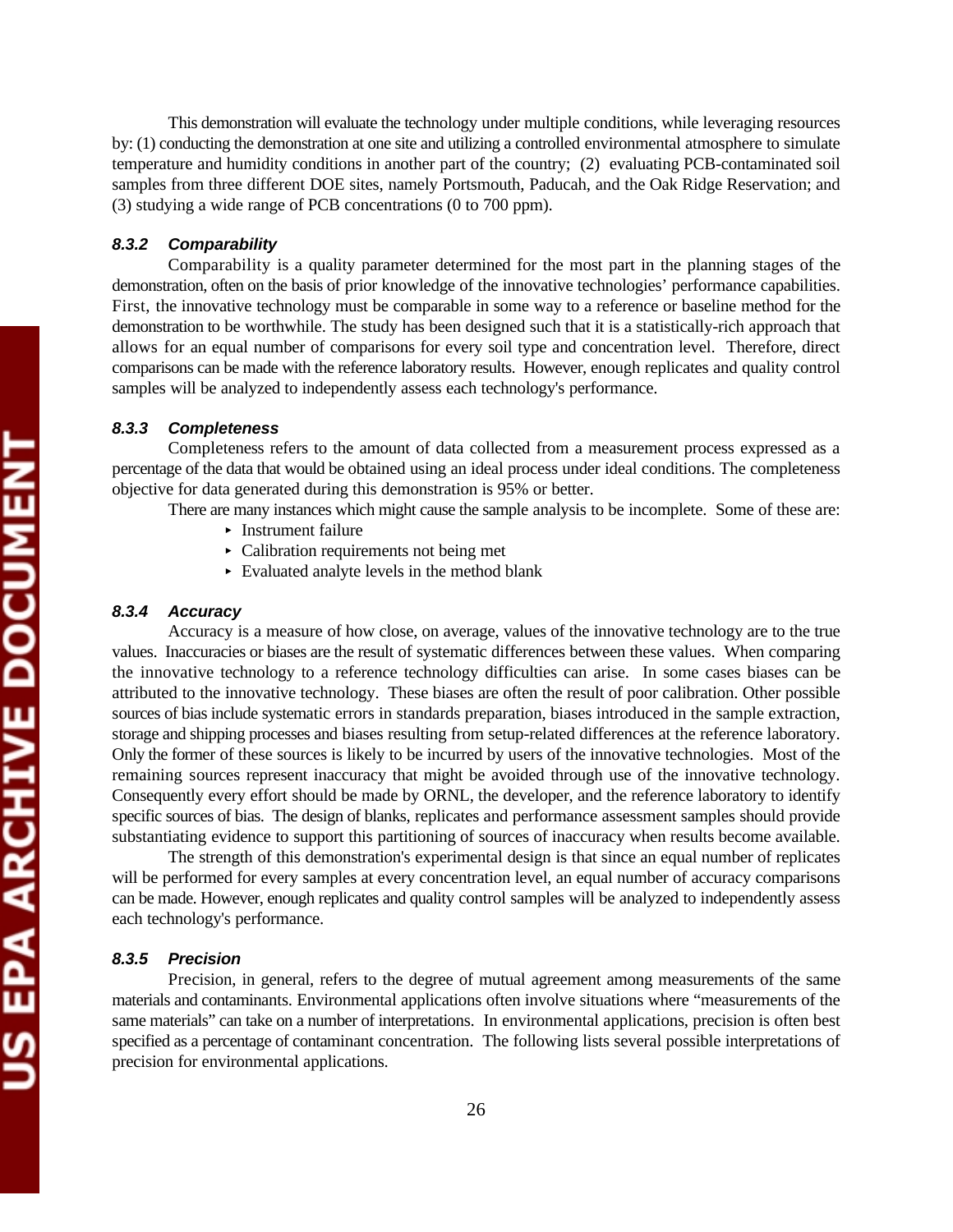This demonstration will evaluate the technology under multiple conditions, while leveraging resources by: (1) conducting the demonstration at one site and utilizing a controlled environmental atmosphere to simulate temperature and humidity conditions in another part of the country; (2) evaluating PCB-contaminated soil samples from three different DOE sites, namely Portsmouth, Paducah, and the Oak Ridge Reservation; and (3) studying a wide range of PCB concentrations (0 to 700 ppm).

#### *8.3.2 Comparability*

Comparability is a quality parameter determined for the most part in the planning stages of the demonstration, often on the basis of prior knowledge of the innovative technologies' performance capabilities. First, the innovative technology must be comparable in some way to a reference or baseline method for the demonstration to be worthwhile. The study has been designed such that it is a statistically-rich approach that allows for an equal number of comparisons for every soil type and concentration level. Therefore, direct comparisons can be made with the reference laboratory results. However, enough replicates and quality control samples will be analyzed to independently assess each technology's performance.

# *8.3.3 Completeness*

Completeness refers to the amount of data collected from a measurement process expressed as a percentage of the data that would be obtained using an ideal process under ideal conditions. The completeness objective for data generated during this demonstration is 95% or better.

- There are many instances which might cause the sample analysis to be incomplete. Some of these are:
	- < Instrument failure
	- < Calibration requirements not being met
	- < Evaluated analyte levels in the method blank

# *8.3.4 Accuracy*

Accuracy is a measure of how close, on average, values of the innovative technology are to the true values. Inaccuracies or biases are the result of systematic differences between these values. When comparing the innovative technology to a reference technology difficulties can arise. In some cases biases can be attributed to the innovative technology. These biases are often the result of poor calibration. Other possible sources of bias include systematic errors in standards preparation, biases introduced in the sample extraction, storage and shipping processes and biases resulting from setup-related differences at the reference laboratory. Only the former of these sources is likely to be incurred by users of the innovative technologies. Most of the remaining sources represent inaccuracy that might be avoided through use of the innovative technology. Consequently every effort should be made by ORNL, the developer, and the reference laboratory to identify specific sources of bias. The design of blanks, replicates and performance assessment samples should provide substantiating evidence to support this partitioning of sources of inaccuracy when results become available.

The strength of this demonstration's experimental design is that since an equal number of replicates will be performed for every samples at every concentration level, an equal number of accuracy comparisons can be made. However, enough replicates and quality control samples will be analyzed to independently assess each technology's performance.

#### *8.3.5 Precision*

Precision, in general, refers to the degree of mutual agreement among measurements of the same materials and contaminants. Environmental applications often involve situations where "measurements of the same materials" can take on a number of interpretations. In environmental applications, precision is often best specified as a percentage of contaminant concentration. The following lists several possible interpretations of precision for environmental applications.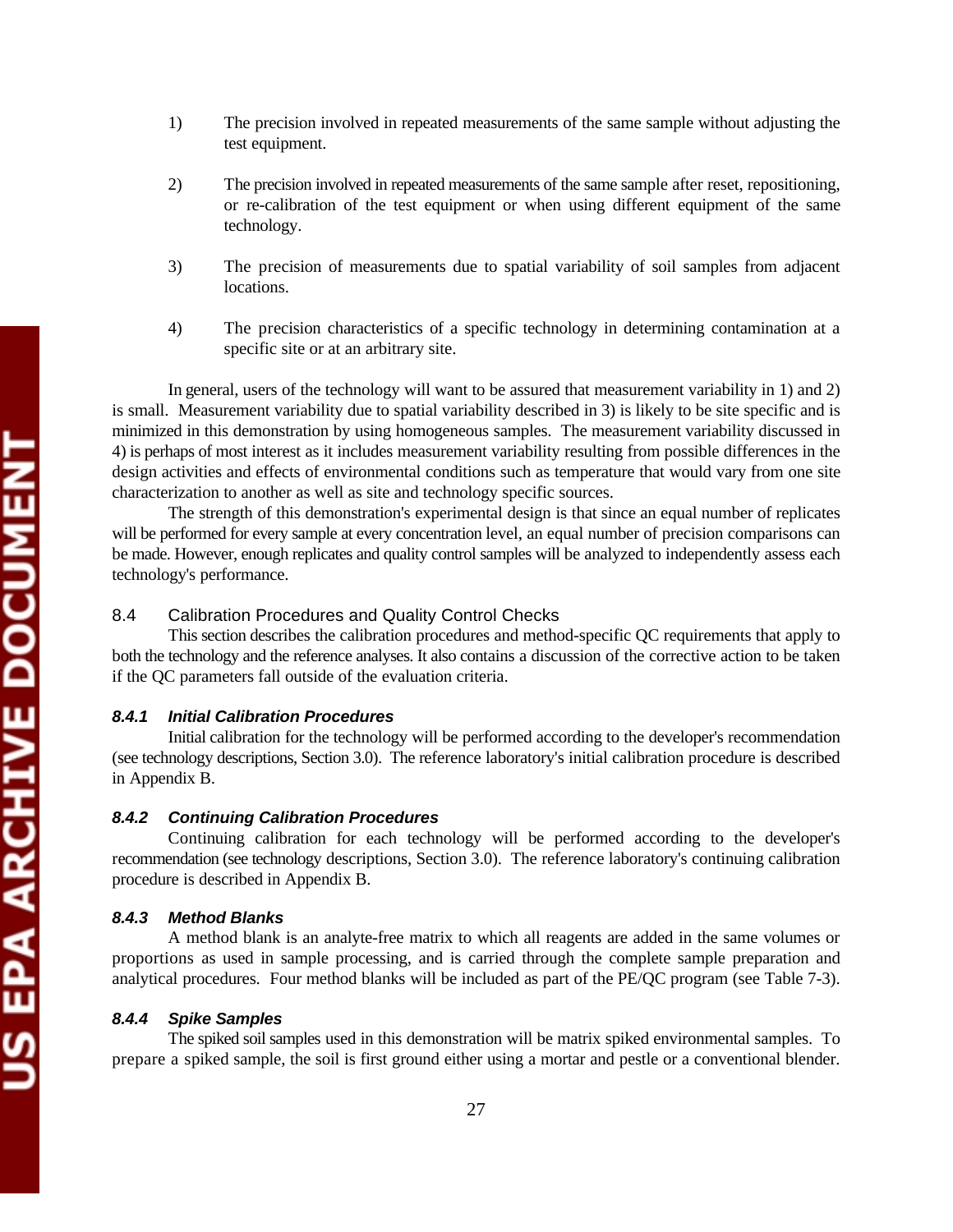US EPA ARCHIVE DOCUMENT

- 1) The precision involved in repeated measurements of the same sample without adjusting the test equipment.
- 2) The precision involved in repeated measurements of the same sample after reset, repositioning, or re-calibration of the test equipment or when using different equipment of the same technology.
- 3) The precision of measurements due to spatial variability of soil samples from adjacent locations.
- 4) The precision characteristics of a specific technology in determining contamination at a specific site or at an arbitrary site.

In general, users of the technology will want to be assured that measurement variability in 1) and 2) is small. Measurement variability due to spatial variability described in 3) is likely to be site specific and is minimized in this demonstration by using homogeneous samples. The measurement variability discussed in 4) is perhaps of most interest as it includes measurement variability resulting from possible differences in the design activities and effects of environmental conditions such as temperature that would vary from one site characterization to another as well as site and technology specific sources.

The strength of this demonstration's experimental design is that since an equal number of replicates will be performed for every sample at every concentration level, an equal number of precision comparisons can be made. However, enough replicates and quality control samples will be analyzed to independently assess each technology's performance.

# 8.4 Calibration Procedures and Quality Control Checks

This section describes the calibration procedures and method-specific QC requirements that apply to both the technology and the reference analyses. It also contains a discussion of the corrective action to be taken if the QC parameters fall outside of the evaluation criteria.

### *8.4.1 Initial Calibration Procedures*

Initial calibration for the technology will be performed according to the developer's recommendation (see technology descriptions, Section 3.0). The reference laboratory's initial calibration procedure is described in Appendix B.

### *8.4.2 Continuing Calibration Procedures*

Continuing calibration for each technology will be performed according to the developer's recommendation (see technology descriptions, Section 3.0). The reference laboratory's continuing calibration procedure is described in Appendix B.

# *8.4.3 Method Blanks*

A method blank is an analyte-free matrix to which all reagents are added in the same volumes or proportions as used in sample processing, and is carried through the complete sample preparation and analytical procedures. Four method blanks will be included as part of the PE/QC program (see Table 7-3).

### *8.4.4 Spike Samples*

The spiked soil samples used in this demonstration will be matrix spiked environmental samples. To prepare a spiked sample, the soil is first ground either using a mortar and pestle or a conventional blender.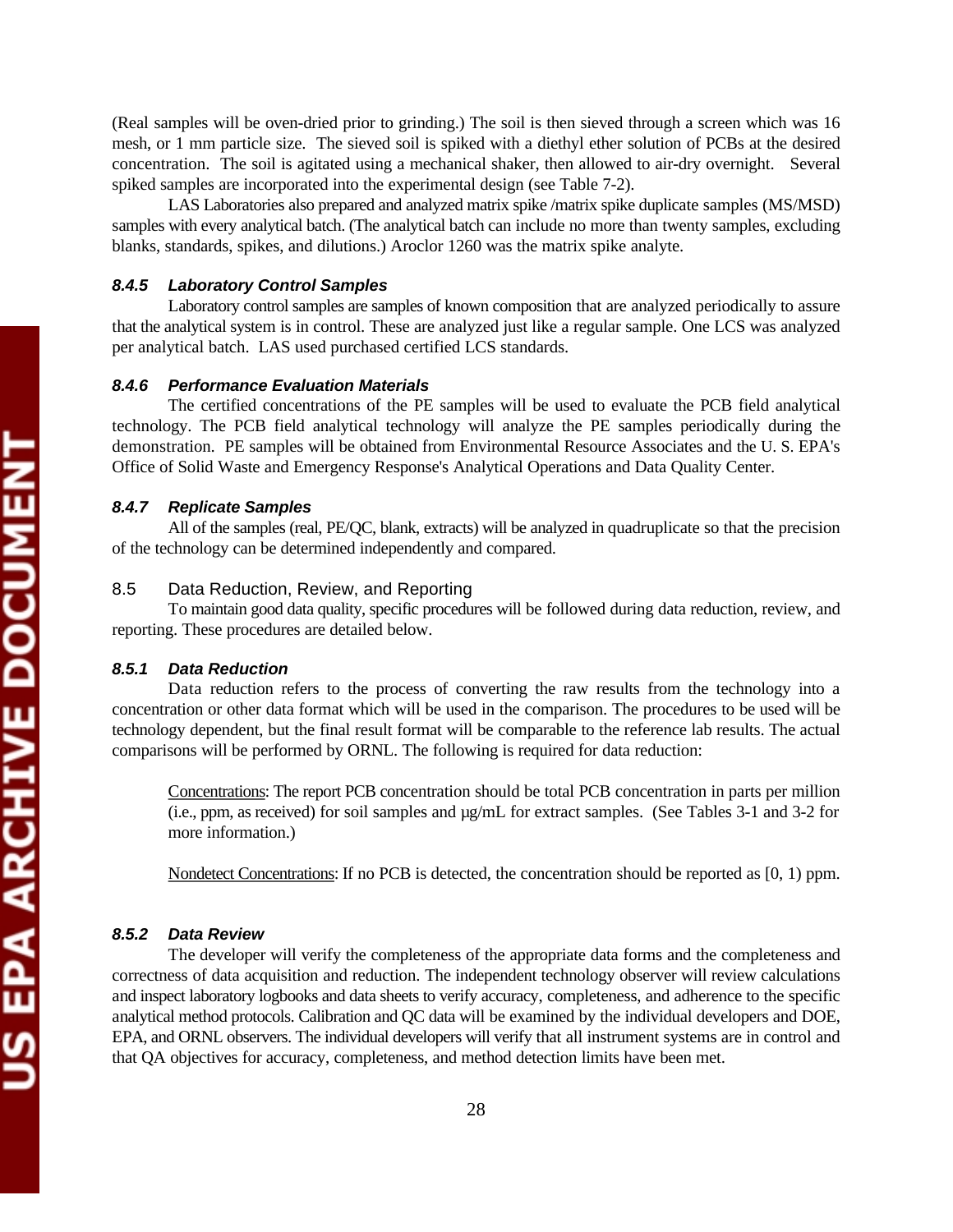(Real samples will be oven-dried prior to grinding.) The soil is then sieved through a screen which was 16 mesh, or 1 mm particle size. The sieved soil is spiked with a diethyl ether solution of PCBs at the desired concentration. The soil is agitated using a mechanical shaker, then allowed to air-dry overnight. Several spiked samples are incorporated into the experimental design (see Table 7-2).

LAS Laboratories also prepared and analyzed matrix spike /matrix spike duplicate samples (MS/MSD) samples with every analytical batch. (The analytical batch can include no more than twenty samples, excluding blanks, standards, spikes, and dilutions.) Aroclor 1260 was the matrix spike analyte.

#### *8.4.5 Laboratory Control Samples*

Laboratory control samples are samples of known composition that are analyzed periodically to assure that the analytical system is in control. These are analyzed just like a regular sample. One LCS was analyzed per analytical batch. LAS used purchased certified LCS standards.

# *8.4.6 Performance Evaluation Materials*

The certified concentrations of the PE samples will be used to evaluate the PCB field analytical technology. The PCB field analytical technology will analyze the PE samples periodically during the demonstration. PE samples will be obtained from Environmental Resource Associates and the U. S. EPA's Office of Solid Waste and Emergency Response's Analytical Operations and Data Quality Center.

#### *8.4.7 Replicate Samples*

All of the samples (real, PE/QC, blank, extracts) will be analyzed in quadruplicate so that the precision of the technology can be determined independently and compared.

# 8.5 Data Reduction, Review, and Reporting

To maintain good data quality, specific procedures will be followed during data reduction, review, and reporting. These procedures are detailed below.

#### *8.5.1 Data Reduction*

Data reduction refers to the process of converting the raw results from the technology into a concentration or other data format which will be used in the comparison. The procedures to be used will be technology dependent, but the final result format will be comparable to the reference lab results. The actual comparisons will be performed by ORNL. The following is required for data reduction:

Concentrations: The report PCB concentration should be total PCB concentration in parts per million (i.e., ppm, as received) for soil samples and µg/mL for extract samples. (See Tables 3-1 and 3-2 for more information.)

Nondetect Concentrations: If no PCB is detected, the concentration should be reported as [0, 1) ppm.

# *8.5.2 Data Review*

The developer will verify the completeness of the appropriate data forms and the completeness and correctness of data acquisition and reduction. The independent technology observer will review calculations and inspect laboratory logbooks and data sheets to verify accuracy, completeness, and adherence to the specific analytical method protocols. Calibration and QC data will be examined by the individual developers and DOE, EPA, and ORNL observers. The individual developers will verify that all instrument systems are in control and that QA objectives for accuracy, completeness, and method detection limits have been met.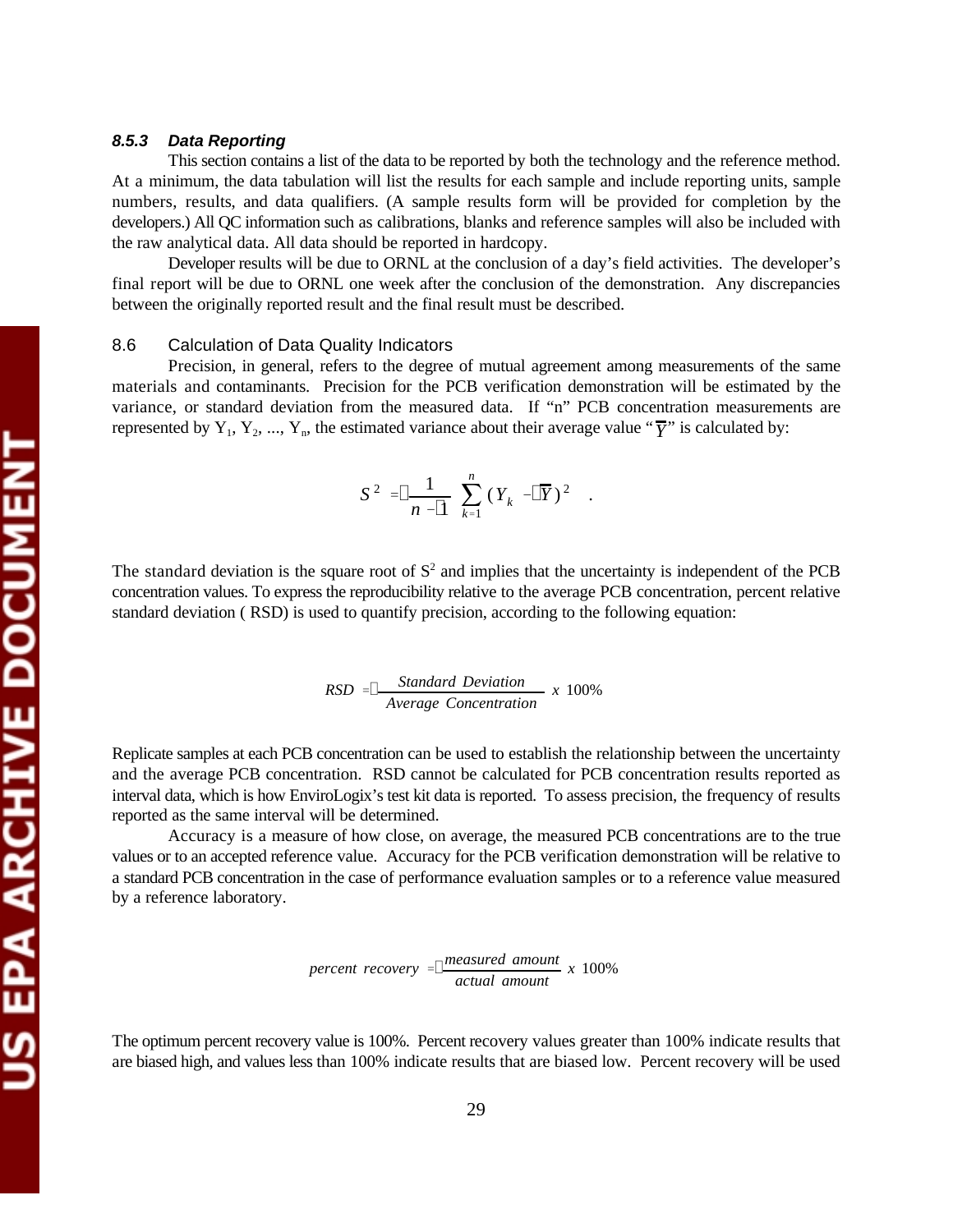#### *8.5.3 Data Reporting*

This section contains a list of the data to be reported by both the technology and the reference method. At a minimum, the data tabulation will list the results for each sample and include reporting units, sample numbers, results, and data qualifiers. (A sample results form will be provided for completion by the developers.) All QC information such as calibrations, blanks and reference samples will also be included with the raw analytical data. All data should be reported in hardcopy.

Developer results will be due to ORNL at the conclusion of a day's field activities. The developer's final report will be due to ORNL one week after the conclusion of the demonstration. Any discrepancies between the originally reported result and the final result must be described.

#### 8.6 Calculation of Data Quality Indicators

Precision, in general, refers to the degree of mutual agreement among measurements of the same materials and contaminants. Precision for the PCB verification demonstration will be estimated by the variance, or standard deviation from the measured data. If "n" PCB concentration measurements are represented by  $Y_1, Y_2, ..., Y_n$ , the estimated variance about their average value " $\overline{Y}$ " is calculated by:

$$
S^2 = \boxed{\frac{1}{n-1} \sum_{k=1}^n (Y_k - \boxed{Y})^2}.
$$

The standard deviation is the square root of  $S<sup>2</sup>$  and implies that the uncertainty is independent of the PCB concentration values. To express the reproducibility relative to the average PCB concentration, percent relative standard deviation ( RSD) is used to quantify precision, according to the following equation:

$$
RSD = \boxed{\frac{\text{Standard Deviation}}{\text{Average Concentration}} \times 100\%}
$$

Replicate samples at each PCB concentration can be used to establish the relationship between the uncertainty and the average PCB concentration. RSD cannot be calculated for PCB concentration results reported as interval data, which is how EnviroLogix's test kit data is reported. To assess precision, the frequency of results reported as the same interval will be determined.

Accuracy is a measure of how close, on average, the measured PCB concentrations are to the true values or to an accepted reference value. Accuracy for the PCB verification demonstration will be relative to a standard PCB concentration in the case of performance evaluation samples or to a reference value measured by a reference laboratory.

$$
percent\ recovery = \frac{measured\ amount}{actual\ amount} \ x\ 100\%
$$

The optimum percent recovery value is 100%. Percent recovery values greater than 100% indicate results that are biased high, and values less than 100% indicate results that are biased low. Percent recovery will be used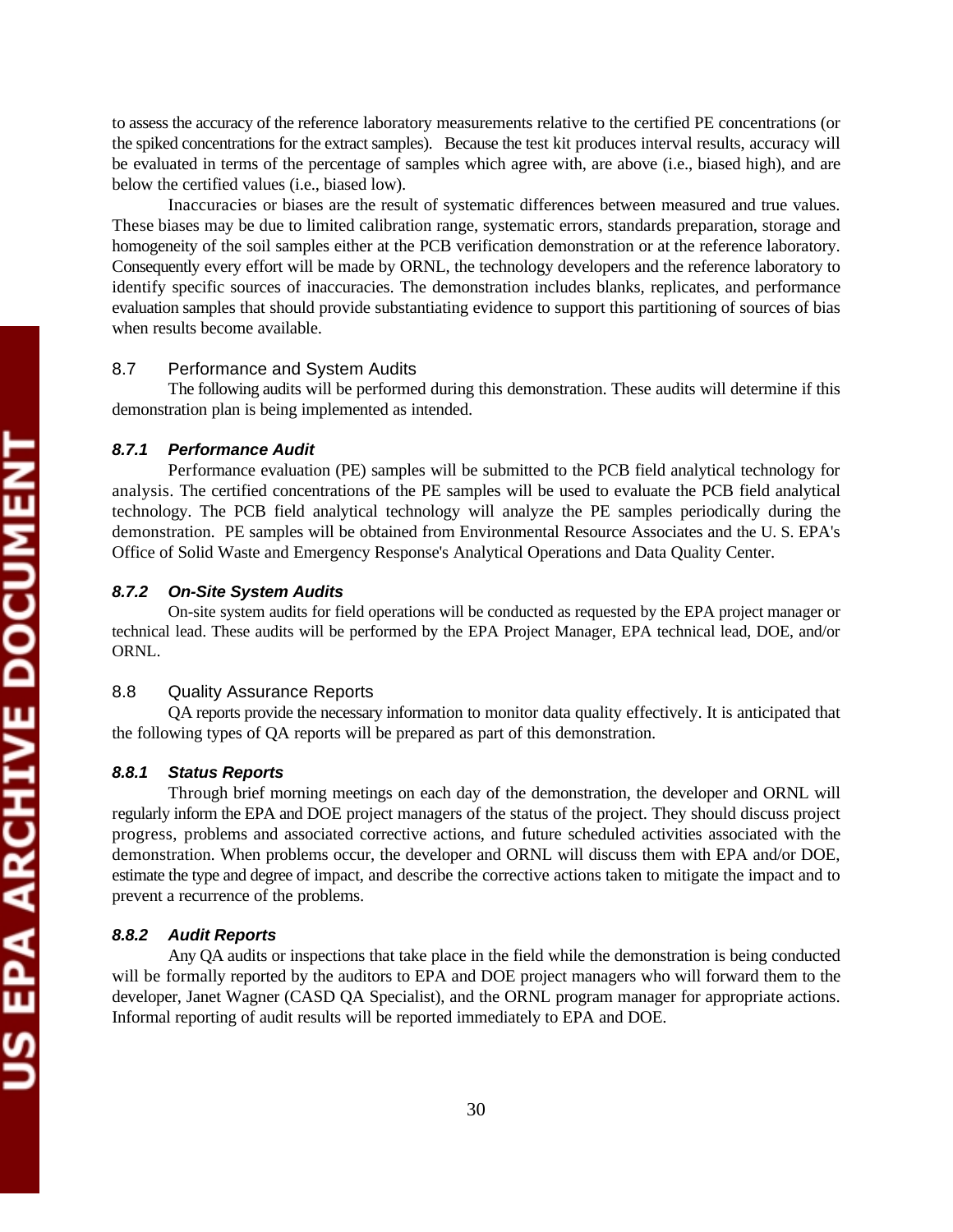to assess the accuracy of the reference laboratory measurements relative to the certified PE concentrations (or the spiked concentrations for the extract samples). Because the test kit produces interval results, accuracy will be evaluated in terms of the percentage of samples which agree with, are above (i.e., biased high), and are below the certified values (i.e., biased low).

Inaccuracies or biases are the result of systematic differences between measured and true values. These biases may be due to limited calibration range, systematic errors, standards preparation, storage and homogeneity of the soil samples either at the PCB verification demonstration or at the reference laboratory. Consequently every effort will be made by ORNL, the technology developers and the reference laboratory to identify specific sources of inaccuracies. The demonstration includes blanks, replicates, and performance evaluation samples that should provide substantiating evidence to support this partitioning of sources of bias when results become available.

# 8.7 Performance and System Audits

The following audits will be performed during this demonstration. These audits will determine if this demonstration plan is being implemented as intended.

#### *8.7.1 Performance Audit*

Performance evaluation (PE) samples will be submitted to the PCB field analytical technology for analysis. The certified concentrations of the PE samples will be used to evaluate the PCB field analytical technology. The PCB field analytical technology will analyze the PE samples periodically during the demonstration. PE samples will be obtained from Environmental Resource Associates and the U. S. EPA's Office of Solid Waste and Emergency Response's Analytical Operations and Data Quality Center.

#### *8.7.2 On-Site System Audits*

On-site system audits for field operations will be conducted as requested by the EPA project manager or technical lead. These audits will be performed by the EPA Project Manager, EPA technical lead, DOE, and/or ORNL.

## 8.8 Quality Assurance Reports

QA reports provide the necessary information to monitor data quality effectively. It is anticipated that the following types of QA reports will be prepared as part of this demonstration.

#### *8.8.1 Status Reports*

Through brief morning meetings on each day of the demonstration, the developer and ORNL will regularly inform the EPA and DOE project managers of the status of the project. They should discuss project progress, problems and associated corrective actions, and future scheduled activities associated with the demonstration. When problems occur, the developer and ORNL will discuss them with EPA and/or DOE, estimate the type and degree of impact, and describe the corrective actions taken to mitigate the impact and to prevent a recurrence of the problems.

#### *8.8.2 Audit Reports*

Any QA audits or inspections that take place in the field while the demonstration is being conducted will be formally reported by the auditors to EPA and DOE project managers who will forward them to the developer, Janet Wagner (CASD QA Specialist), and the ORNL program manager for appropriate actions. Informal reporting of audit results will be reported immediately to EPA and DOE.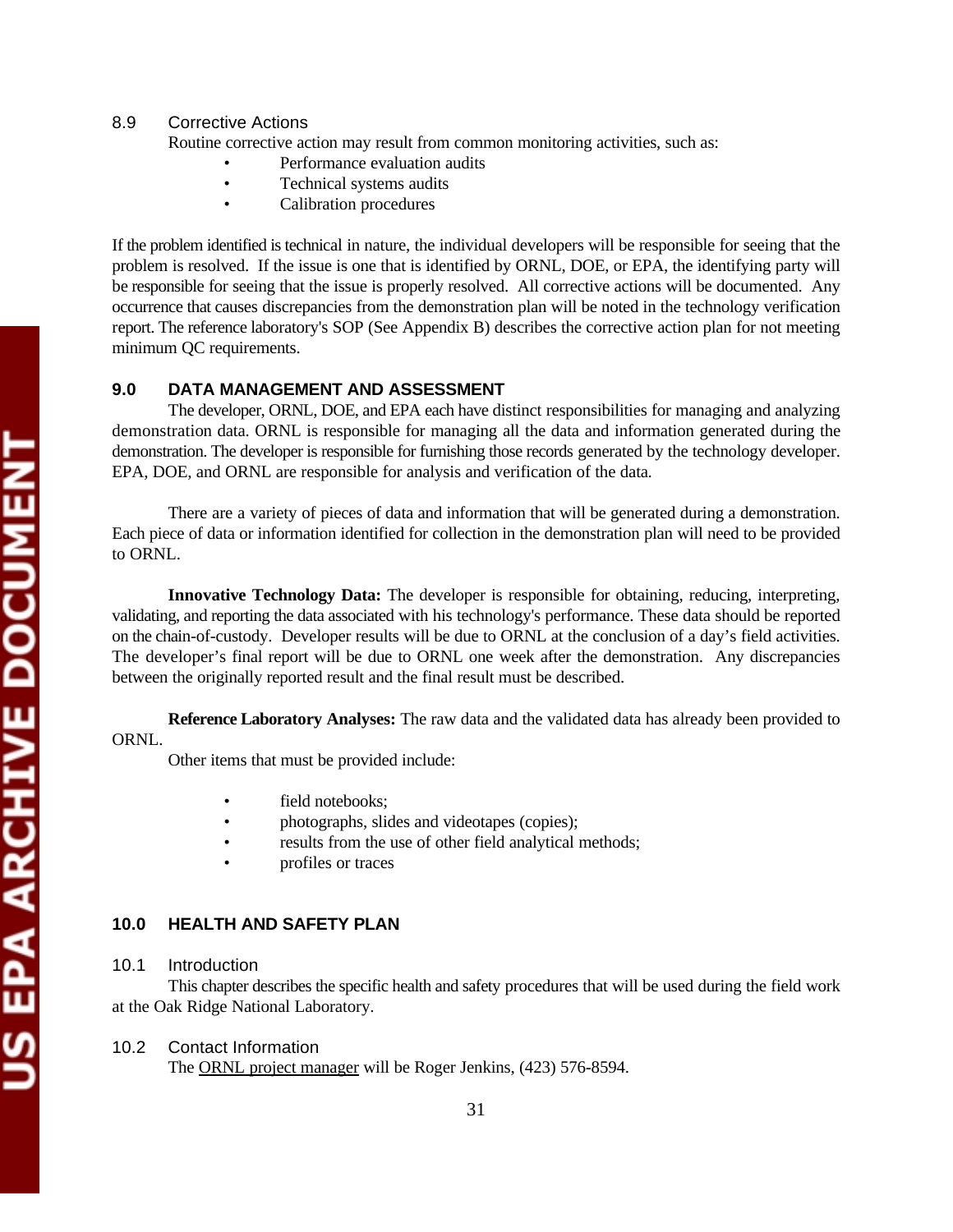US EPA ARCHIVE DOCUMENT

# 8.9 Corrective Actions

Routine corrective action may result from common monitoring activities, such as:

- Performance evaluation audits
- Technical systems audits
- Calibration procedures

If the problem identified is technical in nature, the individual developers will be responsible for seeing that the problem is resolved. If the issue is one that is identified by ORNL, DOE, or EPA, the identifying party will be responsible for seeing that the issue is properly resolved. All corrective actions will be documented. Any occurrence that causes discrepancies from the demonstration plan will be noted in the technology verification report. The reference laboratory's SOP (See Appendix B) describes the corrective action plan for not meeting minimum QC requirements.

# **9.0 DATA MANAGEMENT AND ASSESSMENT**

The developer, ORNL, DOE, and EPA each have distinct responsibilities for managing and analyzing demonstration data. ORNL is responsible for managing all the data and information generated during the demonstration. The developer is responsible for furnishing those records generated by the technology developer. EPA, DOE, and ORNL are responsible for analysis and verification of the data*.* 

There are a variety of pieces of data and information that will be generated during a demonstration. Each piece of data or information identified for collection in the demonstration plan will need to be provided to ORNL.

**Innovative Technology Data:** The developer is responsible for obtaining, reducing, interpreting, validating, and reporting the data associated with his technology's performance. These data should be reported on the chain-of-custody. Developer results will be due to ORNL at the conclusion of a day's field activities. The developer's final report will be due to ORNL one week after the demonstration. Any discrepancies between the originally reported result and the final result must be described.

**Reference Laboratory Analyses:** The raw data and the validated data has already been provided to ORNL.

Other items that must be provided include:

- field notebooks;
- photographs, slides and videotapes (copies);
- results from the use of other field analytical methods;
- profiles or traces

# **10.0 HEALTH AND SAFETY PLAN**

# 10.1 Introduction

This chapter describes the specific health and safety procedures that will be used during the field work at the Oak Ridge National Laboratory.

# 10.2 Contact Information

The ORNL project manager will be Roger Jenkins, (423) 576-8594.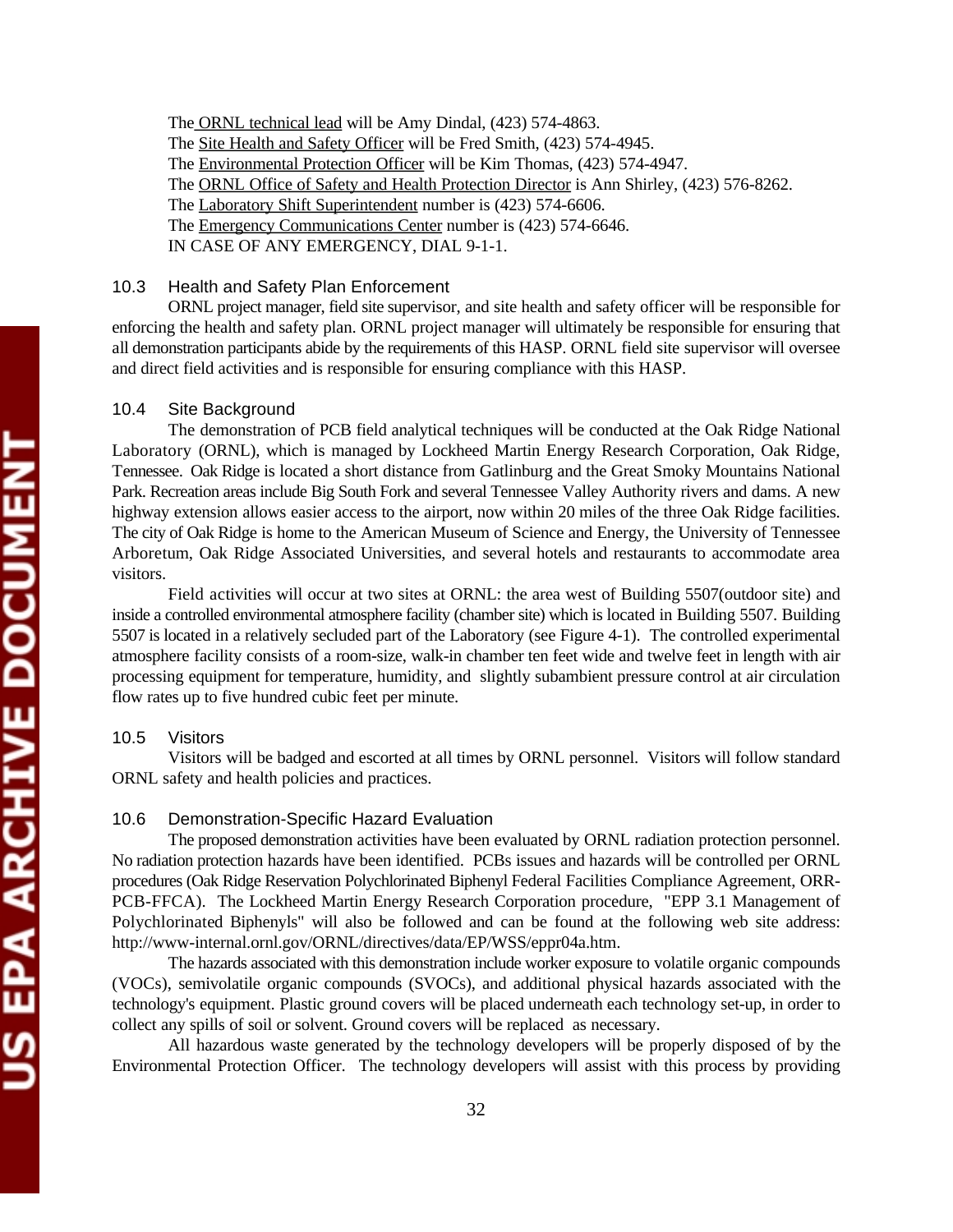The ORNL technical lead will be Amy Dindal, (423) 574-4863. The Site Health and Safety Officer will be Fred Smith, (423) 574-4945. The Environmental Protection Officer will be Kim Thomas, (423) 574-4947. The ORNL Office of Safety and Health Protection Director is Ann Shirley, (423) 576-8262. The Laboratory Shift Superintendent number is (423) 574-6606. The Emergency Communications Center number is (423) 574-6646. IN CASE OF ANY EMERGENCY, DIAL 9-1-1.

### 10.3 Health and Safety Plan Enforcement

ORNL project manager, field site supervisor, and site health and safety officer will be responsible for enforcing the health and safety plan. ORNL project manager will ultimately be responsible for ensuring that all demonstration participants abide by the requirements of this HASP. ORNL field site supervisor will oversee and direct field activities and is responsible for ensuring compliance with this HASP.

### 10.4 Site Background

The demonstration of PCB field analytical techniques will be conducted at the Oak Ridge National Laboratory (ORNL), which is managed by Lockheed Martin Energy Research Corporation, Oak Ridge, Tennessee. Oak Ridge is located a short distance from Gatlinburg and the Great Smoky Mountains National Park. Recreation areas include Big South Fork and several Tennessee Valley Authority rivers and dams. A new highway extension allows easier access to the airport, now within 20 miles of the three Oak Ridge facilities. The city of Oak Ridge is home to the American Museum of Science and Energy, the University of Tennessee Arboretum, Oak Ridge Associated Universities, and several hotels and restaurants to accommodate area visitors.

Field activities will occur at two sites at ORNL: the area west of Building 5507(outdoor site) and inside a controlled environmental atmosphere facility (chamber site) which is located in Building 5507. Building 5507 is located in a relatively secluded part of the Laboratory (see Figure 4-1). The controlled experimental atmosphere facility consists of a room-size, walk-in chamber ten feet wide and twelve feet in length with air processing equipment for temperature, humidity, and slightly subambient pressure control at air circulation flow rates up to five hundred cubic feet per minute.

### 10.5 Visitors

Visitors will be badged and escorted at all times by ORNL personnel. Visitors will follow standard ORNL safety and health policies and practices.

### 10.6 Demonstration-Specific Hazard Evaluation

The proposed demonstration activities have been evaluated by ORNL radiation protection personnel. No radiation protection hazards have been identified. PCBs issues and hazards will be controlled per ORNL procedures (Oak Ridge Reservation Polychlorinated Biphenyl Federal Facilities Compliance Agreement, ORR-PCB-FFCA). The Lockheed Martin Energy Research Corporation procedure, "EPP 3.1 Management of Polychlorinated Biphenyls" will also be followed and can be found at the following web site address: http://www-internal.ornl.gov/ORNL/directives/data/EP/WSS/eppr04a.htm.

The hazards associated with this demonstration include worker exposure to volatile organic compounds (VOCs), semivolatile organic compounds (SVOCs), and additional physical hazards associated with the technology's equipment. Plastic ground covers will be placed underneath each technology set-up, in order to collect any spills of soil or solvent. Ground covers will be replaced as necessary.

All hazardous waste generated by the technology developers will be properly disposed of by the Environmental Protection Officer. The technology developers will assist with this process by providing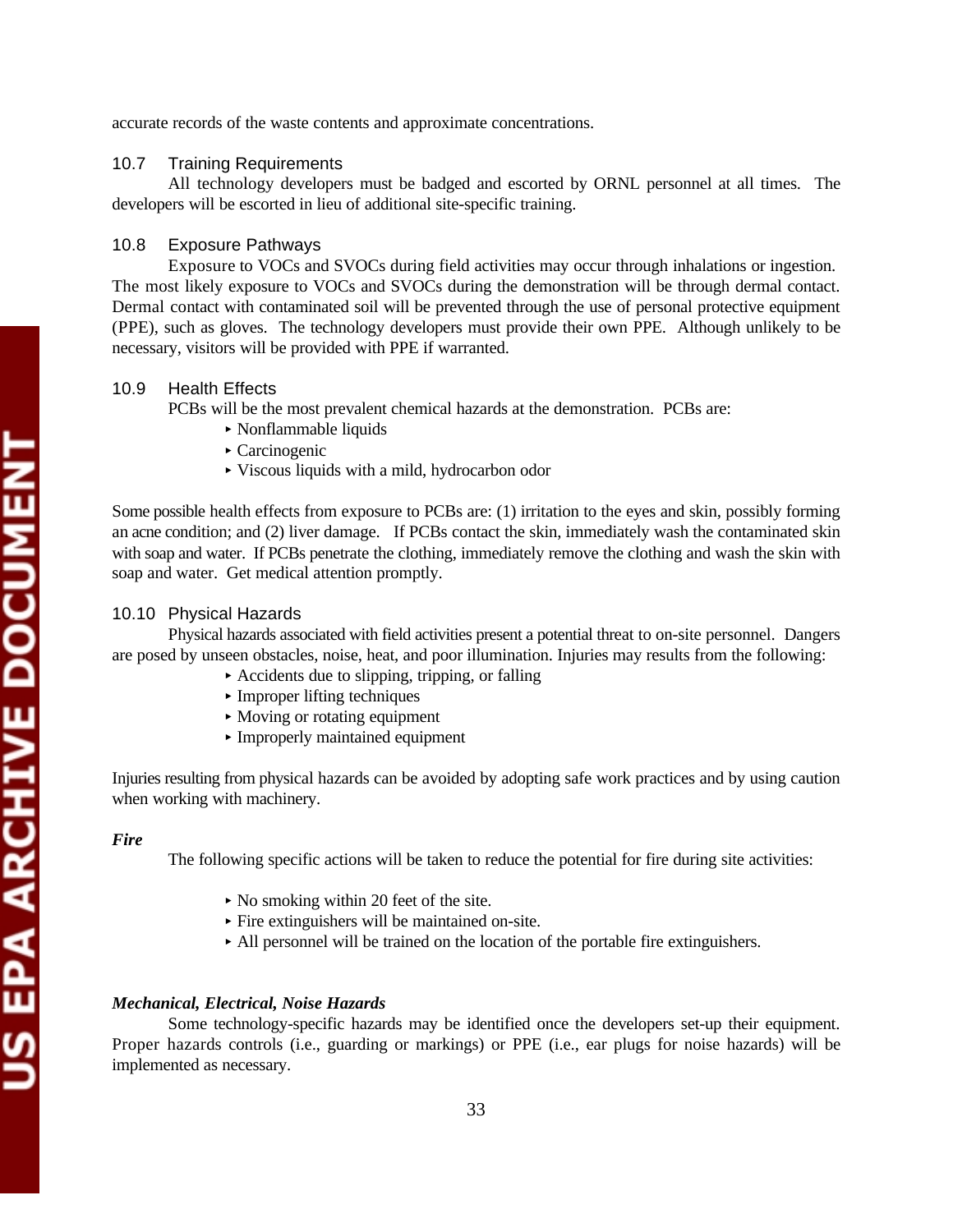### 10.7 Training Requirements

All technology developers must be badged and escorted by ORNL personnel at all times. The developers will be escorted in lieu of additional site-specific training.

## 10.8 Exposure Pathways

Exposure to VOCs and SVOCs during field activities may occur through inhalations or ingestion. The most likely exposure to VOCs and SVOCs during the demonstration will be through dermal contact. Dermal contact with contaminated soil will be prevented through the use of personal protective equipment (PPE), such as gloves. The technology developers must provide their own PPE. Although unlikely to be necessary, visitors will be provided with PPE if warranted.

# 10.9 Health Effects

PCBs will be the most prevalent chemical hazards at the demonstration. PCBs are:

- < Nonflammable liquids
- < Carcinogenic
- < Viscous liquids with a mild, hydrocarbon odor

Some possible health effects from exposure to PCBs are: (1) irritation to the eyes and skin, possibly forming an acne condition; and (2) liver damage. If PCBs contact the skin, immediately wash the contaminated skin with soap and water. If PCBs penetrate the clothing, immediately remove the clothing and wash the skin with soap and water. Get medical attention promptly.

## 10.10 Physical Hazards

Physical hazards associated with field activities present a potential threat to on-site personnel. Dangers are posed by unseen obstacles, noise, heat, and poor illumination. Injuries may results from the following:

- $\blacktriangleright$  Accidents due to slipping, tripping, or falling
- < Improper lifting techniques
- Moving or rotating equipment
- < Improperly maintained equipment

Injuries resulting from physical hazards can be avoided by adopting safe work practices and by using caution when working with machinery.

### *Fire*

The following specific actions will be taken to reduce the potential for fire during site activities:

- No smoking within 20 feet of the site.
- < Fire extinguishers will be maintained on-site.
- < All personnel will be trained on the location of the portable fire extinguishers.

### *Mechanical, Electrical, Noise Hazards*

Some technology-specific hazards may be identified once the developers set-up their equipment. Proper hazards controls (i.e., guarding or markings) or PPE (i.e., ear plugs for noise hazards) will be implemented as necessary.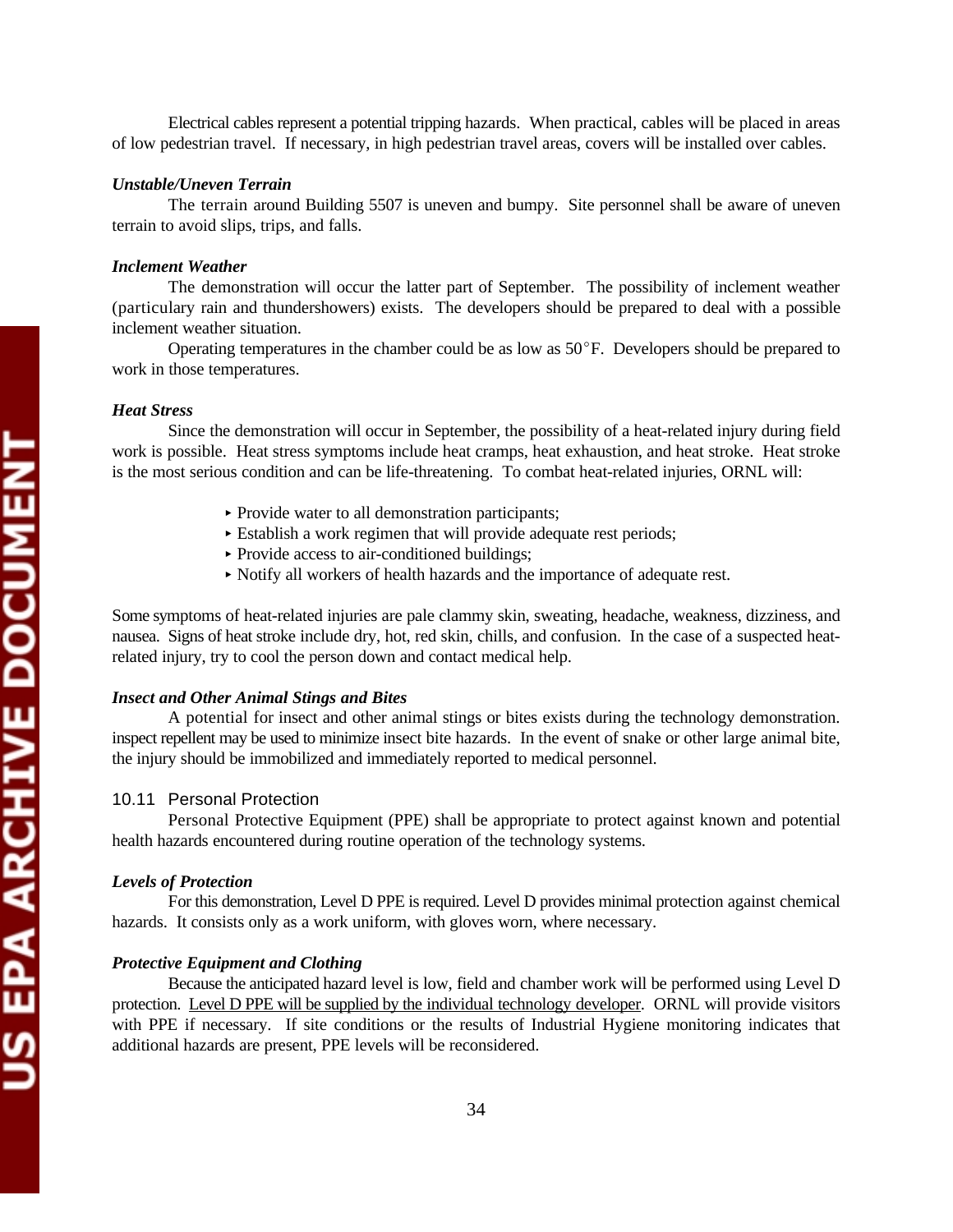Electrical cables represent a potential tripping hazards. When practical, cables will be placed in areas of low pedestrian travel. If necessary, in high pedestrian travel areas, covers will be installed over cables.

#### *Unstable/Uneven Terrain*

The terrain around Building 5507 is uneven and bumpy. Site personnel shall be aware of uneven terrain to avoid slips, trips, and falls.

#### *Inclement Weather*

The demonstration will occur the latter part of September. The possibility of inclement weather (particulary rain and thundershowers) exists. The developers should be prepared to deal with a possible inclement weather situation.

Operating temperatures in the chamber could be as low as  $50^{\circ}$ F. Developers should be prepared to work in those temperatures.

# *Heat Stress*

Since the demonstration will occur in September, the possibility of a heat-related injury during field work is possible. Heat stress symptoms include heat cramps, heat exhaustion, and heat stroke. Heat stroke is the most serious condition and can be life-threatening. To combat heat-related injuries, ORNL will:

- < Provide water to all demonstration participants;
- < Establish a work regimen that will provide adequate rest periods;
- ▶ Provide access to air-conditioned buildings;
- < Notify all workers of health hazards and the importance of adequate rest.

Some symptoms of heat-related injuries are pale clammy skin, sweating, headache, weakness, dizziness, and nausea. Signs of heat stroke include dry, hot, red skin, chills, and confusion. In the case of a suspected heatrelated injury, try to cool the person down and contact medical help.

#### *Insect and Other Animal Stings and Bites*

A potential for insect and other animal stings or bites exists during the technology demonstration. inspect repellent may be used to minimize insect bite hazards. In the event of snake or other large animal bite, the injury should be immobilized and immediately reported to medical personnel.

#### 10.11 Personal Protection

Personal Protective Equipment (PPE) shall be appropriate to protect against known and potential health hazards encountered during routine operation of the technology systems.

#### *Levels of Protection*

For this demonstration, Level D PPE is required. Level D provides minimal protection against chemical hazards. It consists only as a work uniform, with gloves worn, where necessary.

#### *Protective Equipment and Clothing*

Because the anticipated hazard level is low, field and chamber work will be performed using Level D protection. Level D PPE will be supplied by the individual technology developer. ORNL will provide visitors with PPE if necessary. If site conditions or the results of Industrial Hygiene monitoring indicates that additional hazards are present, PPE levels will be reconsidered.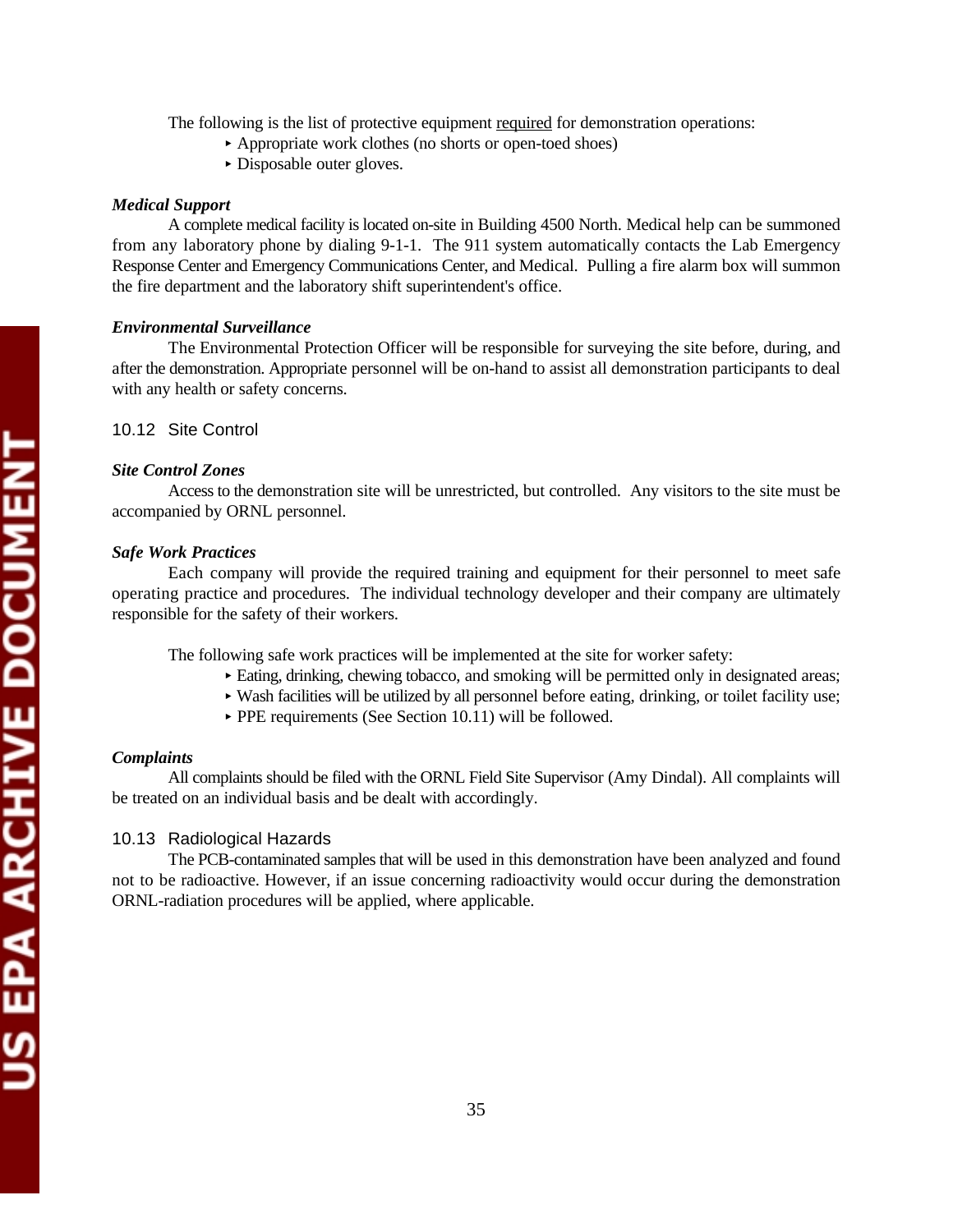The following is the list of protective equipment required for demonstration operations:

- ▶ Appropriate work clothes (no shorts or open-toed shoes)
- Disposable outer gloves.

### *Medical Support*

A complete medical facility is located on-site in Building 4500 North. Medical help can be summoned from any laboratory phone by dialing 9-1-1. The 911 system automatically contacts the Lab Emergency Response Center and Emergency Communications Center, and Medical. Pulling a fire alarm box will summon the fire department and the laboratory shift superintendent's office.

#### *Environmental Surveillance*

The Environmental Protection Officer will be responsible for surveying the site before, during, and after the demonstration. Appropriate personnel will be on-hand to assist all demonstration participants to deal with any health or safety concerns.

### 10.12 Site Control

### *Site Control Zones*

Access to the demonstration site will be unrestricted, but controlled. Any visitors to the site must be accompanied by ORNL personnel.

#### *Safe Work Practices*

Each company will provide the required training and equipment for their personnel to meet safe operating practice and procedures. The individual technology developer and their company are ultimately responsible for the safety of their workers.

The following safe work practices will be implemented at the site for worker safety:

- < Eating, drinking, chewing tobacco, and smoking will be permitted only in designated areas;
- $\triangleright$  Wash facilities will be utilized by all personnel before eating, drinking, or toilet facility use;
- ▶ PPE requirements (See Section 10.11) will be followed.

#### *Complaints*

All complaints should be filed with the ORNL Field Site Supervisor (Amy Dindal). All complaints will be treated on an individual basis and be dealt with accordingly.

### 10.13 Radiological Hazards

The PCB-contaminated samples that will be used in this demonstration have been analyzed and found not to be radioactive. However, if an issue concerning radioactivity would occur during the demonstration ORNL-radiation procedures will be applied, where applicable.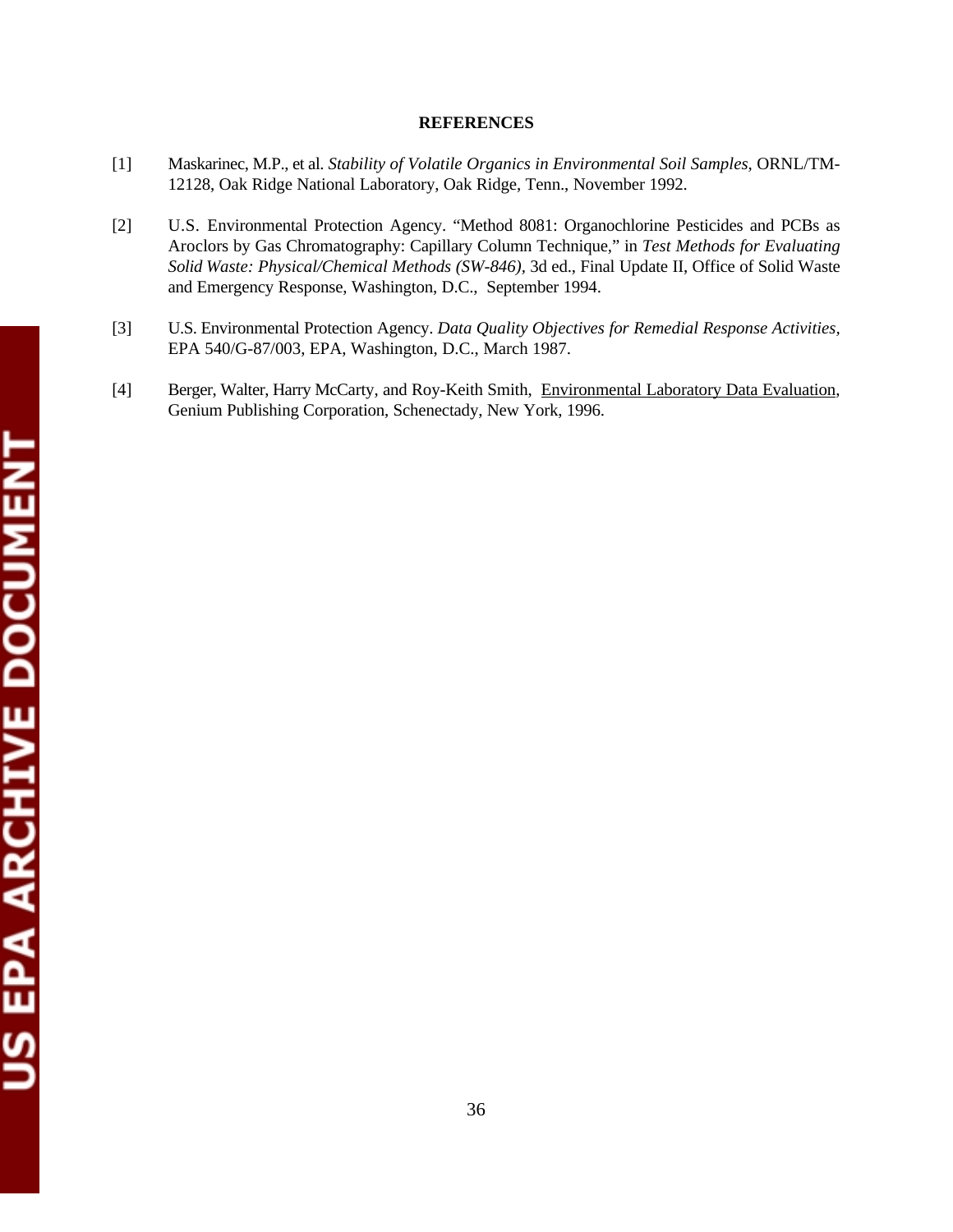## **REFERENCES**

- [1] Maskarinec, M.P., et al. *Stability of Volatile Organics in Environmental Soil Samples,* ORNL/TM-12128, Oak Ridge National Laboratory, Oak Ridge, Tenn., November 1992.
- [2] U.S. Environmental Protection Agency. "Method 8081: Organochlorine Pesticides and PCBs as Aroclors by Gas Chromatography: Capillary Column Technique," in *Test Methods for Evaluating Solid Waste: Physical/Chemical Methods (SW-846),* 3d ed., Final Update II, Office of Solid Waste and Emergency Response, Washington, D.C., September 1994.
- [3] U.S. Environmental Protection Agency. *Data Quality Objectives for Remedial Response Activities,*  EPA 540/G-87/003, EPA, Washington, D.C., March 1987.
- [4] Berger, Walter, Harry McCarty, and Roy-Keith Smith, Environmental Laboratory Data Evaluation, Genium Publishing Corporation, Schenectady, New York, 1996.